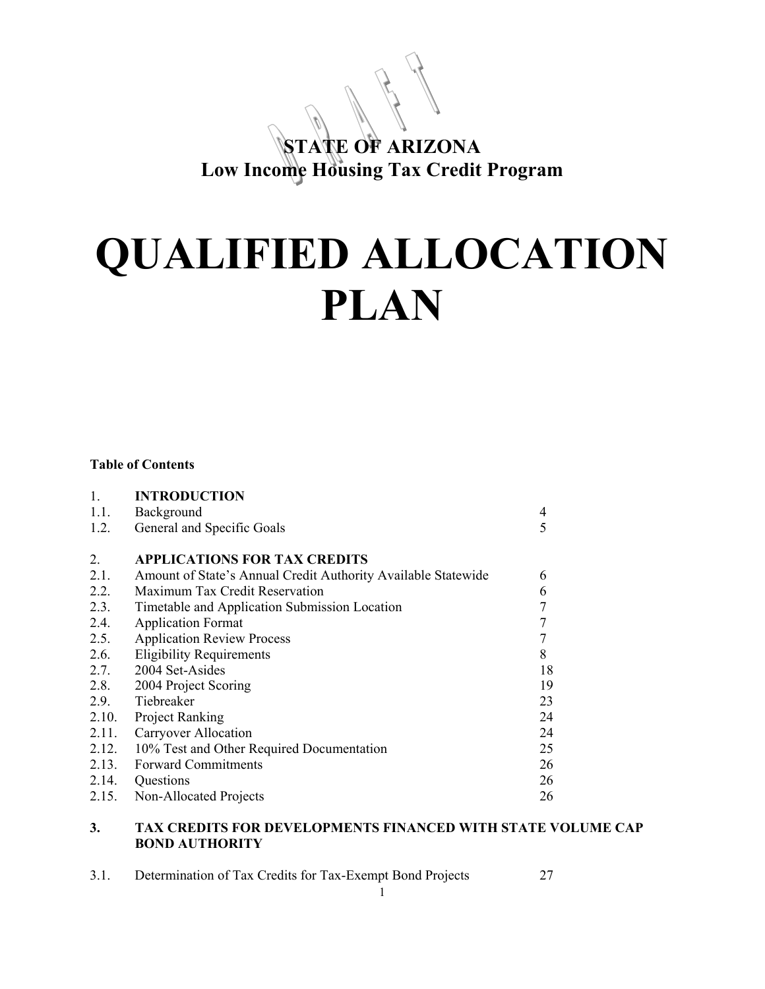# **STATE OF ARIZONA Low Income Housing Tax Credit Program**

# **QUALIFIED ALLOCATION PLAN**

#### **Table of Contents**

| $\mathbf{1}$ . | <b>INTRODUCTION</b>                                           |                |
|----------------|---------------------------------------------------------------|----------------|
| 1.1.           | Background                                                    | 4              |
| 1.2.           | General and Specific Goals                                    | 5              |
|                |                                                               |                |
| $2_{\cdot}$    | <b>APPLICATIONS FOR TAX CREDITS</b>                           |                |
| 2.1.           | Amount of State's Annual Credit Authority Available Statewide | 6              |
| 2.2.           | Maximum Tax Credit Reservation                                | 6              |
| 2.3.           | Timetable and Application Submission Location                 | $\overline{7}$ |
| 2.4.           | <b>Application Format</b>                                     | $\overline{7}$ |
| 2.5.           | <b>Application Review Process</b>                             | 7              |
| 2.6.           | <b>Eligibility Requirements</b>                               | 8              |
| 2.7.           | 2004 Set-Asides                                               | 18             |
| 2.8.           | 2004 Project Scoring                                          | 19             |
| 2.9.           | Tiebreaker                                                    | 23             |
| 2.10.          | <b>Project Ranking</b>                                        | 24             |
| 2.11.          | <b>Carryover Allocation</b>                                   | 24             |
| 2.12.          | 10% Test and Other Required Documentation                     | 25             |
| 2.13.          | <b>Forward Commitments</b>                                    | 26             |
| 2.14.          | Questions                                                     | 26             |
| 2.15.          | Non-Allocated Projects                                        | 26             |

# **3. TAX CREDITS FOR DEVELOPMENTS FINANCED WITH STATE VOLUME CAP BOND AUTHORITY**

| 3.1. | Determination of Tax Credits for Tax-Exempt Bond Projects |  |
|------|-----------------------------------------------------------|--|
|      |                                                           |  |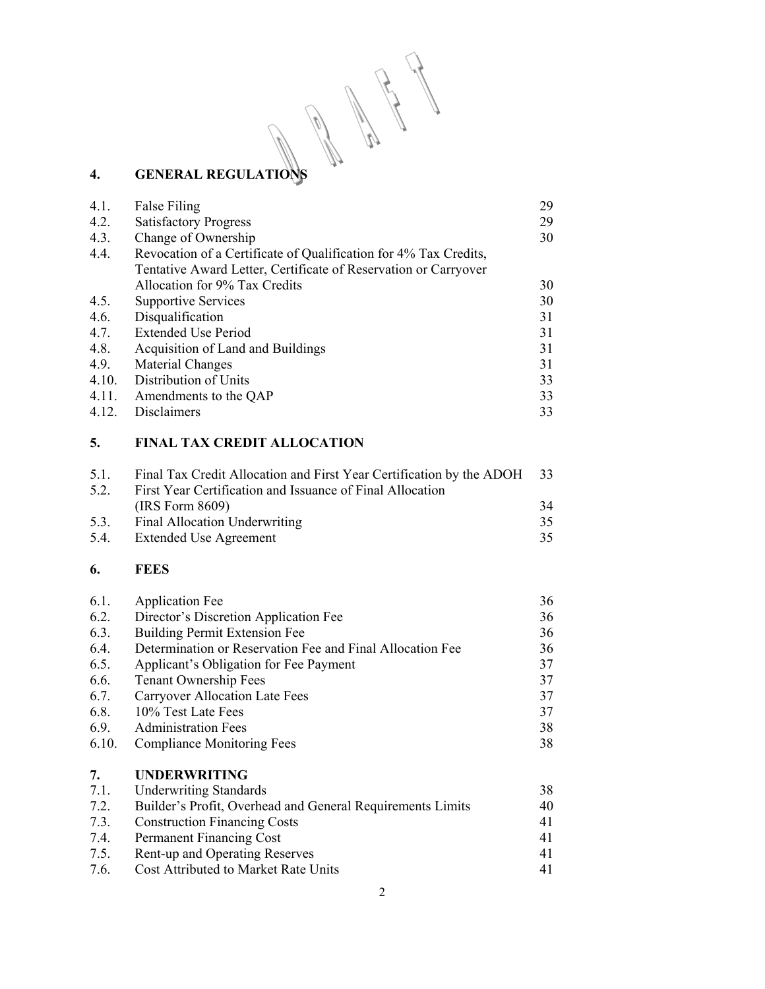A R. 

# **4. GENERAL REGULATIONS**

| 4.1.  | False Filing                                                     | 29 |
|-------|------------------------------------------------------------------|----|
| 4.2.  | <b>Satisfactory Progress</b>                                     | 29 |
| 4.3.  | Change of Ownership                                              | 30 |
| 4.4.  | Revocation of a Certificate of Qualification for 4% Tax Credits, |    |
|       | Tentative Award Letter, Certificate of Reservation or Carryover  |    |
|       | Allocation for 9% Tax Credits                                    | 30 |
| 4.5.  | <b>Supportive Services</b>                                       | 30 |
| 4.6.  | Disqualification                                                 | 31 |
| 4.7.  | <b>Extended Use Period</b>                                       | 31 |
| 4.8.  | Acquisition of Land and Buildings                                | 31 |
| 4.9.  | Material Changes                                                 | 31 |
| 4.10. | Distribution of Units                                            | 33 |
| 4.11. | Amendments to the QAP                                            | 33 |
| 4.12. | Disclaimers                                                      | 33 |

# **5. FINAL TAX CREDIT ALLOCATION**

| 5.1  | Final Tax Credit Allocation and First Year Certification by the ADOH 33 |    |
|------|-------------------------------------------------------------------------|----|
| 5.2. | First Year Certification and Issuance of Final Allocation               |    |
|      | (IRS Form 8609)                                                         | 34 |
| 5.3. | Final Allocation Underwriting                                           | 35 |
| 5.4. | Extended Use Agreement                                                  | 35 |
|      |                                                                         |    |

# **6. FEES**

| 6.1.  | <b>Application Fee</b>                                    | 36 |
|-------|-----------------------------------------------------------|----|
| 6.2.  | Director's Discretion Application Fee                     | 36 |
| 6.3.  | <b>Building Permit Extension Fee</b>                      | 36 |
| 6.4.  | Determination or Reservation Fee and Final Allocation Fee | 36 |
| 6.5.  | Applicant's Obligation for Fee Payment                    | 37 |
| 6.6.  | <b>Tenant Ownership Fees</b>                              | 37 |
| 6.7.  | <b>Carryover Allocation Late Fees</b>                     | 37 |
| 6.8.  | 10% Test Late Fees                                        | 37 |
| 6.9.  | <b>Administration Fees</b>                                | 38 |
| 6.10. | <b>Compliance Monitoring Fees</b>                         | 38 |
|       |                                                           |    |

# **7. UNDERWRITING**

| 7.1. | <b>Underwriting Standards</b>                              | 38 |
|------|------------------------------------------------------------|----|
| 7.2. | Builder's Profit, Overhead and General Requirements Limits | 40 |
| 7.3. | <b>Construction Financing Costs</b>                        | 41 |
| 7.4. | Permanent Financing Cost                                   | 41 |
| 7.5. | Rent-up and Operating Reserves                             | 41 |
| 7.6. | Cost Attributed to Market Rate Units                       | 41 |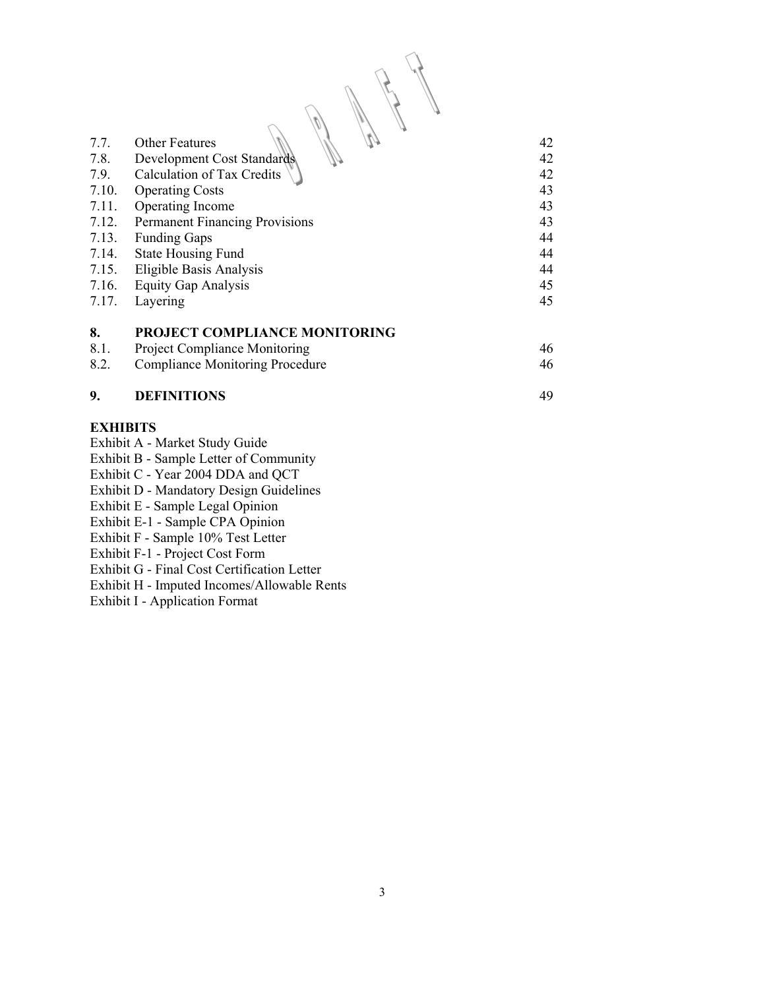| 42 |
|----|
| 42 |
|    |
| 42 |
| 43 |
| 43 |
| 43 |
| 44 |
| 44 |
| 44 |
| 45 |
| 45 |
|    |
|    |
| 46 |
| 46 |
|    |

 $\mathbb{R}$  0

#### **9. DEFINITIONS** 49

# **EXHIBITS**

- Exhibit A Market Study Guide
- Exhibit B Sample Letter of Community
- Exhibit C Year 2004 DDA and QCT

Exhibit D - Mandatory Design Guidelines

Exhibit E - Sample Legal Opinion

Exhibit E-1 - Sample CPA Opinion

Exhibit F - Sample 10% Test Letter

Exhibit F-1 - Project Cost Form

Exhibit G - Final Cost Certification Letter

Exhibit H - Imputed Incomes/Allowable Rents

Exhibit I - Application Format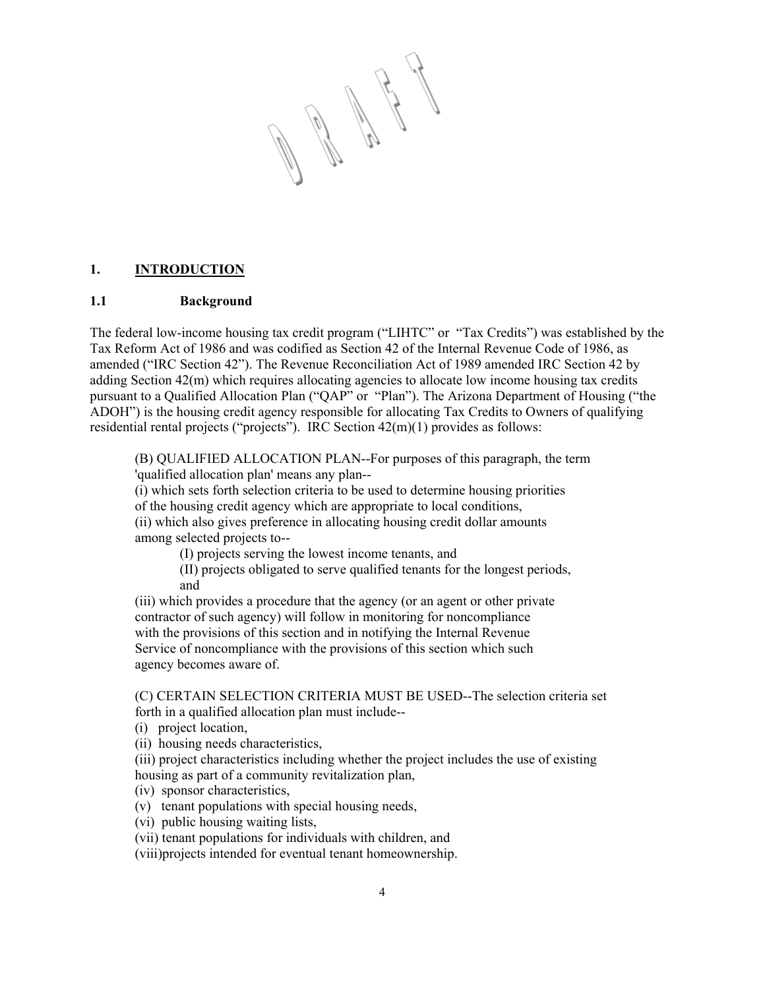A Martin

# **1. INTRODUCTION**

#### **1.1 Background**

The federal low-income housing tax credit program ("LIHTC" or "Tax Credits") was established by the Tax Reform Act of 1986 and was codified as Section 42 of the Internal Revenue Code of 1986, as amended ("IRC Section 42"). The Revenue Reconciliation Act of 1989 amended IRC Section 42 by adding Section 42(m) which requires allocating agencies to allocate low income housing tax credits pursuant to a Qualified Allocation Plan ("QAP" or "Plan"). The Arizona Department of Housing ("the ADOH") is the housing credit agency responsible for allocating Tax Credits to Owners of qualifying residential rental projects ("projects"). IRC Section 42(m)(1) provides as follows:

(B) QUALIFIED ALLOCATION PLAN--For purposes of this paragraph, the term 'qualified allocation plan' means any plan--

(i) which sets forth selection criteria to be used to determine housing priorities

of the housing credit agency which are appropriate to local conditions,

(ii) which also gives preference in allocating housing credit dollar amounts among selected projects to--

(I) projects serving the lowest income tenants, and

(II) projects obligated to serve qualified tenants for the longest periods, and

(iii) which provides a procedure that the agency (or an agent or other private contractor of such agency) will follow in monitoring for noncompliance with the provisions of this section and in notifying the Internal Revenue Service of noncompliance with the provisions of this section which such agency becomes aware of.

(C) CERTAIN SELECTION CRITERIA MUST BE USED--The selection criteria set forth in a qualified allocation plan must include--

(i) project location,

(ii) housing needs characteristics,

(iii) project characteristics including whether the project includes the use of existing housing as part of a community revitalization plan,

- (iv) sponsor characteristics,
- (v) tenant populations with special housing needs,

(vi) public housing waiting lists,

(vii) tenant populations for individuals with children, and

(viii)projects intended for eventual tenant homeownership.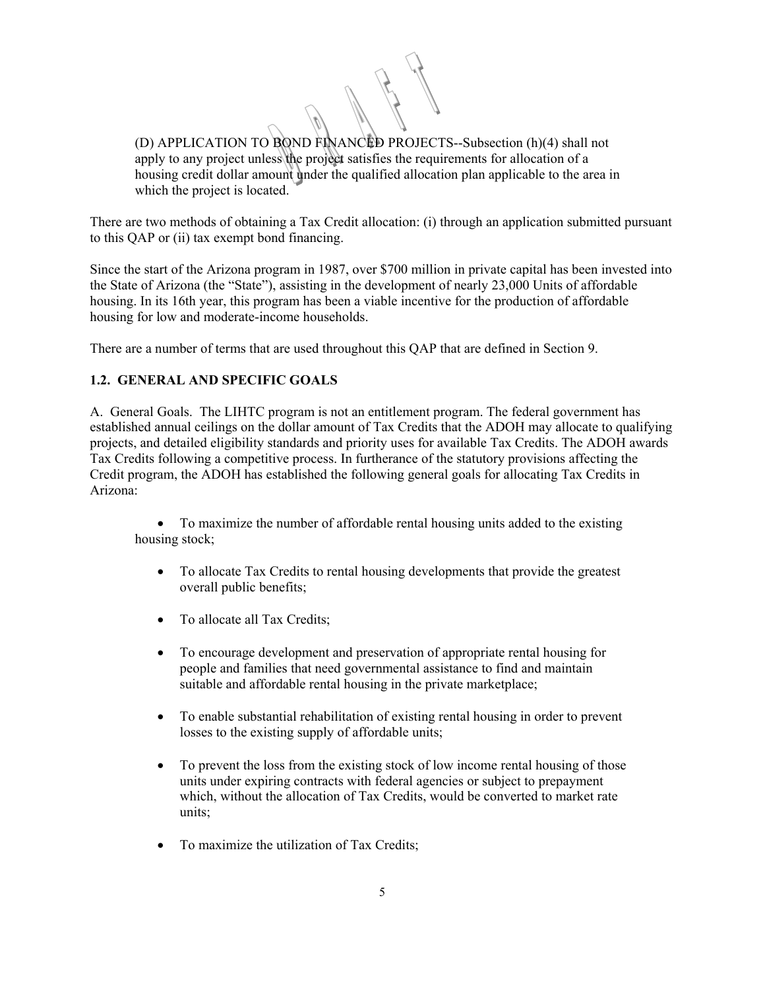(D) APPLICATION TO BOND FINANCED PROJECTS--Subsection (h)(4) shall not apply to any project unless the project satisfies the requirements for allocation of a housing credit dollar amount under the qualified allocation plan applicable to the area in which the project is located.

There are two methods of obtaining a Tax Credit allocation: (i) through an application submitted pursuant to this QAP or (ii) tax exempt bond financing.

Since the start of the Arizona program in 1987, over \$700 million in private capital has been invested into the State of Arizona (the "State"), assisting in the development of nearly 23,000 Units of affordable housing. In its 16th year, this program has been a viable incentive for the production of affordable housing for low and moderate-income households.

There are a number of terms that are used throughout this QAP that are defined in Section 9.

# **1.2. GENERAL AND SPECIFIC GOALS**

A. General Goals. The LIHTC program is not an entitlement program. The federal government has established annual ceilings on the dollar amount of Tax Credits that the ADOH may allocate to qualifying projects, and detailed eligibility standards and priority uses for available Tax Credits. The ADOH awards Tax Credits following a competitive process. In furtherance of the statutory provisions affecting the Credit program, the ADOH has established the following general goals for allocating Tax Credits in Arizona:

• To maximize the number of affordable rental housing units added to the existing housing stock;

- To allocate Tax Credits to rental housing developments that provide the greatest overall public benefits;
- To allocate all Tax Credits;
- To encourage development and preservation of appropriate rental housing for people and families that need governmental assistance to find and maintain suitable and affordable rental housing in the private marketplace;
- To enable substantial rehabilitation of existing rental housing in order to prevent losses to the existing supply of affordable units;
- To prevent the loss from the existing stock of low income rental housing of those units under expiring contracts with federal agencies or subject to prepayment which, without the allocation of Tax Credits, would be converted to market rate units;
- To maximize the utilization of Tax Credits;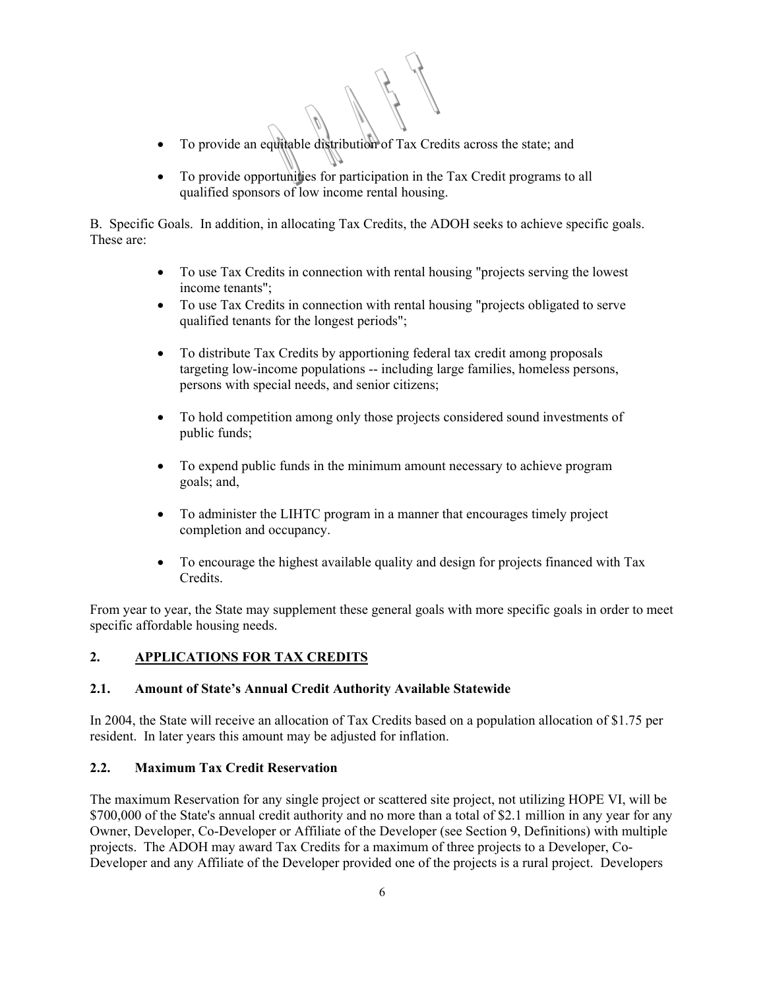- To provide an equitable distribution of Tax Credits across the state; and
- To provide opportunities for participation in the Tax Credit programs to all qualified sponsors of low income rental housing.

B. Specific Goals. In addition, in allocating Tax Credits, the ADOH seeks to achieve specific goals. These are:

- To use Tax Credits in connection with rental housing "projects serving the lowest" income tenants";
- To use Tax Credits in connection with rental housing "projects obligated to serve qualified tenants for the longest periods";
- To distribute Tax Credits by apportioning federal tax credit among proposals targeting low-income populations -- including large families, homeless persons, persons with special needs, and senior citizens;
- To hold competition among only those projects considered sound investments of public funds;
- To expend public funds in the minimum amount necessary to achieve program goals; and,
- To administer the LIHTC program in a manner that encourages timely project completion and occupancy.
- To encourage the highest available quality and design for projects financed with Tax Credits.

From year to year, the State may supplement these general goals with more specific goals in order to meet specific affordable housing needs.

# **2. APPLICATIONS FOR TAX CREDITS**

#### **2.1. Amount of State's Annual Credit Authority Available Statewide**

In 2004, the State will receive an allocation of Tax Credits based on a population allocation of \$1.75 per resident. In later years this amount may be adjusted for inflation.

#### **2.2. Maximum Tax Credit Reservation**

The maximum Reservation for any single project or scattered site project, not utilizing HOPE VI, will be \$700,000 of the State's annual credit authority and no more than a total of \$2.1 million in any year for any Owner, Developer, Co-Developer or Affiliate of the Developer (see Section 9, Definitions) with multiple projects. The ADOH may award Tax Credits for a maximum of three projects to a Developer, Co-Developer and any Affiliate of the Developer provided one of the projects is a rural project. Developers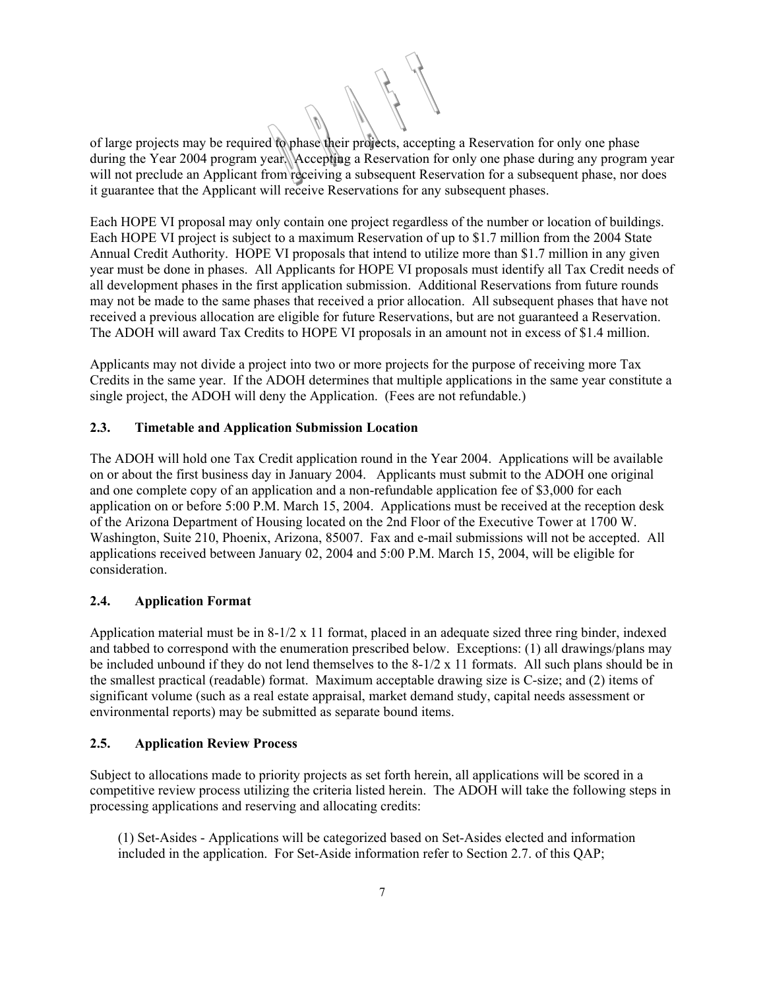of large projects may be required to phase their projects, accepting a Reservation for only one phase during the Year 2004 program year. Accepting a Reservation for only one phase during any program year will not preclude an Applicant from receiving a subsequent Reservation for a subsequent phase, nor does it guarantee that the Applicant will receive Reservations for any subsequent phases.

Each HOPE VI proposal may only contain one project regardless of the number or location of buildings. Each HOPE VI project is subject to a maximum Reservation of up to \$1.7 million from the 2004 State Annual Credit Authority. HOPE VI proposals that intend to utilize more than \$1.7 million in any given year must be done in phases. All Applicants for HOPE VI proposals must identify all Tax Credit needs of all development phases in the first application submission. Additional Reservations from future rounds may not be made to the same phases that received a prior allocation. All subsequent phases that have not received a previous allocation are eligible for future Reservations, but are not guaranteed a Reservation. The ADOH will award Tax Credits to HOPE VI proposals in an amount not in excess of \$1.4 million.

Applicants may not divide a project into two or more projects for the purpose of receiving more Tax Credits in the same year. If the ADOH determines that multiple applications in the same year constitute a single project, the ADOH will deny the Application. (Fees are not refundable.)

# **2.3. Timetable and Application Submission Location**

The ADOH will hold one Tax Credit application round in the Year 2004. Applications will be available on or about the first business day in January 2004. Applicants must submit to the ADOH one original and one complete copy of an application and a non-refundable application fee of \$3,000 for each application on or before 5:00 P.M. March 15, 2004. Applications must be received at the reception desk of the Arizona Department of Housing located on the 2nd Floor of the Executive Tower at 1700 W. Washington, Suite 210, Phoenix, Arizona, 85007. Fax and e-mail submissions will not be accepted. All applications received between January 02, 2004 and 5:00 P.M. March 15, 2004, will be eligible for consideration.

# **2.4. Application Format**

Application material must be in  $8-1/2 \times 11$  format, placed in an adequate sized three ring binder, indexed and tabbed to correspond with the enumeration prescribed below. Exceptions: (1) all drawings/plans may be included unbound if they do not lend themselves to the  $8-1/2 \times 11$  formats. All such plans should be in the smallest practical (readable) format. Maximum acceptable drawing size is C-size; and (2) items of significant volume (such as a real estate appraisal, market demand study, capital needs assessment or environmental reports) may be submitted as separate bound items.

#### **2.5. Application Review Process**

Subject to allocations made to priority projects as set forth herein, all applications will be scored in a competitive review process utilizing the criteria listed herein. The ADOH will take the following steps in processing applications and reserving and allocating credits:

(1) Set-Asides - Applications will be categorized based on Set-Asides elected and information included in the application. For Set-Aside information refer to Section 2.7. of this QAP;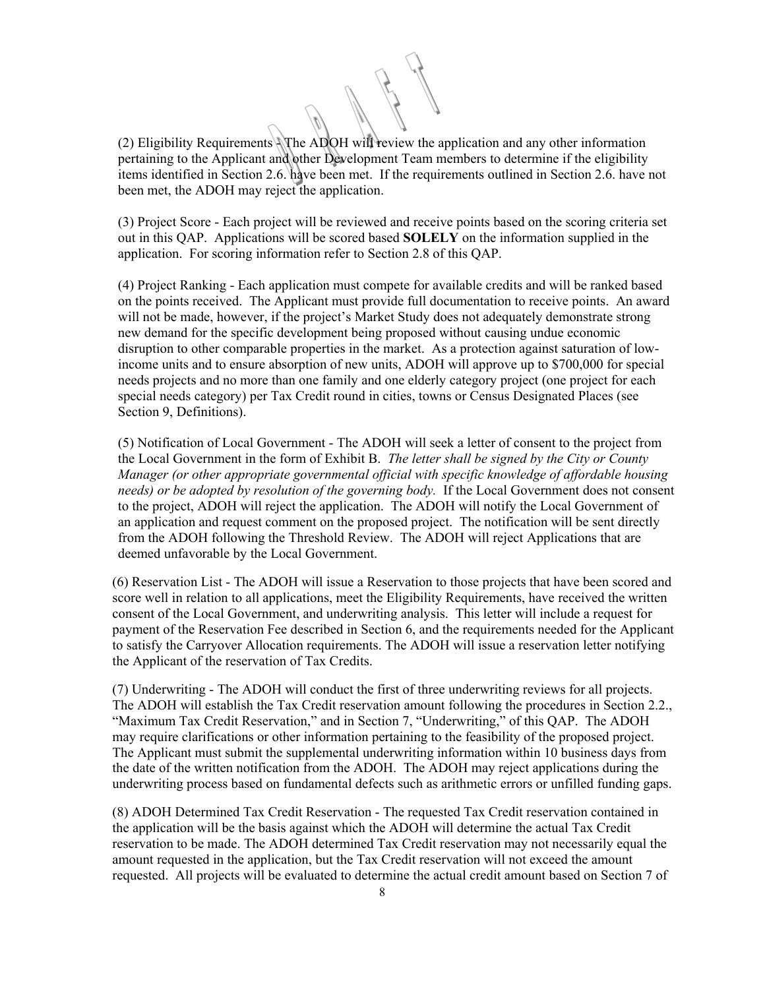(2) Eligibility Requirements  $\sqrt{\pi}$ he ADOH will review the application and any other information pertaining to the Applicant and other Development Team members to determine if the eligibility items identified in Section 2.6. have been met. If the requirements outlined in Section 2.6. have not been met, the ADOH may reject the application.

(3) Project Score - Each project will be reviewed and receive points based on the scoring criteria set out in this QAP. Applications will be scored based **SOLELY** on the information supplied in the application. For scoring information refer to Section 2.8 of this QAP.

(4) Project Ranking - Each application must compete for available credits and will be ranked based on the points received. The Applicant must provide full documentation to receive points. An award will not be made, however, if the project's Market Study does not adequately demonstrate strong new demand for the specific development being proposed without causing undue economic disruption to other comparable properties in the market. As a protection against saturation of lowincome units and to ensure absorption of new units, ADOH will approve up to \$700,000 for special needs projects and no more than one family and one elderly category project (one project for each special needs category) per Tax Credit round in cities, towns or Census Designated Places (see Section 9, Definitions).

(5) Notification of Local Government - The ADOH will seek a letter of consent to the project from the Local Government in the form of Exhibit B. *The letter shall be signed by the City or County Manager (or other appropriate governmental official with specific knowledge of affordable housing needs) or be adopted by resolution of the governing body.*If the Local Government does not consent to the project, ADOH will reject the application. The ADOH will notify the Local Government of an application and request comment on the proposed project. The notification will be sent directly from the ADOH following the Threshold Review. The ADOH will reject Applications that are deemed unfavorable by the Local Government.

(6) Reservation List - The ADOH will issue a Reservation to those projects that have been scored and score well in relation to all applications, meet the Eligibility Requirements, have received the written consent of the Local Government, and underwriting analysis. This letter will include a request for payment of the Reservation Fee described in Section 6, and the requirements needed for the Applicant to satisfy the Carryover Allocation requirements. The ADOH will issue a reservation letter notifying the Applicant of the reservation of Tax Credits.

(7) Underwriting - The ADOH will conduct the first of three underwriting reviews for all projects. The ADOH will establish the Tax Credit reservation amount following the procedures in Section 2.2., "Maximum Tax Credit Reservation," and in Section 7, "Underwriting," of this QAP. The ADOH may require clarifications or other information pertaining to the feasibility of the proposed project. The Applicant must submit the supplemental underwriting information within 10 business days from the date of the written notification from the ADOH. The ADOH may reject applications during the underwriting process based on fundamental defects such as arithmetic errors or unfilled funding gaps.

(8) ADOH Determined Tax Credit Reservation - The requested Tax Credit reservation contained in the application will be the basis against which the ADOH will determine the actual Tax Credit reservation to be made. The ADOH determined Tax Credit reservation may not necessarily equal the amount requested in the application, but the Tax Credit reservation will not exceed the amount requested. All projects will be evaluated to determine the actual credit amount based on Section 7 of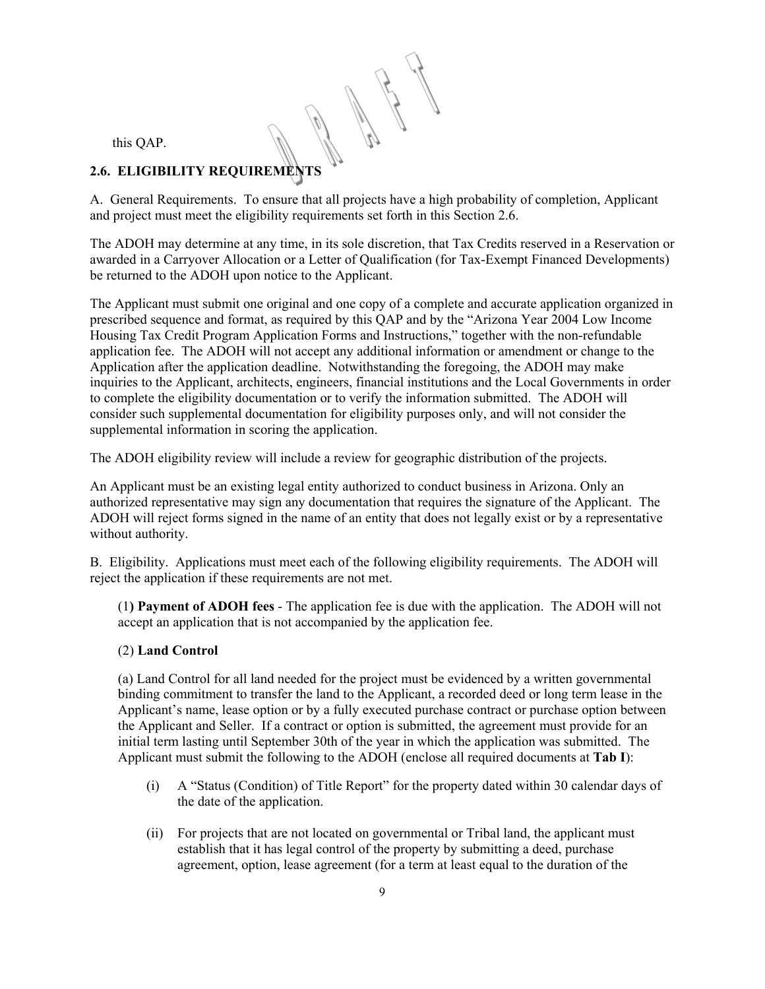this QAP.

# **2.6. ELIGIBILITY REQUIREMENTS**

A. General Requirements. To ensure that all projects have a high probability of completion, Applicant and project must meet the eligibility requirements set forth in this Section 2.6.

The ADOH may determine at any time, in its sole discretion, that Tax Credits reserved in a Reservation or awarded in a Carryover Allocation or a Letter of Qualification (for Tax-Exempt Financed Developments) be returned to the ADOH upon notice to the Applicant.

The Applicant must submit one original and one copy of a complete and accurate application organized in prescribed sequence and format, as required by this QAP and by the "Arizona Year 2004 Low Income Housing Tax Credit Program Application Forms and Instructions," together with the non-refundable application fee. The ADOH will not accept any additional information or amendment or change to the Application after the application deadline. Notwithstanding the foregoing, the ADOH may make inquiries to the Applicant, architects, engineers, financial institutions and the Local Governments in order to complete the eligibility documentation or to verify the information submitted. The ADOH will consider such supplemental documentation for eligibility purposes only, and will not consider the supplemental information in scoring the application.

The ADOH eligibility review will include a review for geographic distribution of the projects.

An Applicant must be an existing legal entity authorized to conduct business in Arizona. Only an authorized representative may sign any documentation that requires the signature of the Applicant. The ADOH will reject forms signed in the name of an entity that does not legally exist or by a representative without authority.

B. Eligibility. Applications must meet each of the following eligibility requirements. The ADOH will reject the application if these requirements are not met.

(1**) Payment of ADOH fees** - The application fee is due with the application. The ADOH will not accept an application that is not accompanied by the application fee.

# (2) **Land Control**

(a) Land Control for all land needed for the project must be evidenced by a written governmental binding commitment to transfer the land to the Applicant, a recorded deed or long term lease in the Applicant's name, lease option or by a fully executed purchase contract or purchase option between the Applicant and Seller. If a contract or option is submitted, the agreement must provide for an initial term lasting until September 30th of the year in which the application was submitted. The Applicant must submit the following to the ADOH (enclose all required documents at **Tab I**):

- (i) A "Status (Condition) of Title Report" for the property dated within 30 calendar days of the date of the application.
- (ii) For projects that are not located on governmental or Tribal land, the applicant must establish that it has legal control of the property by submitting a deed, purchase agreement, option, lease agreement (for a term at least equal to the duration of the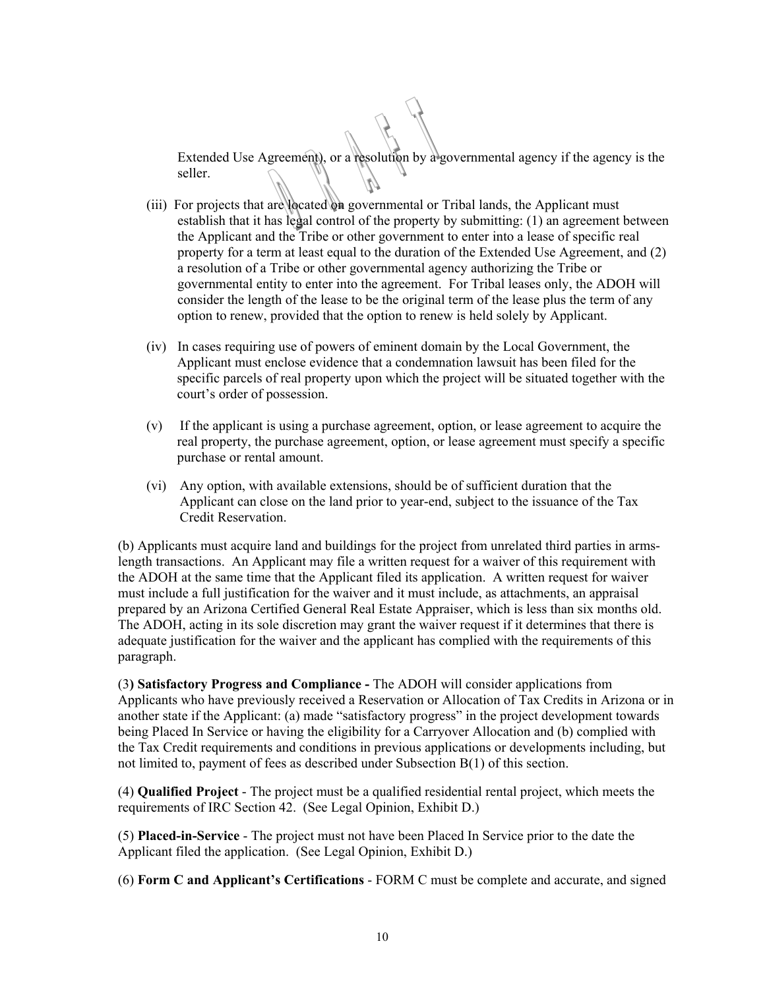Extended Use Agreement), or a resolution by a governmental agency if the agency is the seller.

- (iii) For projects that are located on governmental or Tribal lands, the Applicant must establish that it has legal control of the property by submitting: (1) an agreement between the Applicant and the Tribe or other government to enter into a lease of specific real property for a term at least equal to the duration of the Extended Use Agreement, and (2) a resolution of a Tribe or other governmental agency authorizing the Tribe or governmental entity to enter into the agreement. For Tribal leases only, the ADOH will consider the length of the lease to be the original term of the lease plus the term of any option to renew, provided that the option to renew is held solely by Applicant.
- (iv) In cases requiring use of powers of eminent domain by the Local Government, the Applicant must enclose evidence that a condemnation lawsuit has been filed for the specific parcels of real property upon which the project will be situated together with the court's order of possession.
- (v) If the applicant is using a purchase agreement, option, or lease agreement to acquire the real property, the purchase agreement, option, or lease agreement must specify a specific purchase or rental amount.
- (vi) Any option, with available extensions, should be of sufficient duration that the Applicant can close on the land prior to year-end, subject to the issuance of the Tax Credit Reservation.

(b) Applicants must acquire land and buildings for the project from unrelated third parties in armslength transactions. An Applicant may file a written request for a waiver of this requirement with the ADOH at the same time that the Applicant filed its application. A written request for waiver must include a full justification for the waiver and it must include, as attachments, an appraisal prepared by an Arizona Certified General Real Estate Appraiser, which is less than six months old. The ADOH, acting in its sole discretion may grant the waiver request if it determines that there is adequate justification for the waiver and the applicant has complied with the requirements of this paragraph.

(3**) Satisfactory Progress and Compliance -** The ADOH will consider applications from Applicants who have previously received a Reservation or Allocation of Tax Credits in Arizona or in another state if the Applicant: (a) made "satisfactory progress" in the project development towards being Placed In Service or having the eligibility for a Carryover Allocation and (b) complied with the Tax Credit requirements and conditions in previous applications or developments including, but not limited to, payment of fees as described under Subsection B(1) of this section.

(4) **Qualified Project** - The project must be a qualified residential rental project, which meets the requirements of IRC Section 42. (See Legal Opinion, Exhibit D.)

(5) **Placed-in-Service** - The project must not have been Placed In Service prior to the date the Applicant filed the application. (See Legal Opinion, Exhibit D.)

(6) **Form C and Applicant's Certifications** - FORM C must be complete and accurate, and signed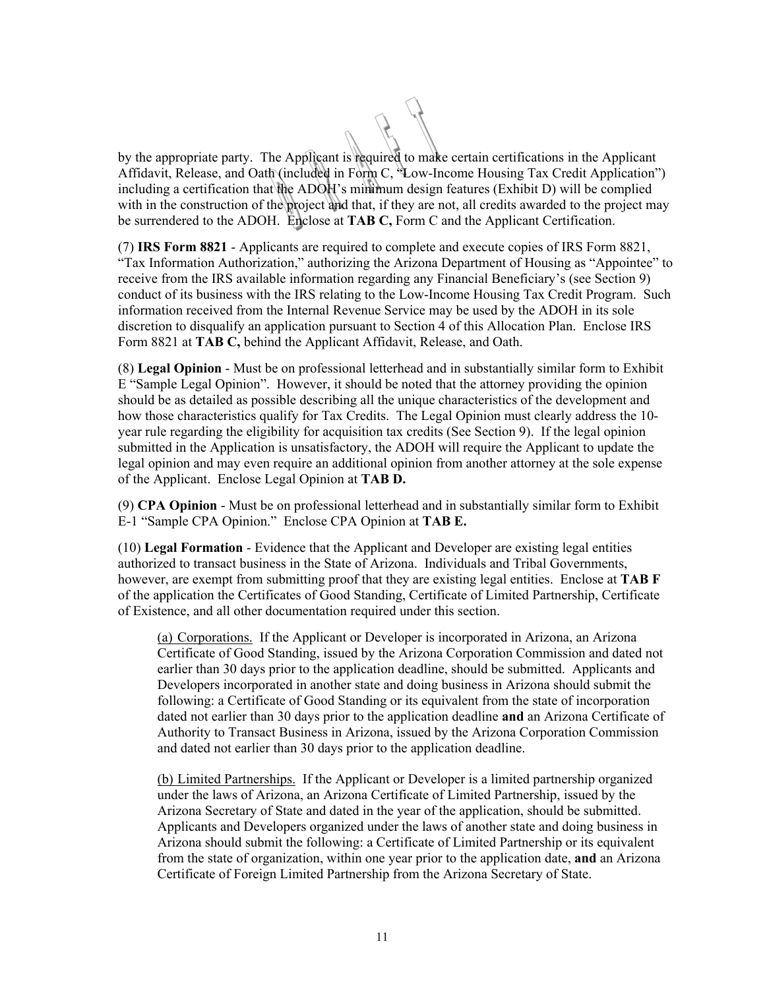by the appropriate party. The Applicant is required to make certain certifications in the Applicant Affidavit, Release, and Oath (included in Form C, "Low-Income Housing Tax Credit Application") including a certification that the ADOH's minimum design features (Exhibit D) will be complied with in the construction of the project and that, if they are not, all credits awarded to the project may be surrendered to the ADOH. Enclose at **TAB C,** Form C and the Applicant Certification.

(7) **IRS Form 8821** - Applicants are required to complete and execute copies of IRS Form 8821, "Tax Information Authorization," authorizing the Arizona Department of Housing as "Appointee" to receive from the IRS available information regarding any Financial Beneficiary's (see Section 9) conduct of its business with the IRS relating to the Low-Income Housing Tax Credit Program. Such information received from the Internal Revenue Service may be used by the ADOH in its sole discretion to disqualify an application pursuant to Section 4 of this Allocation Plan. Enclose IRS Form 8821 at **TAB C,** behind the Applicant Affidavit, Release, and Oath.

(8) **Legal Opinion** - Must be on professional letterhead and in substantially similar form to Exhibit E "Sample Legal Opinion". However, it should be noted that the attorney providing the opinion should be as detailed as possible describing all the unique characteristics of the development and how those characteristics qualify for Tax Credits. The Legal Opinion must clearly address the 10 year rule regarding the eligibility for acquisition tax credits (See Section 9). If the legal opinion submitted in the Application is unsatisfactory, the ADOH will require the Applicant to update the legal opinion and may even require an additional opinion from another attorney at the sole expense of the Applicant. Enclose Legal Opinion at **TAB D.**

(9) **CPA Opinion** - Must be on professional letterhead and in substantially similar form to Exhibit E-1 "Sample CPA Opinion." Enclose CPA Opinion at **TAB E.**

(10) **Legal Formation** - Evidence that the Applicant and Developer are existing legal entities authorized to transact business in the State of Arizona. Individuals and Tribal Governments, however, are exempt from submitting proof that they are existing legal entities. Enclose at **TAB F**  of the application the Certificates of Good Standing, Certificate of Limited Partnership, Certificate of Existence, and all other documentation required under this section.

(a) Corporations. If the Applicant or Developer is incorporated in Arizona, an Arizona Certificate of Good Standing, issued by the Arizona Corporation Commission and dated not earlier than 30 days prior to the application deadline, should be submitted. Applicants and Developers incorporated in another state and doing business in Arizona should submit the following: a Certificate of Good Standing or its equivalent from the state of incorporation dated not earlier than 30 days prior to the application deadline **and** an Arizona Certificate of Authority to Transact Business in Arizona, issued by the Arizona Corporation Commission and dated not earlier than 30 days prior to the application deadline.

(b) Limited Partnerships. If the Applicant or Developer is a limited partnership organized under the laws of Arizona, an Arizona Certificate of Limited Partnership, issued by the Arizona Secretary of State and dated in the year of the application, should be submitted. Applicants and Developers organized under the laws of another state and doing business in Arizona should submit the following: a Certificate of Limited Partnership or its equivalent from the state of organization, within one year prior to the application date, **and** an Arizona Certificate of Foreign Limited Partnership from the Arizona Secretary of State.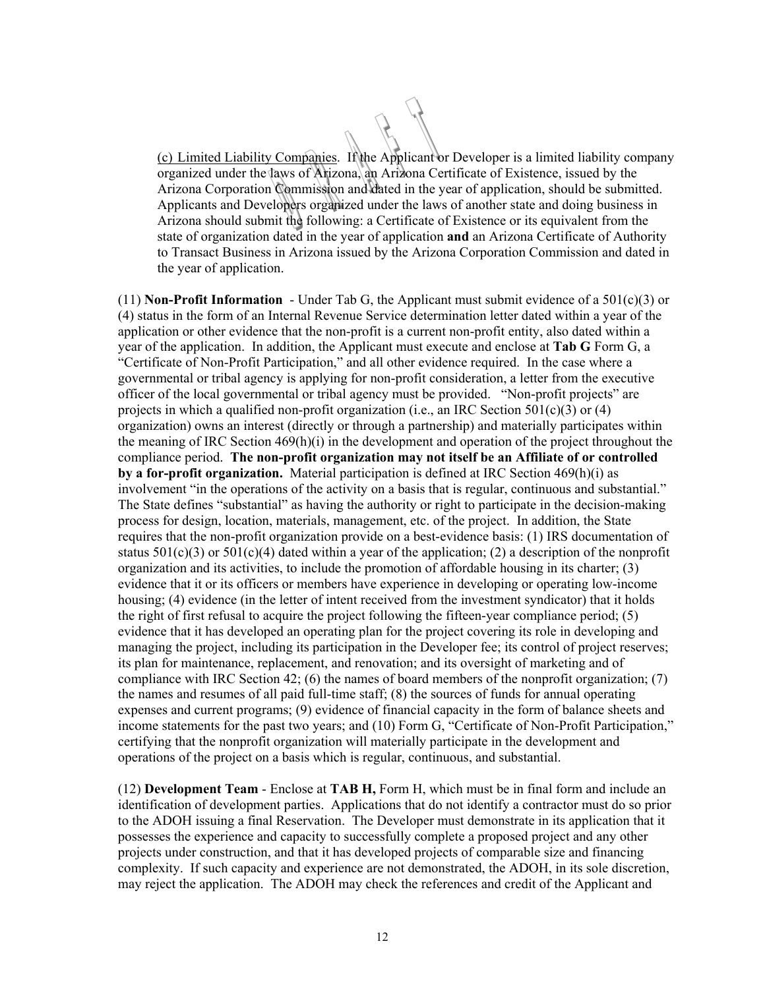(c) Limited Liability Companies. If the Applicant or Developer is a limited liability company organized under the laws of Arizona, an Arizona Certificate of Existence, issued by the Arizona Corporation Commission and dated in the year of application, should be submitted. Applicants and Developers organized under the laws of another state and doing business in Arizona should submit the following: a Certificate of Existence or its equivalent from the state of organization dated in the year of application **and** an Arizona Certificate of Authority to Transact Business in Arizona issued by the Arizona Corporation Commission and dated in the year of application.

(11) **Non-Profit Information** - Under Tab G, the Applicant must submit evidence of a  $501(c)(3)$  or (4) status in the form of an Internal Revenue Service determination letter dated within a year of the application or other evidence that the non-profit is a current non-profit entity, also dated within a year of the application. In addition, the Applicant must execute and enclose at **Tab G** Form G, a "Certificate of Non-Profit Participation," and all other evidence required. In the case where a governmental or tribal agency is applying for non-profit consideration, a letter from the executive officer of the local governmental or tribal agency must be provided. "Non-profit projects" are projects in which a qualified non-profit organization (i.e., an IRC Section 501(c)(3) or (4) organization) owns an interest (directly or through a partnership) and materially participates within the meaning of IRC Section 469(h)(i) in the development and operation of the project throughout the compliance period. **The non-profit organization may not itself be an Affiliate of or controlled by a for-profit organization.** Material participation is defined at IRC Section 469(h)(i) as involvement "in the operations of the activity on a basis that is regular, continuous and substantial." The State defines "substantial" as having the authority or right to participate in the decision-making process for design, location, materials, management, etc. of the project. In addition, the State requires that the non-profit organization provide on a best-evidence basis: (1) IRS documentation of status  $501(c)(3)$  or  $501(c)(4)$  dated within a year of the application; (2) a description of the nonprofit organization and its activities, to include the promotion of affordable housing in its charter; (3) evidence that it or its officers or members have experience in developing or operating low-income housing; (4) evidence (in the letter of intent received from the investment syndicator) that it holds the right of first refusal to acquire the project following the fifteen-year compliance period; (5) evidence that it has developed an operating plan for the project covering its role in developing and managing the project, including its participation in the Developer fee; its control of project reserves; its plan for maintenance, replacement, and renovation; and its oversight of marketing and of compliance with IRC Section 42; (6) the names of board members of the nonprofit organization; (7) the names and resumes of all paid full-time staff; (8) the sources of funds for annual operating expenses and current programs; (9) evidence of financial capacity in the form of balance sheets and income statements for the past two years; and (10) Form G, "Certificate of Non-Profit Participation," certifying that the nonprofit organization will materially participate in the development and operations of the project on a basis which is regular, continuous, and substantial.

(12) **Development Team** - Enclose at **TAB H,** Form H, which must be in final form and include an identification of development parties. Applications that do not identify a contractor must do so prior to the ADOH issuing a final Reservation. The Developer must demonstrate in its application that it possesses the experience and capacity to successfully complete a proposed project and any other projects under construction, and that it has developed projects of comparable size and financing complexity. If such capacity and experience are not demonstrated, the ADOH, in its sole discretion, may reject the application. The ADOH may check the references and credit of the Applicant and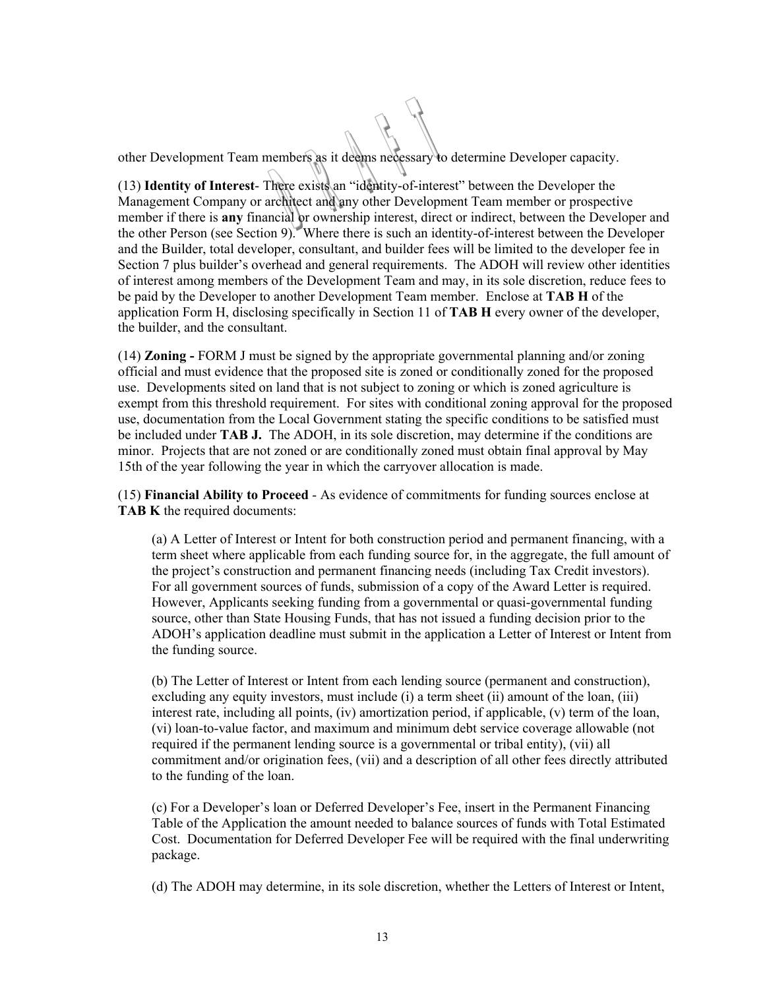other Development Team members as it deems necessary to determine Developer capacity.

(13) **Identity of Interest**- There exists an "identity-of-interest" between the Developer the Management Company or architect and any other Development Team member or prospective member if there is **any** financial or ownership interest, direct or indirect, between the Developer and the other Person (see Section 9). Where there is such an identity-of-interest between the Developer and the Builder, total developer, consultant, and builder fees will be limited to the developer fee in Section 7 plus builder's overhead and general requirements. The ADOH will review other identities of interest among members of the Development Team and may, in its sole discretion, reduce fees to be paid by the Developer to another Development Team member. Enclose at **TAB H** of the application Form H, disclosing specifically in Section 11 of **TAB H** every owner of the developer, the builder, and the consultant.

(14) **Zoning -** FORM J must be signed by the appropriate governmental planning and/or zoning official and must evidence that the proposed site is zoned or conditionally zoned for the proposed use. Developments sited on land that is not subject to zoning or which is zoned agriculture is exempt from this threshold requirement. For sites with conditional zoning approval for the proposed use, documentation from the Local Government stating the specific conditions to be satisfied must be included under **TAB J.** The ADOH, in its sole discretion, may determine if the conditions are minor. Projects that are not zoned or are conditionally zoned must obtain final approval by May 15th of the year following the year in which the carryover allocation is made.

(15) **Financial Ability to Proceed** - As evidence of commitments for funding sources enclose at **TAB K** the required documents:

(a) A Letter of Interest or Intent for both construction period and permanent financing, with a term sheet where applicable from each funding source for, in the aggregate, the full amount of the project's construction and permanent financing needs (including Tax Credit investors). For all government sources of funds, submission of a copy of the Award Letter is required. However, Applicants seeking funding from a governmental or quasi-governmental funding source, other than State Housing Funds, that has not issued a funding decision prior to the ADOH's application deadline must submit in the application a Letter of Interest or Intent from the funding source.

(b) The Letter of Interest or Intent from each lending source (permanent and construction), excluding any equity investors, must include (i) a term sheet (ii) amount of the loan, (iii) interest rate, including all points, (iv) amortization period, if applicable, (v) term of the loan, (vi) loan-to-value factor, and maximum and minimum debt service coverage allowable (not required if the permanent lending source is a governmental or tribal entity), (vii) all commitment and/or origination fees, (vii) and a description of all other fees directly attributed to the funding of the loan.

(c) For a Developer's loan or Deferred Developer's Fee, insert in the Permanent Financing Table of the Application the amount needed to balance sources of funds with Total Estimated Cost. Documentation for Deferred Developer Fee will be required with the final underwriting package.

(d) The ADOH may determine, in its sole discretion, whether the Letters of Interest or Intent,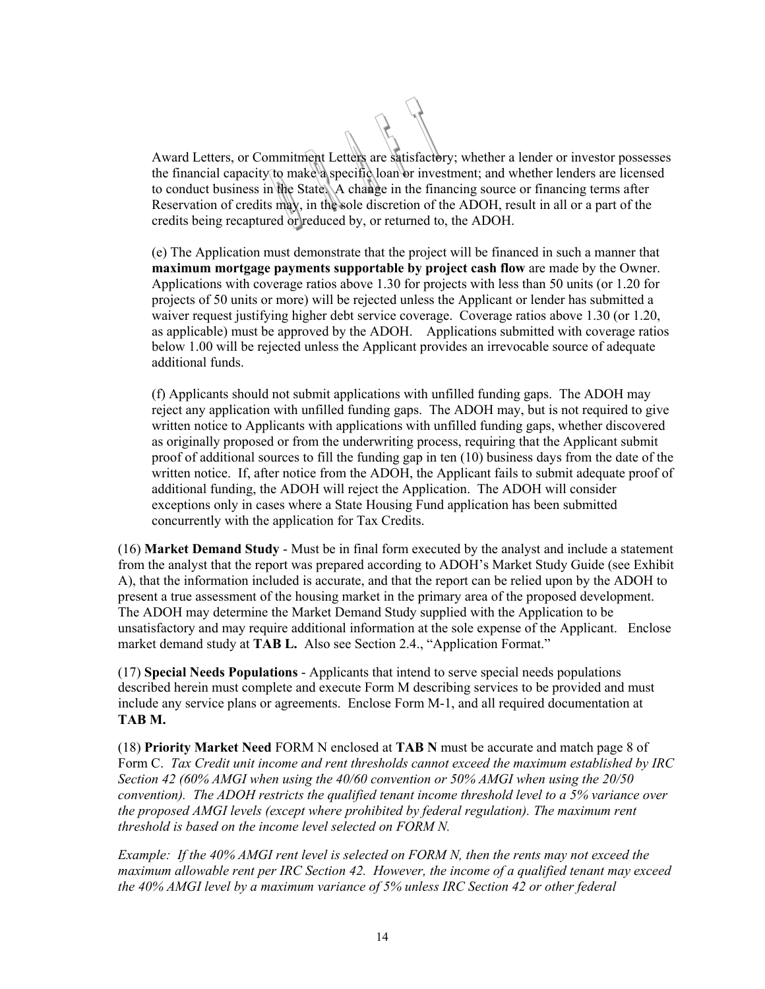Award Letters, or Commitment Letters are satisfactory; whether a lender or investor possesses the financial capacity to make a specific loan or investment; and whether lenders are licensed to conduct business in the State. A change in the financing source or financing terms after Reservation of credits may, in the sole discretion of the ADOH, result in all or a part of the credits being recaptured or reduced by, or returned to, the ADOH.

(e) The Application must demonstrate that the project will be financed in such a manner that **maximum mortgage payments supportable by project cash flow** are made by the Owner. Applications with coverage ratios above 1.30 for projects with less than 50 units (or 1.20 for projects of 50 units or more) will be rejected unless the Applicant or lender has submitted a waiver request justifying higher debt service coverage. Coverage ratios above 1.30 (or 1.20, as applicable) must be approved by the ADOH. Applications submitted with coverage ratios below 1.00 will be rejected unless the Applicant provides an irrevocable source of adequate additional funds.

(f) Applicants should not submit applications with unfilled funding gaps. The ADOH may reject any application with unfilled funding gaps. The ADOH may, but is not required to give written notice to Applicants with applications with unfilled funding gaps, whether discovered as originally proposed or from the underwriting process, requiring that the Applicant submit proof of additional sources to fill the funding gap in ten (10) business days from the date of the written notice. If, after notice from the ADOH, the Applicant fails to submit adequate proof of additional funding, the ADOH will reject the Application. The ADOH will consider exceptions only in cases where a State Housing Fund application has been submitted concurrently with the application for Tax Credits.

(16) **Market Demand Study** - Must be in final form executed by the analyst and include a statement from the analyst that the report was prepared according to ADOH's Market Study Guide (see Exhibit A), that the information included is accurate, and that the report can be relied upon by the ADOH to present a true assessment of the housing market in the primary area of the proposed development. The ADOH may determine the Market Demand Study supplied with the Application to be unsatisfactory and may require additional information at the sole expense of the Applicant. Enclose market demand study at **TAB L.** Also see Section 2.4., "Application Format."

(17) **Special Needs Populations** - Applicants that intend to serve special needs populations described herein must complete and execute Form M describing services to be provided and must include any service plans or agreements. Enclose Form M-1, and all required documentation at **TAB M.**

(18) **Priority Market Need** FORM N enclosed at **TAB N** must be accurate and match page 8 of Form C. *Tax Credit unit income and rent thresholds cannot exceed the maximum established by IRC Section 42 (60% AMGI when using the 40/60 convention or 50% AMGI when using the 20/50 convention). The ADOH restricts the qualified tenant income threshold level to a 5% variance over the proposed AMGI levels (except where prohibited by federal regulation). The maximum rent threshold is based on the income level selected on FORM N.* 

*Example: If the 40% AMGI rent level is selected on FORM N, then the rents may not exceed the maximum allowable rent per IRC Section 42. However, the income of a qualified tenant may exceed the 40% AMGI level by a maximum variance of 5% unless IRC Section 42 or other federal*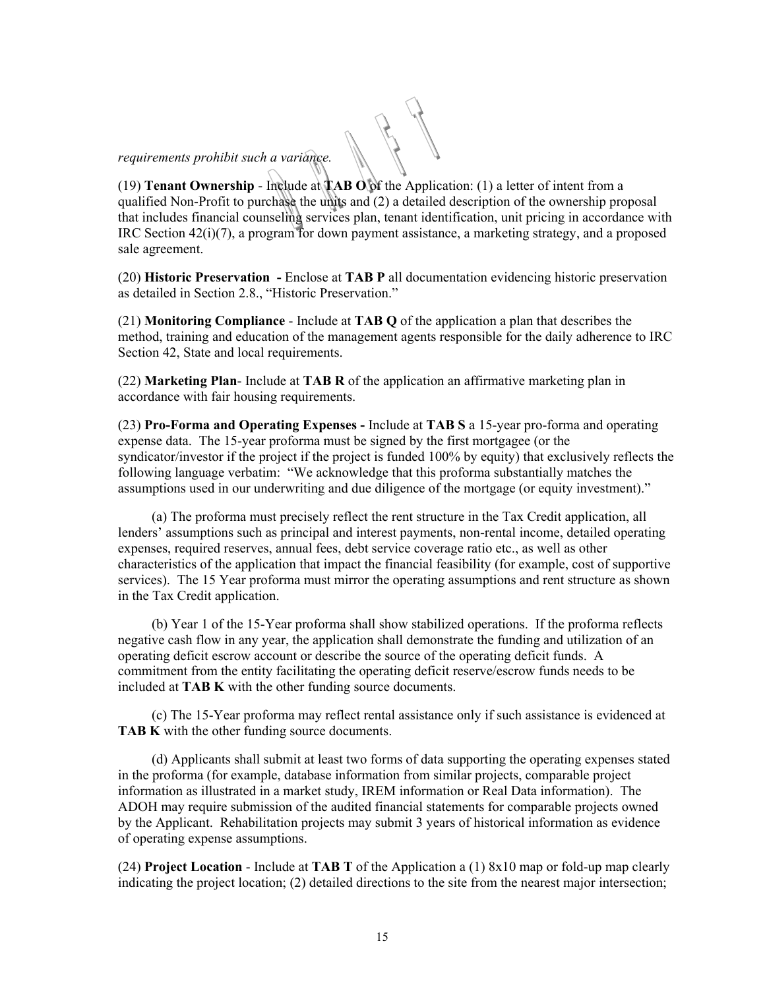# *requirements prohibit such a variance.*

(19) **Tenant Ownership** - Include at **TAB O** of the Application: (1) a letter of intent from a qualified Non-Profit to purchase the units and (2) a detailed description of the ownership proposal that includes financial counseling services plan, tenant identification, unit pricing in accordance with IRC Section 42(i)(7), a program for down payment assistance, a marketing strategy, and a proposed sale agreement.

(20) **Historic Preservation -** Enclose at **TAB P** all documentation evidencing historic preservation as detailed in Section 2.8., "Historic Preservation."

(21) **Monitoring Compliance** - Include at **TAB Q** of the application a plan that describes the method, training and education of the management agents responsible for the daily adherence to IRC Section 42, State and local requirements.

(22) **Marketing Plan**- Include at **TAB R** of the application an affirmative marketing plan in accordance with fair housing requirements.

(23) **Pro-Forma and Operating Expenses -** Include at **TAB S** a 15-year pro-forma and operating expense data. The 15-year proforma must be signed by the first mortgagee (or the syndicator/investor if the project if the project is funded 100% by equity) that exclusively reflects the following language verbatim: "We acknowledge that this proforma substantially matches the assumptions used in our underwriting and due diligence of the mortgage (or equity investment)."

(a) The proforma must precisely reflect the rent structure in the Tax Credit application, all lenders' assumptions such as principal and interest payments, non-rental income, detailed operating expenses, required reserves, annual fees, debt service coverage ratio etc., as well as other characteristics of the application that impact the financial feasibility (for example, cost of supportive services). The 15 Year proforma must mirror the operating assumptions and rent structure as shown in the Tax Credit application.

(b) Year 1 of the 15-Year proforma shall show stabilized operations. If the proforma reflects negative cash flow in any year, the application shall demonstrate the funding and utilization of an operating deficit escrow account or describe the source of the operating deficit funds. A commitment from the entity facilitating the operating deficit reserve/escrow funds needs to be included at **TAB K** with the other funding source documents.

(c) The 15-Year proforma may reflect rental assistance only if such assistance is evidenced at **TAB K** with the other funding source documents.

(d) Applicants shall submit at least two forms of data supporting the operating expenses stated in the proforma (for example, database information from similar projects, comparable project information as illustrated in a market study, IREM information or Real Data information). The ADOH may require submission of the audited financial statements for comparable projects owned by the Applicant. Rehabilitation projects may submit 3 years of historical information as evidence of operating expense assumptions.

(24) **Project Location** - Include at **TAB T** of the Application a (1) 8x10 map or fold-up map clearly indicating the project location; (2) detailed directions to the site from the nearest major intersection;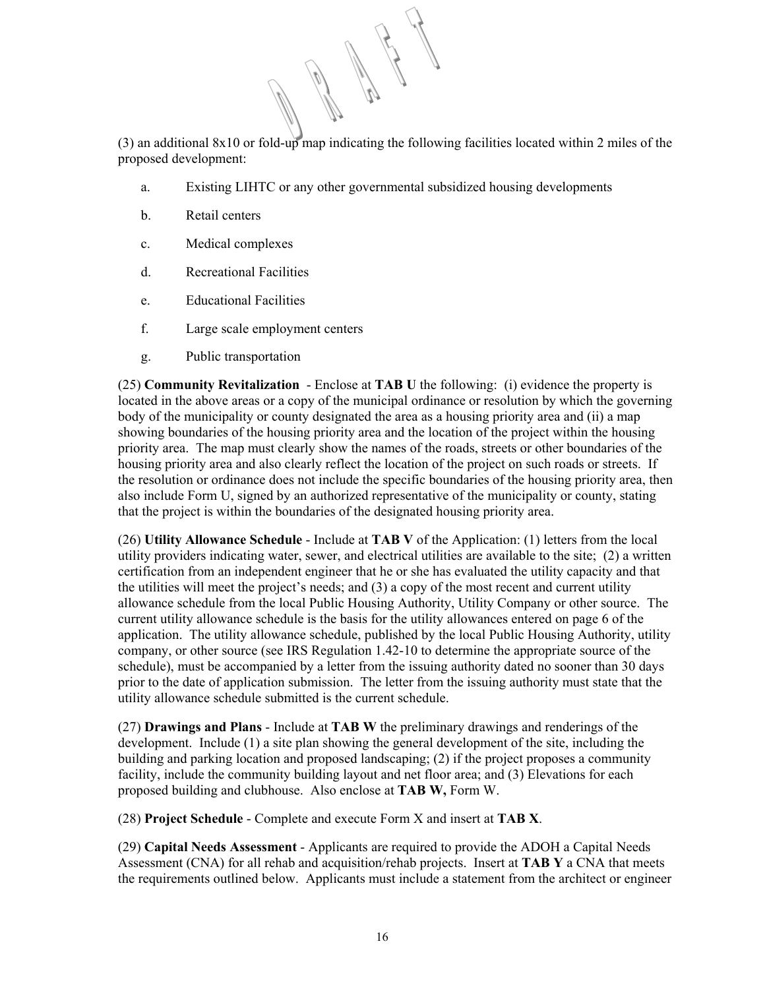(3) an additional 8x10 or fold-up map indicating the following facilities located within 2 miles of the proposed development:

- a. Existing LIHTC or any other governmental subsidized housing developments
- b. Retail centers
- c. Medical complexes
- d. Recreational Facilities
- e. Educational Facilities
- f. Large scale employment centers
- g. Public transportation

(25) **Community Revitalization** - Enclose at **TAB U** the following: (i) evidence the property is located in the above areas or a copy of the municipal ordinance or resolution by which the governing body of the municipality or county designated the area as a housing priority area and (ii) a map showing boundaries of the housing priority area and the location of the project within the housing priority area. The map must clearly show the names of the roads, streets or other boundaries of the housing priority area and also clearly reflect the location of the project on such roads or streets. If the resolution or ordinance does not include the specific boundaries of the housing priority area, then also include Form U, signed by an authorized representative of the municipality or county, stating that the project is within the boundaries of the designated housing priority area.

(26) **Utility Allowance Schedule** - Include at **TAB V** of the Application: (1) letters from the local utility providers indicating water, sewer, and electrical utilities are available to the site; (2) a written certification from an independent engineer that he or she has evaluated the utility capacity and that the utilities will meet the project's needs; and (3) a copy of the most recent and current utility allowance schedule from the local Public Housing Authority, Utility Company or other source. The current utility allowance schedule is the basis for the utility allowances entered on page 6 of the application. The utility allowance schedule, published by the local Public Housing Authority, utility company, or other source (see IRS Regulation 1.42-10 to determine the appropriate source of the schedule), must be accompanied by a letter from the issuing authority dated no sooner than 30 days prior to the date of application submission. The letter from the issuing authority must state that the utility allowance schedule submitted is the current schedule.

(27) **Drawings and Plans** - Include at **TAB W** the preliminary drawings and renderings of the development. Include (1) a site plan showing the general development of the site, including the building and parking location and proposed landscaping; (2) if the project proposes a community facility, include the community building layout and net floor area; and (3) Elevations for each proposed building and clubhouse. Also enclose at **TAB W,** Form W.

(28) **Project Schedule** - Complete and execute Form X and insert at **TAB X**.

(29) **Capital Needs Assessment** - Applicants are required to provide the ADOH a Capital Needs Assessment (CNA) for all rehab and acquisition/rehab projects. Insert at **TAB Y** a CNA that meets the requirements outlined below. Applicants must include a statement from the architect or engineer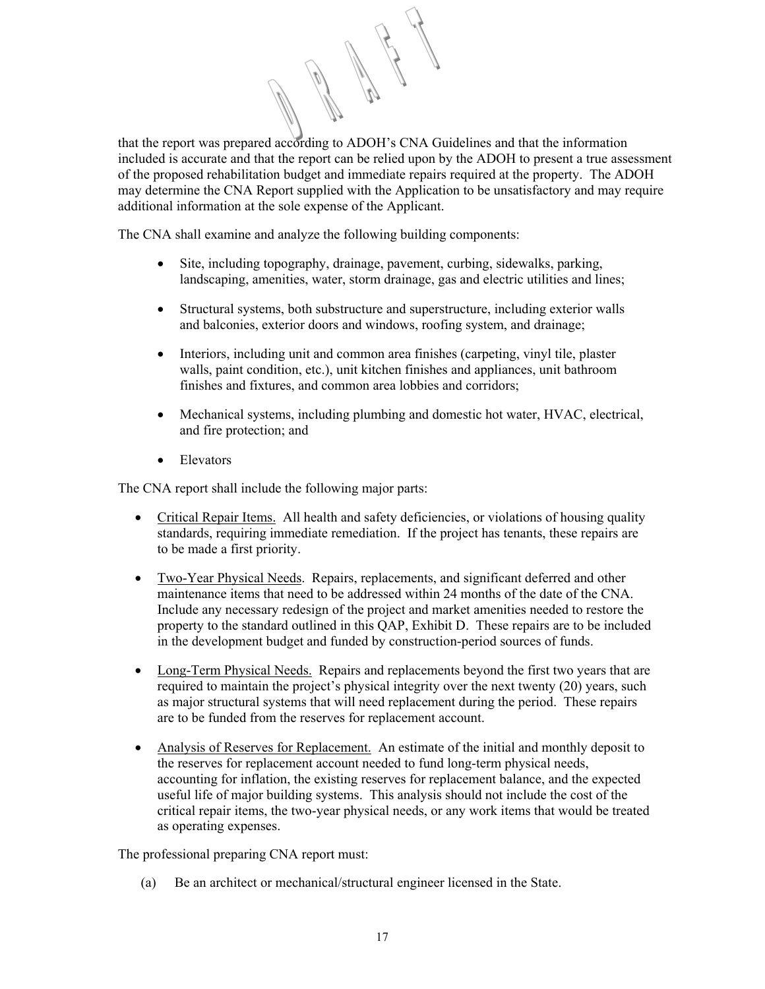that the report was prepared according to ADOH's CNA Guidelines and that the information included is accurate and that the report can be relied upon by the ADOH to present a true assessment of the proposed rehabilitation budget and immediate repairs required at the property. The ADOH may determine the CNA Report supplied with the Application to be unsatisfactory and may require additional information at the sole expense of the Applicant.

The CNA shall examine and analyze the following building components:

- Site, including topography, drainage, pavement, curbing, sidewalks, parking, landscaping, amenities, water, storm drainage, gas and electric utilities and lines;
- Structural systems, both substructure and superstructure, including exterior walls and balconies, exterior doors and windows, roofing system, and drainage;
- Interiors, including unit and common area finishes (carpeting, vinyl tile, plaster walls, paint condition, etc.), unit kitchen finishes and appliances, unit bathroom finishes and fixtures, and common area lobbies and corridors;
- Mechanical systems, including plumbing and domestic hot water, HVAC, electrical, and fire protection; and
- Elevators

The CNA report shall include the following major parts:

- Critical Repair Items. All health and safety deficiencies, or violations of housing quality standards, requiring immediate remediation. If the project has tenants, these repairs are to be made a first priority.
- Two-Year Physical Needs. Repairs, replacements, and significant deferred and other maintenance items that need to be addressed within 24 months of the date of the CNA. Include any necessary redesign of the project and market amenities needed to restore the property to the standard outlined in this QAP, Exhibit D. These repairs are to be included in the development budget and funded by construction-period sources of funds.
- Long-Term Physical Needs. Repairs and replacements beyond the first two years that are required to maintain the project's physical integrity over the next twenty (20) years, such as major structural systems that will need replacement during the period. These repairs are to be funded from the reserves for replacement account.
- Analysis of Reserves for Replacement. An estimate of the initial and monthly deposit to the reserves for replacement account needed to fund long-term physical needs, accounting for inflation, the existing reserves for replacement balance, and the expected useful life of major building systems. This analysis should not include the cost of the critical repair items, the two-year physical needs, or any work items that would be treated as operating expenses.

The professional preparing CNA report must:

(a) Be an architect or mechanical/structural engineer licensed in the State.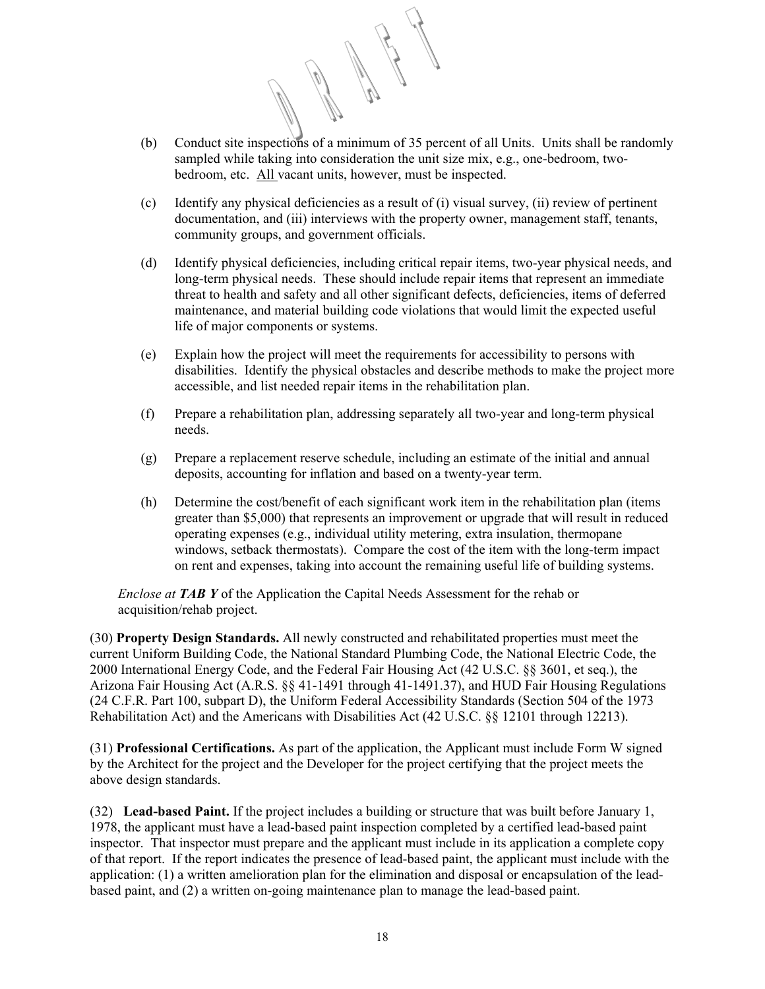- (b) Conduct site inspections of a minimum of 35 percent of all Units. Units shall be randomly sampled while taking into consideration the unit size mix, e.g., one-bedroom, twobedroom, etc. All vacant units, however, must be inspected.
- (c) Identify any physical deficiencies as a result of (i) visual survey, (ii) review of pertinent documentation, and (iii) interviews with the property owner, management staff, tenants, community groups, and government officials.
- (d) Identify physical deficiencies, including critical repair items, two-year physical needs, and long-term physical needs. These should include repair items that represent an immediate threat to health and safety and all other significant defects, deficiencies, items of deferred maintenance, and material building code violations that would limit the expected useful life of major components or systems.
- (e) Explain how the project will meet the requirements for accessibility to persons with disabilities. Identify the physical obstacles and describe methods to make the project more accessible, and list needed repair items in the rehabilitation plan.
- (f) Prepare a rehabilitation plan, addressing separately all two-year and long-term physical needs.
- (g) Prepare a replacement reserve schedule, including an estimate of the initial and annual deposits, accounting for inflation and based on a twenty-year term.
- (h) Determine the cost/benefit of each significant work item in the rehabilitation plan (items greater than \$5,000) that represents an improvement or upgrade that will result in reduced operating expenses (e.g., individual utility metering, extra insulation, thermopane windows, setback thermostats). Compare the cost of the item with the long-term impact on rent and expenses, taking into account the remaining useful life of building systems.

*Enclose at TAB Y* of the Application the Capital Needs Assessment for the rehab or acquisition/rehab project.

(30) **Property Design Standards.** All newly constructed and rehabilitated properties must meet the current Uniform Building Code, the National Standard Plumbing Code, the National Electric Code, the 2000 International Energy Code, and the Federal Fair Housing Act (42 U.S.C. §§ 3601, et seq.), the Arizona Fair Housing Act (A.R.S. §§ 41-1491 through 41-1491.37), and HUD Fair Housing Regulations (24 C.F.R. Part 100, subpart D), the Uniform Federal Accessibility Standards (Section 504 of the 1973 Rehabilitation Act) and the Americans with Disabilities Act (42 U.S.C. §§ 12101 through 12213).

(31) **Professional Certifications.** As part of the application, the Applicant must include Form W signed by the Architect for the project and the Developer for the project certifying that the project meets the above design standards.

(32) **Lead-based Paint.** If the project includes a building or structure that was built before January 1, 1978, the applicant must have a lead-based paint inspection completed by a certified lead-based paint inspector. That inspector must prepare and the applicant must include in its application a complete copy of that report. If the report indicates the presence of lead-based paint, the applicant must include with the application: (1) a written amelioration plan for the elimination and disposal or encapsulation of the leadbased paint, and (2) a written on-going maintenance plan to manage the lead-based paint.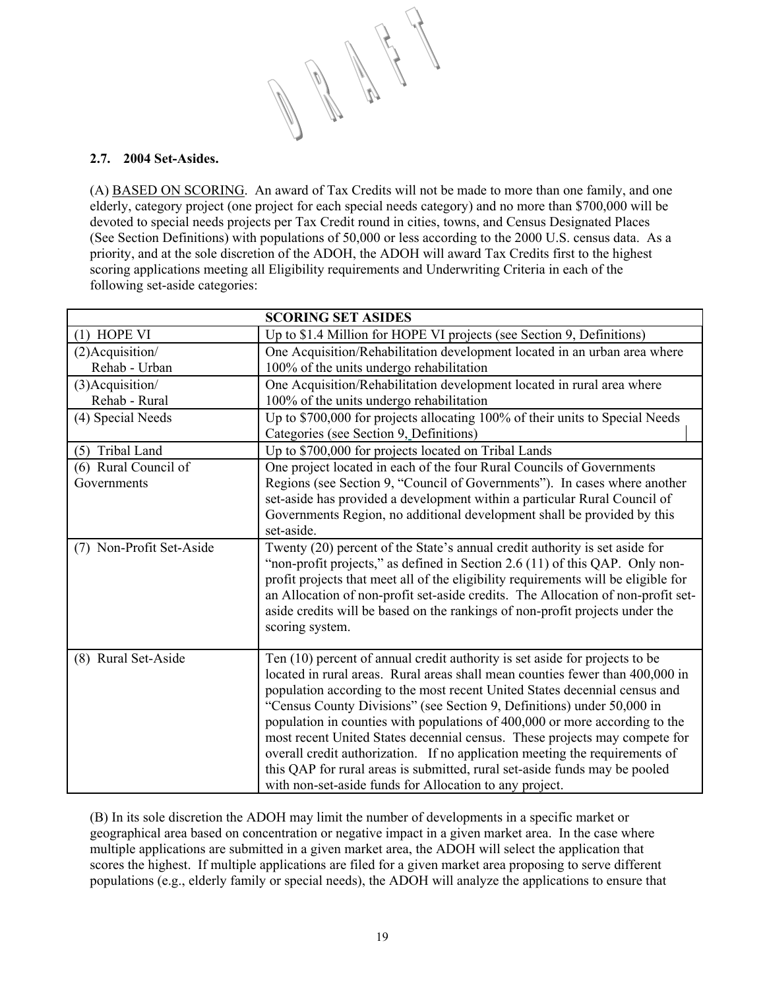# **2.7. 2004 Set-Asides.**

(A) BASED ON SCORING. An award of Tax Credits will not be made to more than one family, and one elderly, category project (one project for each special needs category) and no more than \$700,000 will be devoted to special needs projects per Tax Credit round in cities, towns, and Census Designated Places (See Section Definitions) with populations of 50,000 or less according to the 2000 U.S. census data. As a priority, and at the sole discretion of the ADOH, the ADOH will award Tax Credits first to the highest scoring applications meeting all Eligibility requirements and Underwriting Criteria in each of the following set-aside categories:

| <b>SCORING SET ASIDES</b> |                                                                                                                                                                                                                                                                                                                                                                                                                                                                                                                                                                                                                                                                                                           |  |
|---------------------------|-----------------------------------------------------------------------------------------------------------------------------------------------------------------------------------------------------------------------------------------------------------------------------------------------------------------------------------------------------------------------------------------------------------------------------------------------------------------------------------------------------------------------------------------------------------------------------------------------------------------------------------------------------------------------------------------------------------|--|
| $(1)$ HOPE VI             | Up to \$1.4 Million for HOPE VI projects (see Section 9, Definitions)                                                                                                                                                                                                                                                                                                                                                                                                                                                                                                                                                                                                                                     |  |
| $(2)$ Acquisition/        | One Acquisition/Rehabilitation development located in an urban area where                                                                                                                                                                                                                                                                                                                                                                                                                                                                                                                                                                                                                                 |  |
| Rehab - Urban             | 100% of the units undergo rehabilitation                                                                                                                                                                                                                                                                                                                                                                                                                                                                                                                                                                                                                                                                  |  |
| (3) Acquisition/          | One Acquisition/Rehabilitation development located in rural area where                                                                                                                                                                                                                                                                                                                                                                                                                                                                                                                                                                                                                                    |  |
| Rehab - Rural             | 100% of the units undergo rehabilitation                                                                                                                                                                                                                                                                                                                                                                                                                                                                                                                                                                                                                                                                  |  |
| (4) Special Needs         | Up to \$700,000 for projects allocating 100% of their units to Special Needs                                                                                                                                                                                                                                                                                                                                                                                                                                                                                                                                                                                                                              |  |
|                           | Categories (see Section 9, Definitions)                                                                                                                                                                                                                                                                                                                                                                                                                                                                                                                                                                                                                                                                   |  |
| (5) Tribal Land           | Up to \$700,000 for projects located on Tribal Lands                                                                                                                                                                                                                                                                                                                                                                                                                                                                                                                                                                                                                                                      |  |
| (6) Rural Council of      | One project located in each of the four Rural Councils of Governments                                                                                                                                                                                                                                                                                                                                                                                                                                                                                                                                                                                                                                     |  |
| Governments               | Regions (see Section 9, "Council of Governments"). In cases where another                                                                                                                                                                                                                                                                                                                                                                                                                                                                                                                                                                                                                                 |  |
|                           | set-aside has provided a development within a particular Rural Council of                                                                                                                                                                                                                                                                                                                                                                                                                                                                                                                                                                                                                                 |  |
|                           | Governments Region, no additional development shall be provided by this                                                                                                                                                                                                                                                                                                                                                                                                                                                                                                                                                                                                                                   |  |
|                           | set-aside.                                                                                                                                                                                                                                                                                                                                                                                                                                                                                                                                                                                                                                                                                                |  |
| (7) Non-Profit Set-Aside  | Twenty (20) percent of the State's annual credit authority is set aside for<br>"non-profit projects," as defined in Section 2.6 (11) of this QAP. Only non-<br>profit projects that meet all of the eligibility requirements will be eligible for<br>an Allocation of non-profit set-aside credits. The Allocation of non-profit set-<br>aside credits will be based on the rankings of non-profit projects under the<br>scoring system.                                                                                                                                                                                                                                                                  |  |
| (8) Rural Set-Aside       | Ten (10) percent of annual credit authority is set aside for projects to be<br>located in rural areas. Rural areas shall mean counties fewer than 400,000 in<br>population according to the most recent United States decennial census and<br>"Census County Divisions" (see Section 9, Definitions) under 50,000 in<br>population in counties with populations of 400,000 or more according to the<br>most recent United States decennial census. These projects may compete for<br>overall credit authorization. If no application meeting the requirements of<br>this QAP for rural areas is submitted, rural set-aside funds may be pooled<br>with non-set-aside funds for Allocation to any project. |  |

(B) In its sole discretion the ADOH may limit the number of developments in a specific market or geographical area based on concentration or negative impact in a given market area. In the case where multiple applications are submitted in a given market area, the ADOH will select the application that scores the highest. If multiple applications are filed for a given market area proposing to serve different populations (e.g., elderly family or special needs), the ADOH will analyze the applications to ensure that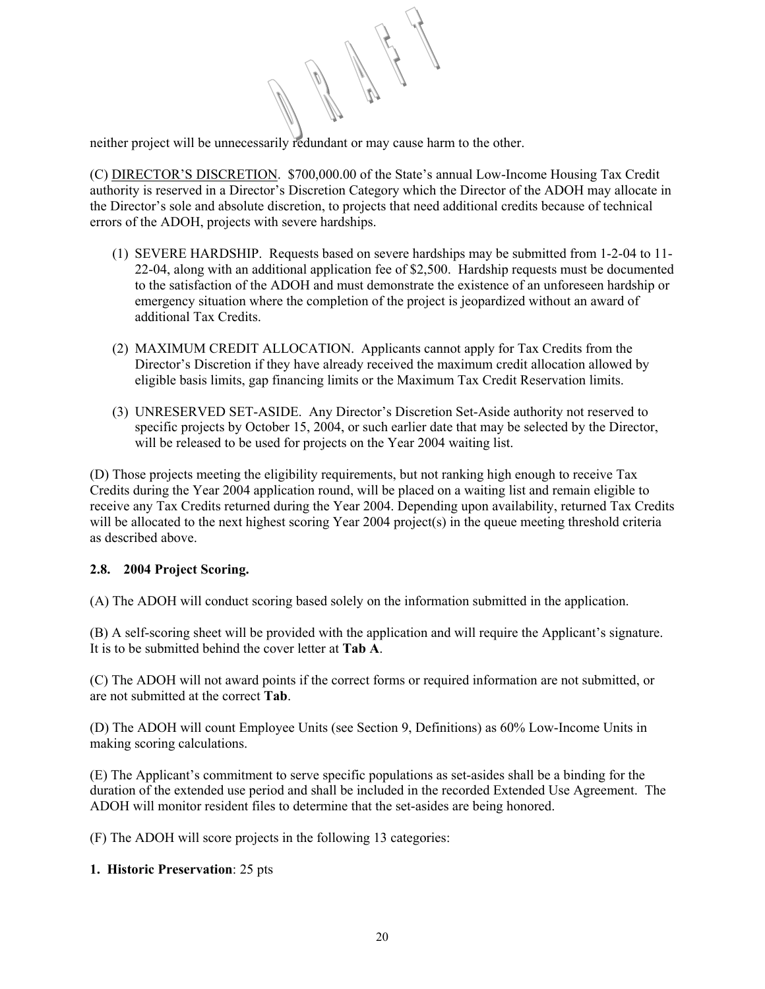neither project will be unnecessarily redundant or may cause harm to the other.

(C) DIRECTOR'S DISCRETION. \$700,000.00 of the State's annual Low-Income Housing Tax Credit authority is reserved in a Director's Discretion Category which the Director of the ADOH may allocate in the Director's sole and absolute discretion, to projects that need additional credits because of technical errors of the ADOH, projects with severe hardships.

- (1) SEVERE HARDSHIP. Requests based on severe hardships may be submitted from 1-2-04 to 11- 22-04, along with an additional application fee of \$2,500. Hardship requests must be documented to the satisfaction of the ADOH and must demonstrate the existence of an unforeseen hardship or emergency situation where the completion of the project is jeopardized without an award of additional Tax Credits.
- (2) MAXIMUM CREDIT ALLOCATION. Applicants cannot apply for Tax Credits from the Director's Discretion if they have already received the maximum credit allocation allowed by eligible basis limits, gap financing limits or the Maximum Tax Credit Reservation limits.
- (3) UNRESERVED SET-ASIDE. Any Director's Discretion Set-Aside authority not reserved to specific projects by October 15, 2004, or such earlier date that may be selected by the Director, will be released to be used for projects on the Year 2004 waiting list.

(D) Those projects meeting the eligibility requirements, but not ranking high enough to receive Tax Credits during the Year 2004 application round, will be placed on a waiting list and remain eligible to receive any Tax Credits returned during the Year 2004. Depending upon availability, returned Tax Credits will be allocated to the next highest scoring Year 2004 project(s) in the queue meeting threshold criteria as described above.

# **2.8. 2004 Project Scoring.**

(A) The ADOH will conduct scoring based solely on the information submitted in the application.

(B) A self-scoring sheet will be provided with the application and will require the Applicant's signature. It is to be submitted behind the cover letter at **Tab A**.

(C) The ADOH will not award points if the correct forms or required information are not submitted, or are not submitted at the correct **Tab**.

(D) The ADOH will count Employee Units (see Section 9, Definitions) as 60% Low-Income Units in making scoring calculations.

(E) The Applicant's commitment to serve specific populations as set-asides shall be a binding for the duration of the extended use period and shall be included in the recorded Extended Use Agreement. The ADOH will monitor resident files to determine that the set-asides are being honored.

(F) The ADOH will score projects in the following 13 categories:

# **1. Historic Preservation**: 25 pts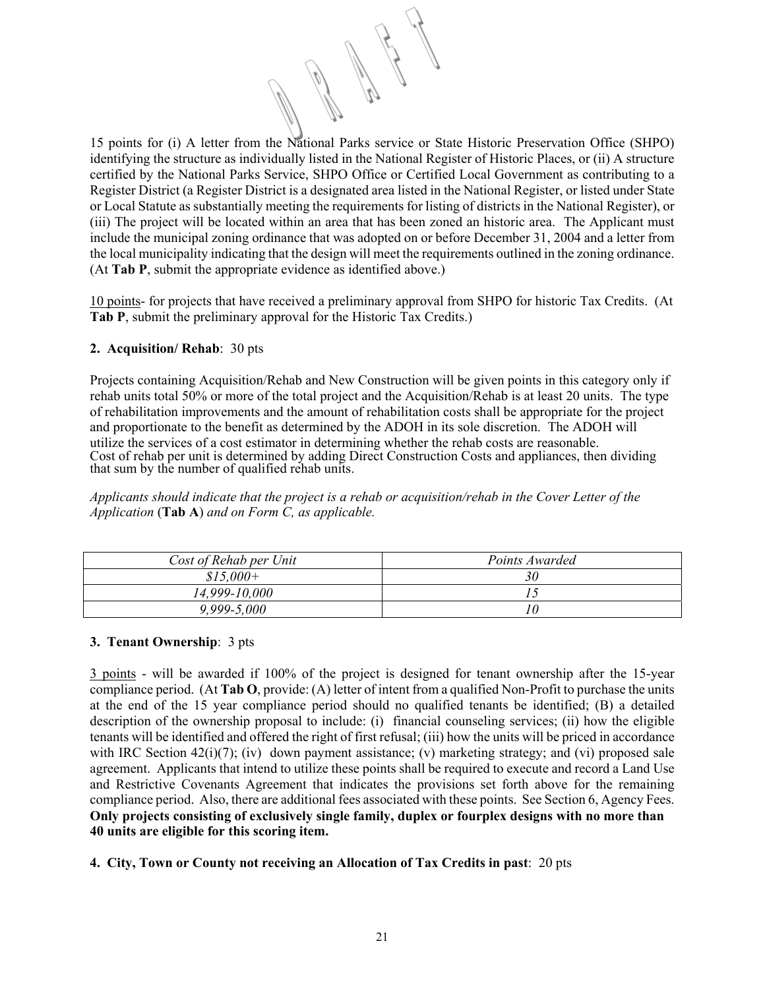15 points for (i) A letter from the National Parks service or State Historic Preservation Office (SHPO) identifying the structure as individually listed in the National Register of Historic Places, or (ii) A structure certified by the National Parks Service, SHPO Office or Certified Local Government as contributing to a Register District (a Register District is a designated area listed in the National Register, or listed under State or Local Statute as substantially meeting the requirements for listing of districts in the National Register), or (iii) The project will be located within an area that has been zoned an historic area. The Applicant must include the municipal zoning ordinance that was adopted on or before December 31, 2004 and a letter from the local municipality indicating that the design will meet the requirements outlined in the zoning ordinance. (At **Tab P**, submit the appropriate evidence as identified above.)

10 points- for projects that have received a preliminary approval from SHPO for historic Tax Credits. (At **Tab P**, submit the preliminary approval for the Historic Tax Credits.)

# **2. Acquisition/ Rehab**: 30 pts

Projects containing Acquisition/Rehab and New Construction will be given points in this category only if rehab units total 50% or more of the total project and the Acquisition/Rehab is at least 20 units. The type of rehabilitation improvements and the amount of rehabilitation costs shall be appropriate for the project and proportionate to the benefit as determined by the ADOH in its sole discretion. The ADOH will utilize the services of a cost estimator in determining whether the rehab costs are reasonable. Cost of rehab per unit is determined by adding Direct Construction Costs and appliances, then dividing that sum by the number of qualified rehab units.

*Applicants should indicate that the project is a rehab or acquisition/rehab in the Cover Letter of the Application* (**Tab A**) *and on Form C, as applicable.* 

| Cost of Rehab per Unit | Points Awarded |
|------------------------|----------------|
| $$15,000+$             | 30             |
| 14,999-10,000          |                |
| $9,999 - 5,000$        | 10             |

# **3. Tenant Ownership**: 3 pts

3 points - will be awarded if 100% of the project is designed for tenant ownership after the 15-year compliance period. (At **Tab O**, provide: (A) letter of intent from a qualified Non-Profit to purchase the units at the end of the 15 year compliance period should no qualified tenants be identified; (B) a detailed description of the ownership proposal to include: (i) financial counseling services; (ii) how the eligible tenants will be identified and offered the right of first refusal; (iii) how the units will be priced in accordance with IRC Section  $42(i)(7)$ ; (iv) down payment assistance; (v) marketing strategy; and (vi) proposed sale agreement. Applicants that intend to utilize these points shall be required to execute and record a Land Use and Restrictive Covenants Agreement that indicates the provisions set forth above for the remaining compliance period. Also, there are additional fees associated with these points. See Section 6, Agency Fees. **Only projects consisting of exclusively single family, duplex or fourplex designs with no more than 40 units are eligible for this scoring item.** 

# **4. City, Town or County not receiving an Allocation of Tax Credits in past**: 20 pts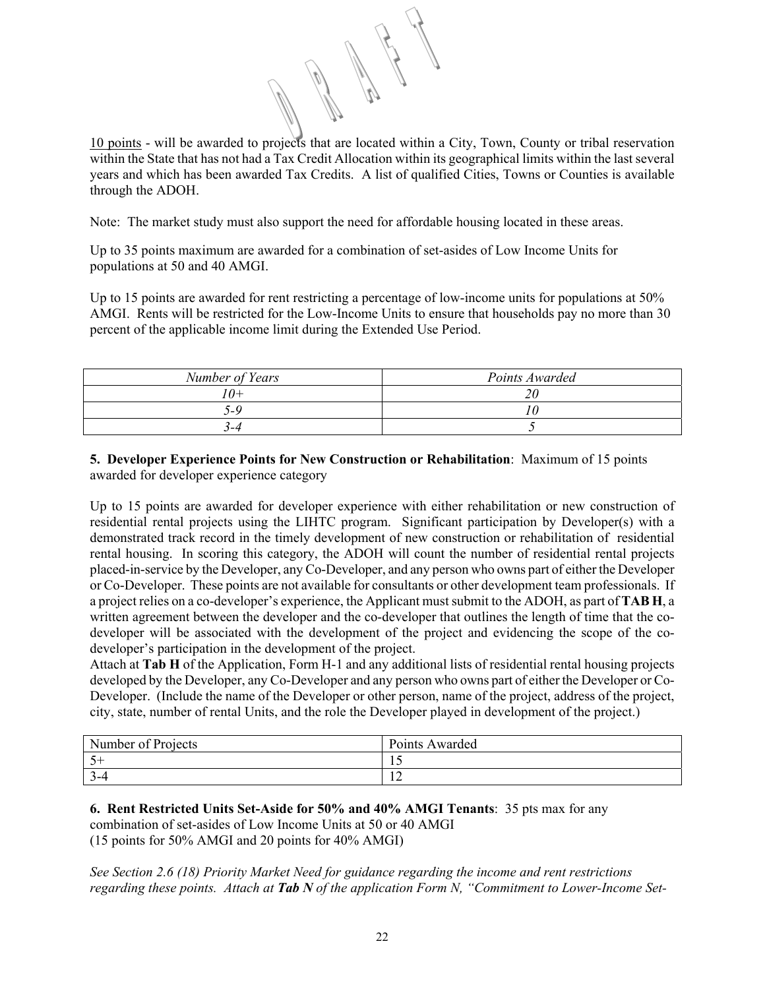10 points - will be awarded to projects that are located within a City, Town, County or tribal reservation within the State that has not had a Tax Credit Allocation within its geographical limits within the last several years and which has been awarded Tax Credits. A list of qualified Cities, Towns or Counties is available through the ADOH.

Note: The market study must also support the need for affordable housing located in these areas.

Up to 35 points maximum are awarded for a combination of set-asides of Low Income Units for populations at 50 and 40 AMGI.

Up to 15 points are awarded for rent restricting a percentage of low-income units for populations at 50% AMGI. Rents will be restricted for the Low-Income Units to ensure that households pay no more than 30 percent of the applicable income limit during the Extended Use Period.

| Number of Years | Points Awarded |
|-----------------|----------------|
| '0+             |                |
| ا _۱            |                |
| ร−4             |                |

**5. Developer Experience Points for New Construction or Rehabilitation**: Maximum of 15 points awarded for developer experience category

Up to 15 points are awarded for developer experience with either rehabilitation or new construction of residential rental projects using the LIHTC program. Significant participation by Developer(s) with a demonstrated track record in the timely development of new construction or rehabilitation of residential rental housing. In scoring this category, the ADOH will count the number of residential rental projects placed-in-service by the Developer, any Co-Developer, and any person who owns part of either the Developer or Co-Developer. These points are not available for consultants or other development team professionals. If a project relies on a co-developer's experience, the Applicant must submit to the ADOH, as part of **TAB H**, a written agreement between the developer and the co-developer that outlines the length of time that the codeveloper will be associated with the development of the project and evidencing the scope of the codeveloper's participation in the development of the project.

Attach at **Tab H** of the Application, Form H-1 and any additional lists of residential rental housing projects developed by the Developer, any Co-Developer and any person who owns part of either the Developer or Co-Developer. (Include the name of the Developer or other person, name of the project, address of the project, city, state, number of rental Units, and the role the Developer played in development of the project.)

| Number of Projects | Points Awarded |
|--------------------|----------------|
|                    | - 11           |
|                    | --             |

**6. Rent Restricted Units Set-Aside for 50% and 40% AMGI Tenants**: 35 pts max for any combination of set-asides of Low Income Units at 50 or 40 AMGI (15 points for 50% AMGI and 20 points for 40% AMGI)

*See Section 2.6 (18) Priority Market Need for guidance regarding the income and rent restrictions regarding these points. Attach at Tab N of the application Form N, "Commitment to Lower-Income Set-*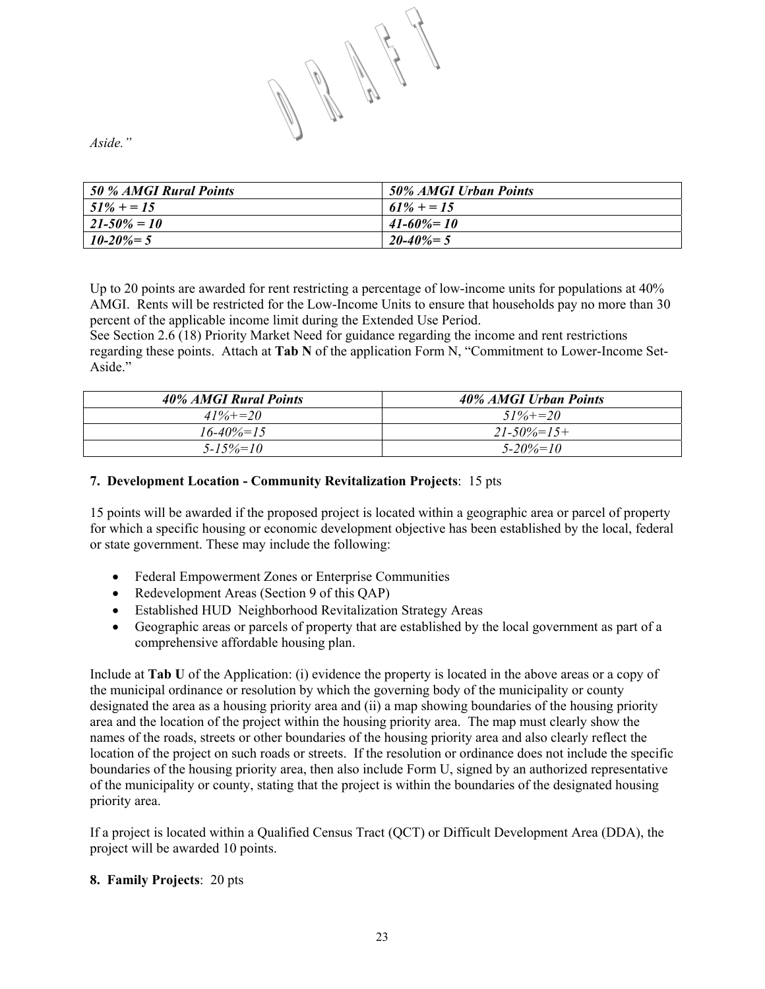*Aside."* 

| 50 % AMGI Rural Points | 50% AMGI Urban Points |
|------------------------|-----------------------|
| $51\% + 15$            | $61\% + 15$           |
| $21 - 50\% = 10$       | $41 - 60\% = 10$      |
| $10 - 20\% = 5$        | $20 - 40\% = 5$       |

Up to 20 points are awarded for rent restricting a percentage of low-income units for populations at 40% AMGI. Rents will be restricted for the Low-Income Units to ensure that households pay no more than 30 percent of the applicable income limit during the Extended Use Period.

See Section 2.6 (18) Priority Market Need for guidance regarding the income and rent restrictions regarding these points. Attach at **Tab N** of the application Form N, "Commitment to Lower-Income Set-Aside<sup>"</sup>

| 40% AMGI Rural Points | 40% AMGI Urban Points |
|-----------------------|-----------------------|
| $41\% + 20$           | $51\% + 20$           |
| $16 - 40\% = 15$      | $21 - 50\% = 15 +$    |
| $5 - 15\% = 10$       | $5 - 20\% = 10$       |

# **7. Development Location - Community Revitalization Projects**: 15 pts

15 points will be awarded if the proposed project is located within a geographic area or parcel of property for which a specific housing or economic development objective has been established by the local, federal or state government. These may include the following:

- Federal Empowerment Zones or Enterprise Communities
- Redevelopment Areas (Section 9 of this OAP)
- Established HUD Neighborhood Revitalization Strategy Areas
- Geographic areas or parcels of property that are established by the local government as part of a comprehensive affordable housing plan.

Include at **Tab U** of the Application: (i) evidence the property is located in the above areas or a copy of the municipal ordinance or resolution by which the governing body of the municipality or county designated the area as a housing priority area and (ii) a map showing boundaries of the housing priority area and the location of the project within the housing priority area. The map must clearly show the names of the roads, streets or other boundaries of the housing priority area and also clearly reflect the location of the project on such roads or streets. If the resolution or ordinance does not include the specific boundaries of the housing priority area, then also include Form U, signed by an authorized representative of the municipality or county, stating that the project is within the boundaries of the designated housing priority area.

If a project is located within a Qualified Census Tract (QCT) or Difficult Development Area (DDA), the project will be awarded 10 points.

# **8. Family Projects**: 20 pts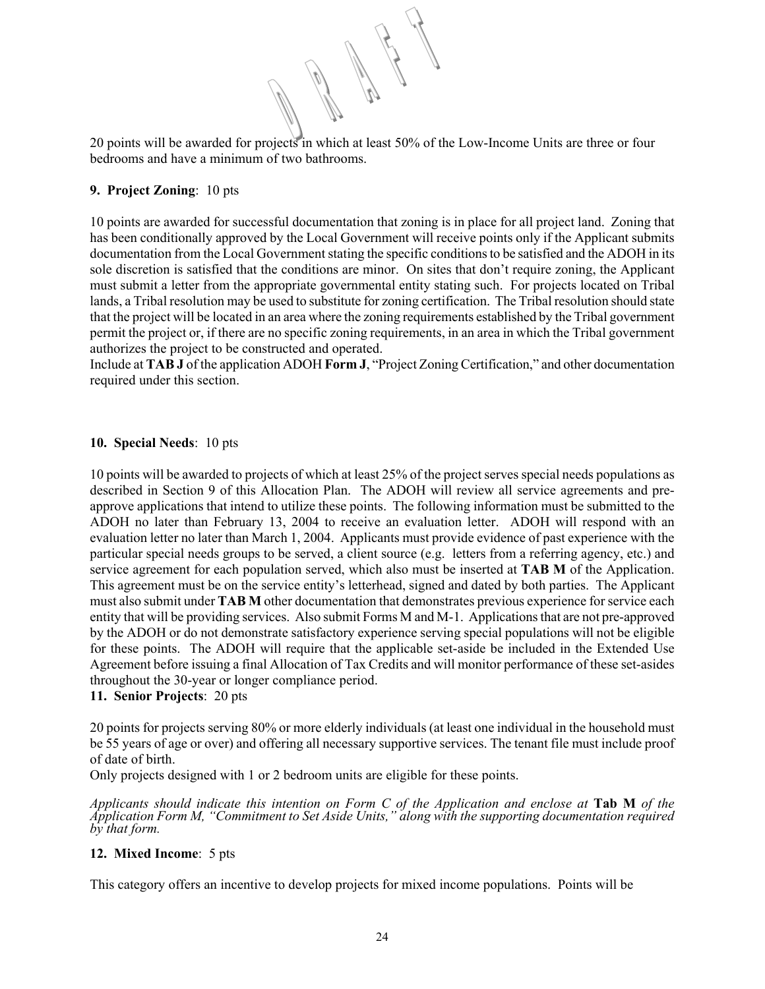20 points will be awarded for projects in which at least 50% of the Low-Income Units are three or four bedrooms and have a minimum of two bathrooms.

# **9. Project Zoning**: 10 pts

10 points are awarded for successful documentation that zoning is in place for all project land. Zoning that has been conditionally approved by the Local Government will receive points only if the Applicant submits documentation from the Local Government stating the specific conditions to be satisfied and the ADOH in its sole discretion is satisfied that the conditions are minor. On sites that don't require zoning, the Applicant must submit a letter from the appropriate governmental entity stating such. For projects located on Tribal lands, a Tribal resolution may be used to substitute for zoning certification. The Tribal resolution should state that the project will be located in an area where the zoning requirements established by the Tribal government permit the project or, if there are no specific zoning requirements, in an area in which the Tribal government authorizes the project to be constructed and operated.

Include at **TAB J** of the application ADOH **Form J**, "Project Zoning Certification," and other documentation required under this section.

# **10. Special Needs**: 10 pts

10 points will be awarded to projects of which at least 25% of the project serves special needs populations as described in Section 9 of this Allocation Plan. The ADOH will review all service agreements and preapprove applications that intend to utilize these points. The following information must be submitted to the ADOH no later than February 13, 2004 to receive an evaluation letter. ADOH will respond with an evaluation letter no later than March 1, 2004. Applicants must provide evidence of past experience with the particular special needs groups to be served, a client source (e.g. letters from a referring agency, etc.) and service agreement for each population served, which also must be inserted at **TAB M** of the Application. This agreement must be on the service entity's letterhead, signed and dated by both parties. The Applicant must also submit under **TAB M** other documentation that demonstrates previous experience for service each entity that will be providing services. Also submit Forms M and M-1. Applications that are not pre-approved by the ADOH or do not demonstrate satisfactory experience serving special populations will not be eligible for these points. The ADOH will require that the applicable set-aside be included in the Extended Use Agreement before issuing a final Allocation of Tax Credits and will monitor performance of these set-asides throughout the 30-year or longer compliance period.

# **11. Senior Projects**: 20 pts

20 points for projects serving 80% or more elderly individuals (at least one individual in the household must be 55 years of age or over) and offering all necessary supportive services. The tenant file must include proof of date of birth.

Only projects designed with 1 or 2 bedroom units are eligible for these points.

*Applicants should indicate this intention on Form C of the Application and enclose at* **Tab M** *of the Application Form M, "Commitment to Set Aside Units," along with the supporting documentation required by that form.* 

# **12. Mixed Income**: 5 pts

This category offers an incentive to develop projects for mixed income populations. Points will be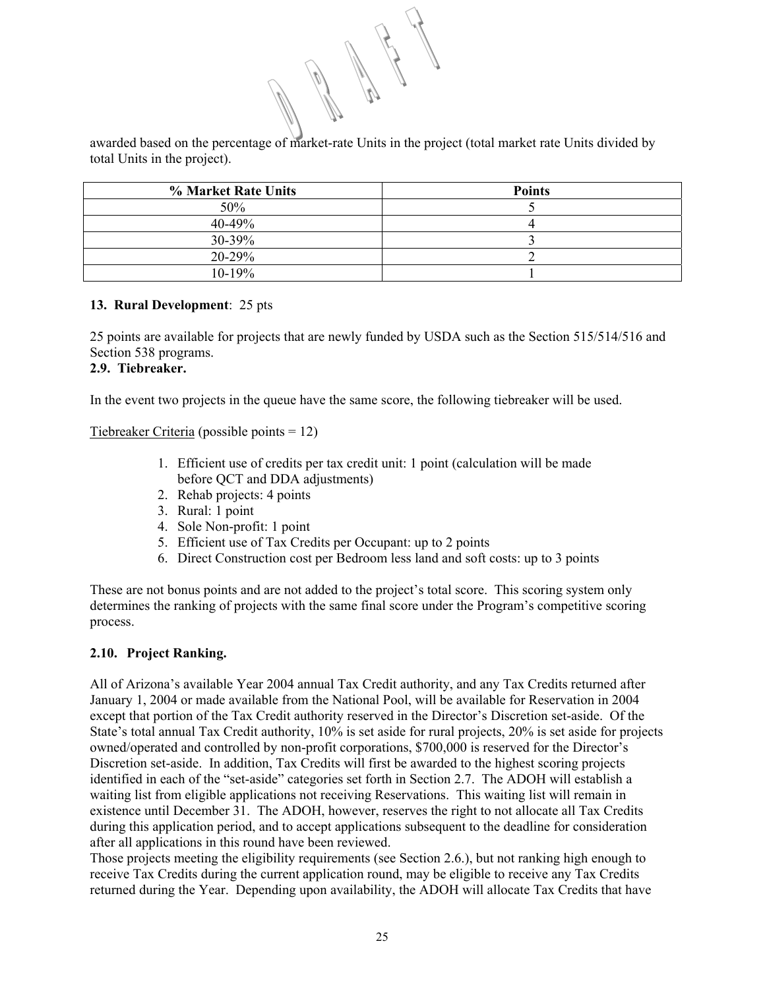awarded based on the percentage of market-rate Units in the project (total market rate Units divided by total Units in the project).

| % Market Rate Units | <b>Points</b> |
|---------------------|---------------|
| 50%                 |               |
| 40-49%              |               |
| 30-39%              |               |
| $20 - 29%$          |               |
| $10 - 19%$          |               |

# **13. Rural Development**: 25 pts

25 points are available for projects that are newly funded by USDA such as the Section 515/514/516 and Section 538 programs.

#### **2.9. Tiebreaker.**

In the event two projects in the queue have the same score, the following tiebreaker will be used.

Tiebreaker Criteria (possible points = 12)

- 1. Efficient use of credits per tax credit unit: 1 point (calculation will be made before QCT and DDA adjustments)
- 2. Rehab projects: 4 points
- 3. Rural: 1 point
- 4. Sole Non-profit: 1 point
- 5. Efficient use of Tax Credits per Occupant: up to 2 points
- 6. Direct Construction cost per Bedroom less land and soft costs: up to 3 points

These are not bonus points and are not added to the project's total score. This scoring system only determines the ranking of projects with the same final score under the Program's competitive scoring process.

# **2.10. Project Ranking.**

All of Arizona's available Year 2004 annual Tax Credit authority, and any Tax Credits returned after January 1, 2004 or made available from the National Pool, will be available for Reservation in 2004 except that portion of the Tax Credit authority reserved in the Director's Discretion set-aside. Of the State's total annual Tax Credit authority, 10% is set aside for rural projects, 20% is set aside for projects owned/operated and controlled by non-profit corporations, \$700,000 is reserved for the Director's Discretion set-aside. In addition, Tax Credits will first be awarded to the highest scoring projects identified in each of the "set-aside" categories set forth in Section 2.7. The ADOH will establish a waiting list from eligible applications not receiving Reservations. This waiting list will remain in existence until December 31. The ADOH, however, reserves the right to not allocate all Tax Credits during this application period, and to accept applications subsequent to the deadline for consideration after all applications in this round have been reviewed.

Those projects meeting the eligibility requirements (see Section 2.6.), but not ranking high enough to receive Tax Credits during the current application round, may be eligible to receive any Tax Credits returned during the Year. Depending upon availability, the ADOH will allocate Tax Credits that have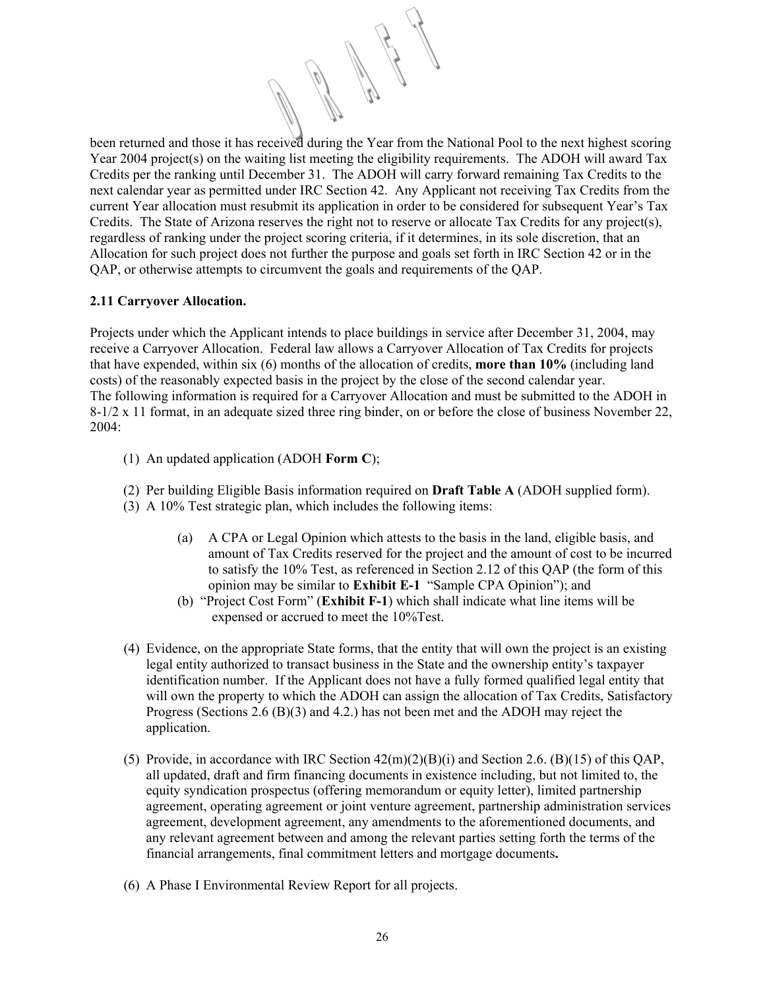been returned and those it has received during the Year from the National Pool to the next highest scoring Year 2004 project(s) on the waiting list meeting the eligibility requirements. The ADOH will award Tax Credits per the ranking until December 31. The ADOH will carry forward remaining Tax Credits to the next calendar year as permitted under IRC Section 42. Any Applicant not receiving Tax Credits from the current Year allocation must resubmit its application in order to be considered for subsequent Year's Tax Credits. The State of Arizona reserves the right not to reserve or allocate Tax Credits for any project(s), regardless of ranking under the project scoring criteria, if it determines, in its sole discretion, that an Allocation for such project does not further the purpose and goals set forth in IRC Section 42 or in the QAP, or otherwise attempts to circumvent the goals and requirements of the QAP.

#### **2.11 Carryover Allocation.**

Projects under which the Applicant intends to place buildings in service after December 31, 2004, may receive a Carryover Allocation. Federal law allows a Carryover Allocation of Tax Credits for projects that have expended, within six (6) months of the allocation of credits, **more than 10%** (including land costs) of the reasonably expected basis in the project by the close of the second calendar year. The following information is required for a Carryover Allocation and must be submitted to the ADOH in 8-1/2 x 11 format, in an adequate sized three ring binder, on or before the close of business November 22, 2004:

- (1) An updated application (ADOH **Form C**);
- (2) Per building Eligible Basis information required on **Draft Table A** (ADOH supplied form).
- (3) A 10% Test strategic plan, which includes the following items:
	- (a) A CPA or Legal Opinion which attests to the basis in the land, eligible basis, and amount of Tax Credits reserved for the project and the amount of cost to be incurred to satisfy the 10% Test, as referenced in Section 2.12 of this QAP (the form of this opinion may be similar to **Exhibit E-1** "Sample CPA Opinion"); and
	- (b) "Project Cost Form" (**Exhibit F-1**) which shall indicate what line items will be expensed or accrued to meet the 10%Test.
- (4) Evidence, on the appropriate State forms, that the entity that will own the project is an existing legal entity authorized to transact business in the State and the ownership entity's taxpayer identification number. If the Applicant does not have a fully formed qualified legal entity that will own the property to which the ADOH can assign the allocation of Tax Credits, Satisfactory Progress (Sections 2.6 (B)(3) and 4.2.) has not been met and the ADOH may reject the application.
- (5) Provide, in accordance with IRC Section  $42(m)(2)(B)(i)$  and Section 2.6. (B)(15) of this OAP, all updated, draft and firm financing documents in existence including, but not limited to, the equity syndication prospectus (offering memorandum or equity letter), limited partnership agreement, operating agreement or joint venture agreement, partnership administration services agreement, development agreement, any amendments to the aforementioned documents, and any relevant agreement between and among the relevant parties setting forth the terms of the financial arrangements, final commitment letters and mortgage documents**.**
- (6) A Phase I Environmental Review Report for all projects.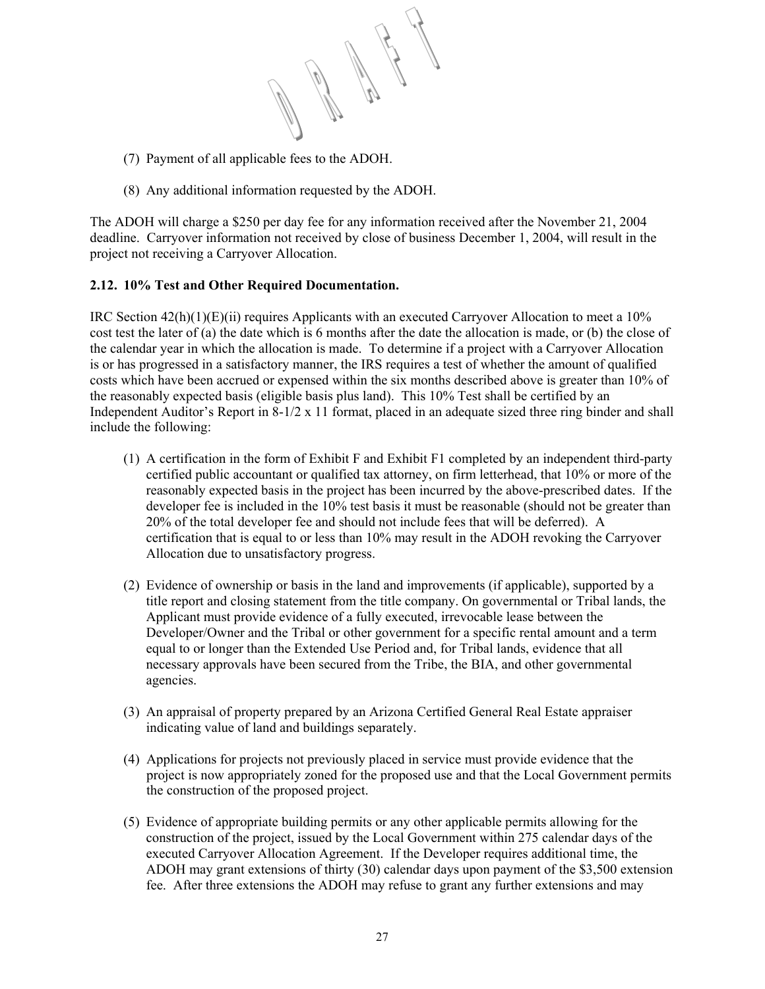

- (7) Payment of all applicable fees to the ADOH.
- (8) Any additional information requested by the ADOH.

The ADOH will charge a \$250 per day fee for any information received after the November 21, 2004 deadline. Carryover information not received by close of business December 1, 2004, will result in the project not receiving a Carryover Allocation.

# **2.12. 10% Test and Other Required Documentation.**

IRC Section 42(h)(1)(E)(ii) requires Applicants with an executed Carryover Allocation to meet a 10% cost test the later of (a) the date which is 6 months after the date the allocation is made, or (b) the close of the calendar year in which the allocation is made. To determine if a project with a Carryover Allocation is or has progressed in a satisfactory manner, the IRS requires a test of whether the amount of qualified costs which have been accrued or expensed within the six months described above is greater than 10% of the reasonably expected basis (eligible basis plus land). This 10% Test shall be certified by an Independent Auditor's Report in  $8-1/2 \times 11$  format, placed in an adequate sized three ring binder and shall include the following:

- (1) A certification in the form of Exhibit F and Exhibit F1 completed by an independent third-party certified public accountant or qualified tax attorney, on firm letterhead, that 10% or more of the reasonably expected basis in the project has been incurred by the above-prescribed dates. If the developer fee is included in the 10% test basis it must be reasonable (should not be greater than 20% of the total developer fee and should not include fees that will be deferred). A certification that is equal to or less than 10% may result in the ADOH revoking the Carryover Allocation due to unsatisfactory progress.
- (2) Evidence of ownership or basis in the land and improvements (if applicable), supported by a title report and closing statement from the title company. On governmental or Tribal lands, the Applicant must provide evidence of a fully executed, irrevocable lease between the Developer/Owner and the Tribal or other government for a specific rental amount and a term equal to or longer than the Extended Use Period and, for Tribal lands, evidence that all necessary approvals have been secured from the Tribe, the BIA, and other governmental agencies.
- (3) An appraisal of property prepared by an Arizona Certified General Real Estate appraiser indicating value of land and buildings separately.
- (4) Applications for projects not previously placed in service must provide evidence that the project is now appropriately zoned for the proposed use and that the Local Government permits the construction of the proposed project.
- (5) Evidence of appropriate building permits or any other applicable permits allowing for the construction of the project, issued by the Local Government within 275 calendar days of the executed Carryover Allocation Agreement. If the Developer requires additional time, the ADOH may grant extensions of thirty (30) calendar days upon payment of the \$3,500 extension fee. After three extensions the ADOH may refuse to grant any further extensions and may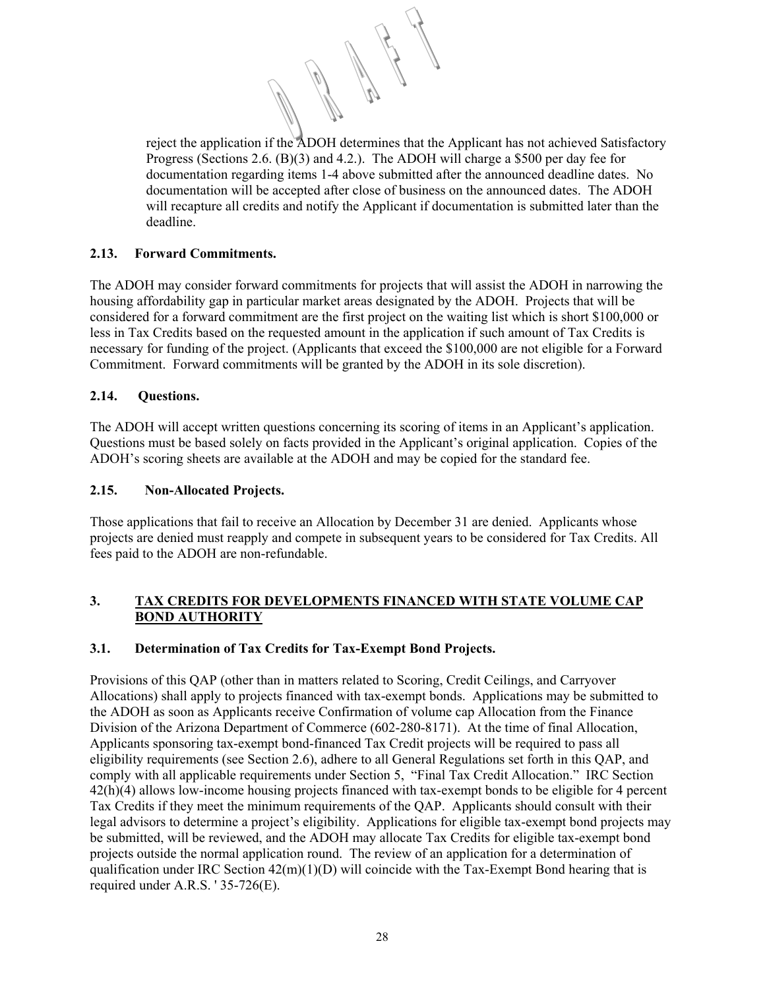reject the application if the ADOH determines that the Applicant has not achieved Satisfactory Progress (Sections 2.6. (B)(3) and 4.2.).The ADOH will charge a \$500 per day fee for documentation regarding items 1-4 above submitted after the announced deadline dates. No documentation will be accepted after close of business on the announced dates. The ADOH will recapture all credits and notify the Applicant if documentation is submitted later than the deadline.

# **2.13. Forward Commitments.**

The ADOH may consider forward commitments for projects that will assist the ADOH in narrowing the housing affordability gap in particular market areas designated by the ADOH. Projects that will be considered for a forward commitment are the first project on the waiting list which is short \$100,000 or less in Tax Credits based on the requested amount in the application if such amount of Tax Credits is necessary for funding of the project. (Applicants that exceed the \$100,000 are not eligible for a Forward Commitment. Forward commitments will be granted by the ADOH in its sole discretion).

# **2.14. Questions.**

The ADOH will accept written questions concerning its scoring of items in an Applicant's application. Questions must be based solely on facts provided in the Applicant's original application. Copies of the ADOH's scoring sheets are available at the ADOH and may be copied for the standard fee.

# **2.15. Non-Allocated Projects.**

Those applications that fail to receive an Allocation by December 31 are denied. Applicants whose projects are denied must reapply and compete in subsequent years to be considered for Tax Credits. All fees paid to the ADOH are non-refundable.

# **3. TAX CREDITS FOR DEVELOPMENTS FINANCED WITH STATE VOLUME CAP BOND AUTHORITY**

# **3.1. Determination of Tax Credits for Tax-Exempt Bond Projects.**

Provisions of this QAP (other than in matters related to Scoring, Credit Ceilings, and Carryover Allocations) shall apply to projects financed with tax-exempt bonds. Applications may be submitted to the ADOH as soon as Applicants receive Confirmation of volume cap Allocation from the Finance Division of the Arizona Department of Commerce (602-280-8171). At the time of final Allocation, Applicants sponsoring tax-exempt bond-financed Tax Credit projects will be required to pass all eligibility requirements (see Section 2.6), adhere to all General Regulations set forth in this QAP, and comply with all applicable requirements under Section 5, "Final Tax Credit Allocation." IRC Section 42(h)(4) allows low-income housing projects financed with tax-exempt bonds to be eligible for 4 percent Tax Credits if they meet the minimum requirements of the QAP. Applicants should consult with their legal advisors to determine a project's eligibility. Applications for eligible tax-exempt bond projects may be submitted, will be reviewed, and the ADOH may allocate Tax Credits for eligible tax-exempt bond projects outside the normal application round. The review of an application for a determination of qualification under IRC Section  $42(m)(1)(D)$  will coincide with the Tax-Exempt Bond hearing that is required under A.R.S. ' 35-726(E).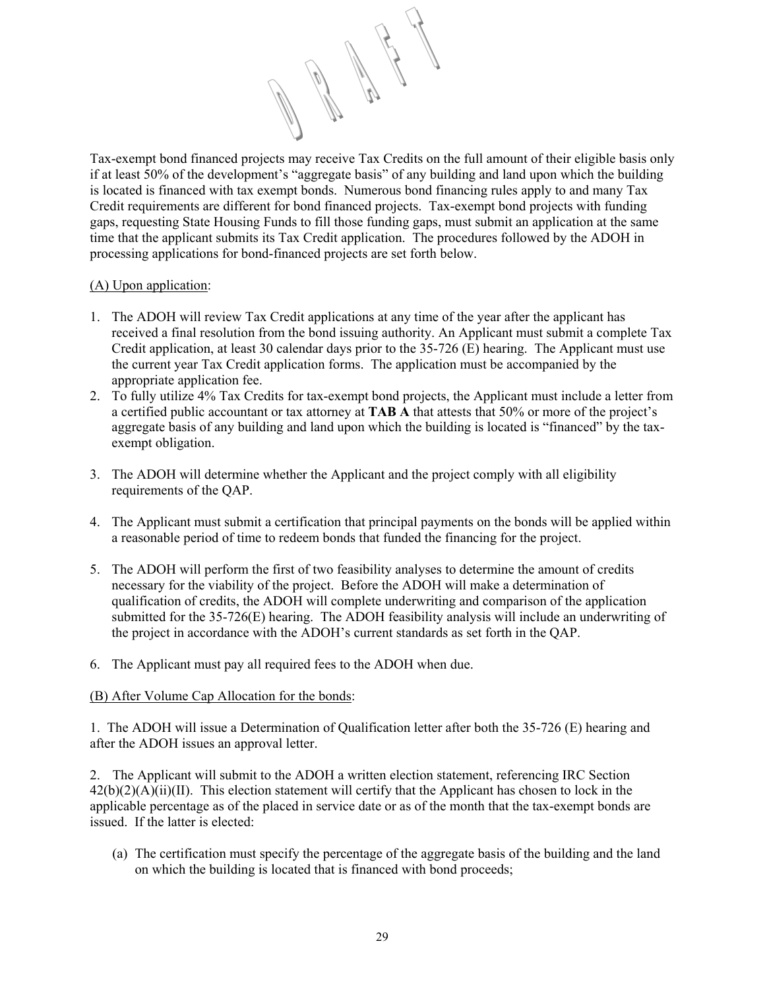

Tax-exempt bond financed projects may receive Tax Credits on the full amount of their eligible basis only if at least 50% of the development's "aggregate basis" of any building and land upon which the building is located is financed with tax exempt bonds. Numerous bond financing rules apply to and many Tax Credit requirements are different for bond financed projects. Tax-exempt bond projects with funding gaps, requesting State Housing Funds to fill those funding gaps, must submit an application at the same time that the applicant submits its Tax Credit application. The procedures followed by the ADOH in processing applications for bond-financed projects are set forth below.

# (A) Upon application:

- 1. The ADOH will review Tax Credit applications at any time of the year after the applicant has received a final resolution from the bond issuing authority. An Applicant must submit a complete Tax Credit application, at least 30 calendar days prior to the 35-726 (E) hearing. The Applicant must use the current year Tax Credit application forms. The application must be accompanied by the appropriate application fee.
- 2. To fully utilize 4% Tax Credits for tax-exempt bond projects, the Applicant must include a letter from a certified public accountant or tax attorney at **TAB A** that attests that 50% or more of the project's aggregate basis of any building and land upon which the building is located is "financed" by the taxexempt obligation.
- 3. The ADOH will determine whether the Applicant and the project comply with all eligibility requirements of the QAP.
- 4. The Applicant must submit a certification that principal payments on the bonds will be applied within a reasonable period of time to redeem bonds that funded the financing for the project.
- 5. The ADOH will perform the first of two feasibility analyses to determine the amount of credits necessary for the viability of the project. Before the ADOH will make a determination of qualification of credits, the ADOH will complete underwriting and comparison of the application submitted for the 35-726(E) hearing. The ADOH feasibility analysis will include an underwriting of the project in accordance with the ADOH's current standards as set forth in the QAP.
- 6. The Applicant must pay all required fees to the ADOH when due.

# (B) After Volume Cap Allocation for the bonds:

1. The ADOH will issue a Determination of Qualification letter after both the 35-726 (E) hearing and after the ADOH issues an approval letter.

2. The Applicant will submit to the ADOH a written election statement, referencing IRC Section  $42(b)(2)(A)(ii)(II)$ . This election statement will certify that the Applicant has chosen to lock in the applicable percentage as of the placed in service date or as of the month that the tax-exempt bonds are issued. If the latter is elected:

(a) The certification must specify the percentage of the aggregate basis of the building and the land on which the building is located that is financed with bond proceeds;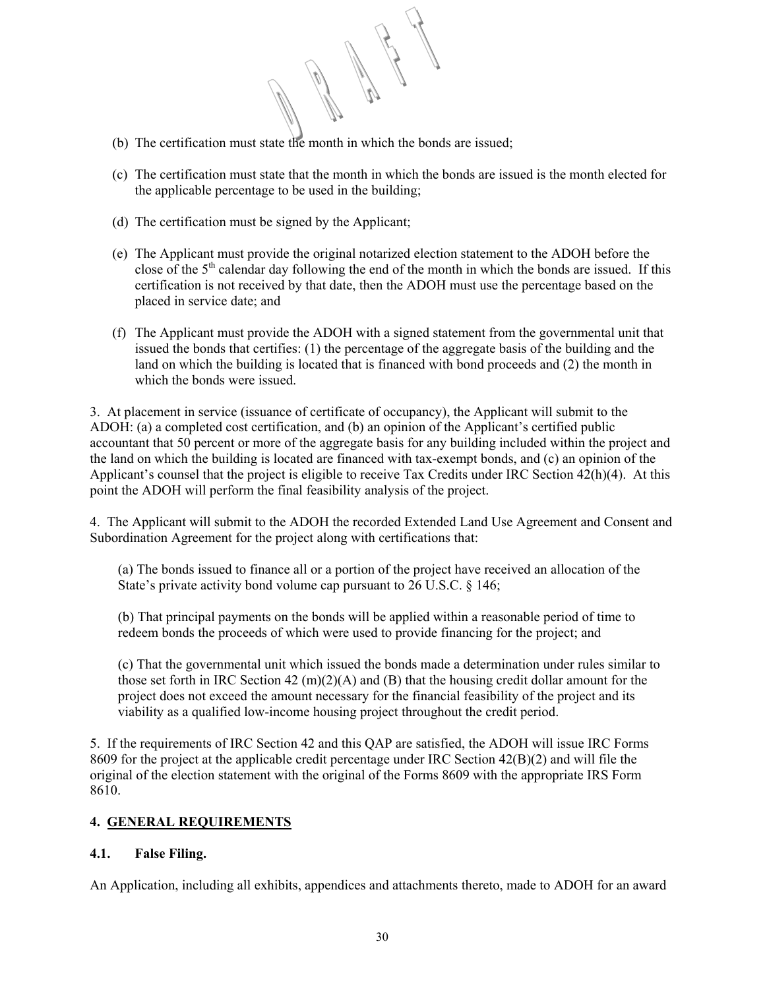- (b) The certification must state the month in which the bonds are issued;
- (c) The certification must state that the month in which the bonds are issued is the month elected for the applicable percentage to be used in the building;
- (d) The certification must be signed by the Applicant;
- (e) The Applicant must provide the original notarized election statement to the ADOH before the close of the  $5<sup>th</sup>$  calendar day following the end of the month in which the bonds are issued. If this certification is not received by that date, then the ADOH must use the percentage based on the placed in service date; and
- (f) The Applicant must provide the ADOH with a signed statement from the governmental unit that issued the bonds that certifies: (1) the percentage of the aggregate basis of the building and the land on which the building is located that is financed with bond proceeds and (2) the month in which the bonds were issued.

3. At placement in service (issuance of certificate of occupancy), the Applicant will submit to the ADOH: (a) a completed cost certification, and (b) an opinion of the Applicant's certified public accountant that 50 percent or more of the aggregate basis for any building included within the project and the land on which the building is located are financed with tax-exempt bonds, and (c) an opinion of the Applicant's counsel that the project is eligible to receive Tax Credits under IRC Section 42(h)(4). At this point the ADOH will perform the final feasibility analysis of the project.

4. The Applicant will submit to the ADOH the recorded Extended Land Use Agreement and Consent and Subordination Agreement for the project along with certifications that:

(a) The bonds issued to finance all or a portion of the project have received an allocation of the State's private activity bond volume cap pursuant to 26 U.S.C. § 146;

(b) That principal payments on the bonds will be applied within a reasonable period of time to redeem bonds the proceeds of which were used to provide financing for the project; and

(c) That the governmental unit which issued the bonds made a determination under rules similar to those set forth in IRC Section 42 (m)(2)(A) and (B) that the housing credit dollar amount for the project does not exceed the amount necessary for the financial feasibility of the project and its viability as a qualified low-income housing project throughout the credit period.

5. If the requirements of IRC Section 42 and this QAP are satisfied, the ADOH will issue IRC Forms 8609 for the project at the applicable credit percentage under IRC Section 42(B)(2) and will file the original of the election statement with the original of the Forms 8609 with the appropriate IRS Form 8610.

# **4. GENERAL REQUIREMENTS**

# **4.1. False Filing.**

An Application, including all exhibits, appendices and attachments thereto, made to ADOH for an award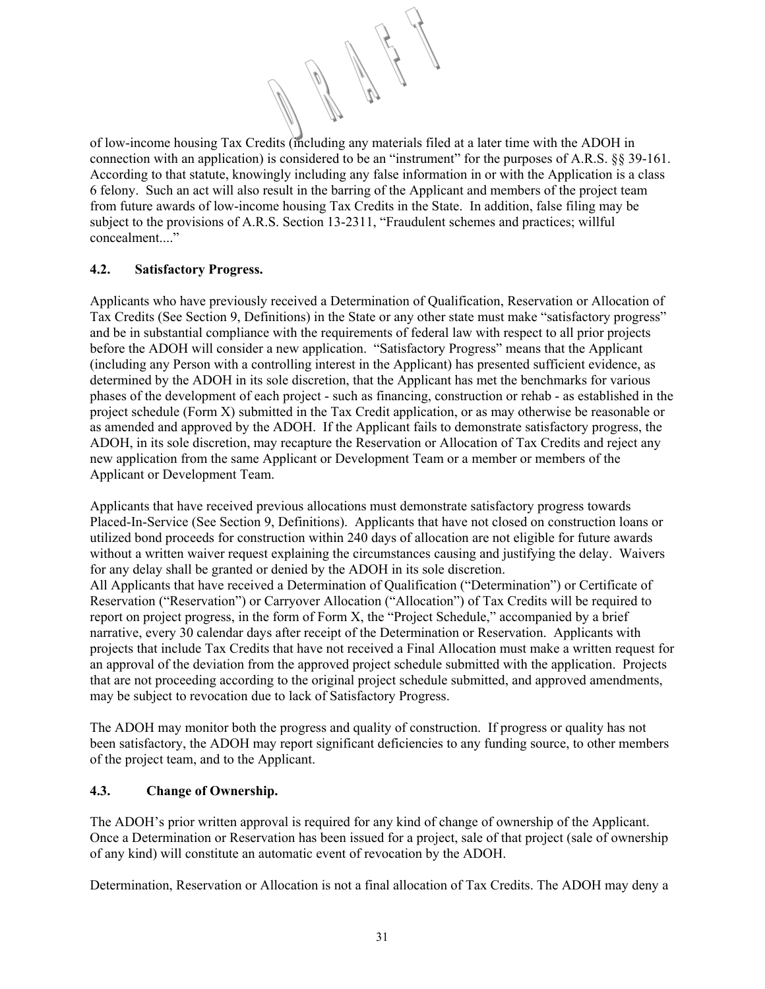of low-income housing Tax Credits (including any materials filed at a later time with the ADOH in connection with an application) is considered to be an "instrument" for the purposes of A.R.S. §§ 39-161. According to that statute, knowingly including any false information in or with the Application is a class 6 felony. Such an act will also result in the barring of the Applicant and members of the project team from future awards of low-income housing Tax Credits in the State. In addition, false filing may be subject to the provisions of A.R.S. Section 13-2311, "Fraudulent schemes and practices; willful concealment...."

# **4.2. Satisfactory Progress.**

Applicants who have previously received a Determination of Qualification, Reservation or Allocation of Tax Credits (See Section 9, Definitions) in the State or any other state must make "satisfactory progress" and be in substantial compliance with the requirements of federal law with respect to all prior projects before the ADOH will consider a new application. "Satisfactory Progress" means that the Applicant (including any Person with a controlling interest in the Applicant) has presented sufficient evidence, as determined by the ADOH in its sole discretion, that the Applicant has met the benchmarks for various phases of the development of each project - such as financing, construction or rehab - as established in the project schedule (Form X) submitted in the Tax Credit application, or as may otherwise be reasonable or as amended and approved by the ADOH. If the Applicant fails to demonstrate satisfactory progress, the ADOH, in its sole discretion, may recapture the Reservation or Allocation of Tax Credits and reject any new application from the same Applicant or Development Team or a member or members of the Applicant or Development Team.

Applicants that have received previous allocations must demonstrate satisfactory progress towards Placed-In-Service (See Section 9, Definitions). Applicants that have not closed on construction loans or utilized bond proceeds for construction within 240 days of allocation are not eligible for future awards without a written waiver request explaining the circumstances causing and justifying the delay. Waivers for any delay shall be granted or denied by the ADOH in its sole discretion.

All Applicants that have received a Determination of Qualification ("Determination") or Certificate of Reservation ("Reservation") or Carryover Allocation ("Allocation") of Tax Credits will be required to report on project progress, in the form of Form X, the "Project Schedule," accompanied by a brief narrative, every 30 calendar days after receipt of the Determination or Reservation. Applicants with projects that include Tax Credits that have not received a Final Allocation must make a written request for an approval of the deviation from the approved project schedule submitted with the application. Projects that are not proceeding according to the original project schedule submitted, and approved amendments, may be subject to revocation due to lack of Satisfactory Progress.

The ADOH may monitor both the progress and quality of construction. If progress or quality has not been satisfactory, the ADOH may report significant deficiencies to any funding source, to other members of the project team, and to the Applicant.

# **4.3. Change of Ownership.**

The ADOH's prior written approval is required for any kind of change of ownership of the Applicant. Once a Determination or Reservation has been issued for a project, sale of that project (sale of ownership of any kind) will constitute an automatic event of revocation by the ADOH.

Determination, Reservation or Allocation is not a final allocation of Tax Credits. The ADOH may deny a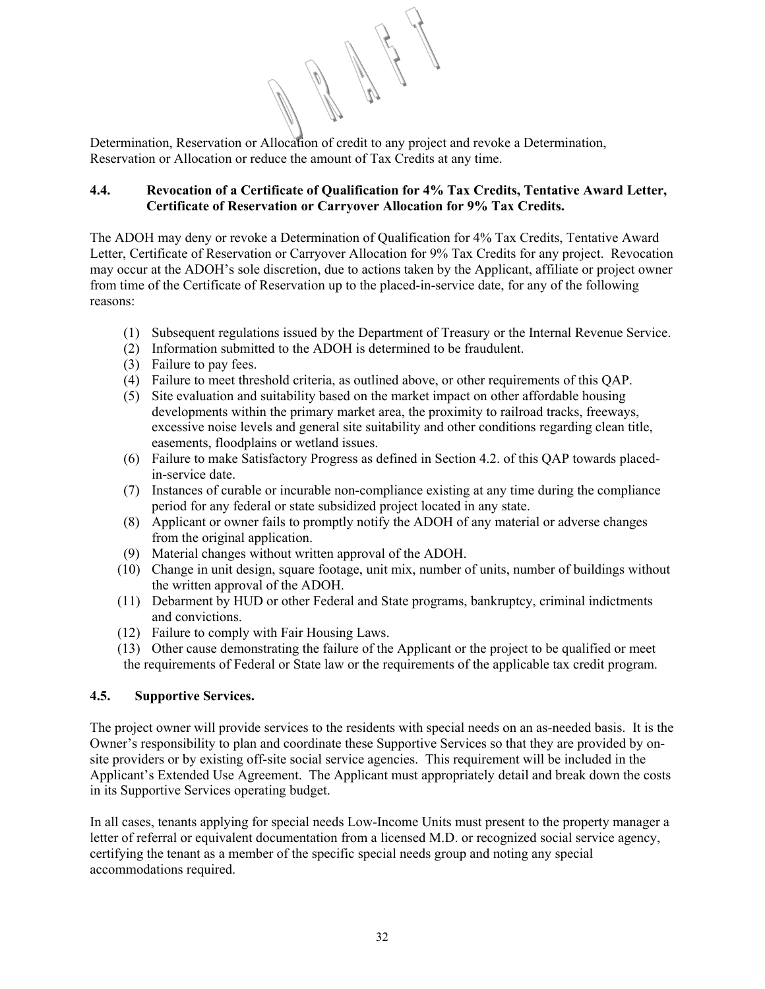Determination, Reservation or Allocation of credit to any project and revoke a Determination, Reservation or Allocation or reduce the amount of Tax Credits at any time.

# **4.4. Revocation of a Certificate of Qualification for 4% Tax Credits, Tentative Award Letter, Certificate of Reservation or Carryover Allocation for 9% Tax Credits.**

The ADOH may deny or revoke a Determination of Qualification for 4% Tax Credits, Tentative Award Letter, Certificate of Reservation or Carryover Allocation for 9% Tax Credits for any project. Revocation may occur at the ADOH's sole discretion, due to actions taken by the Applicant, affiliate or project owner from time of the Certificate of Reservation up to the placed-in-service date, for any of the following reasons:

- (1) Subsequent regulations issued by the Department of Treasury or the Internal Revenue Service.
- (2) Information submitted to the ADOH is determined to be fraudulent.
- (3) Failure to pay fees.
- (4) Failure to meet threshold criteria, as outlined above, or other requirements of this QAP.
- (5) Site evaluation and suitability based on the market impact on other affordable housing developments within the primary market area, the proximity to railroad tracks, freeways, excessive noise levels and general site suitability and other conditions regarding clean title, easements, floodplains or wetland issues.
- (6) Failure to make Satisfactory Progress as defined in Section 4.2. of this QAP towards placedin-service date.
- (7) Instances of curable or incurable non-compliance existing at any time during the compliance period for any federal or state subsidized project located in any state.
- (8) Applicant or owner fails to promptly notify the ADOH of any material or adverse changes from the original application.
- (9) Material changes without written approval of the ADOH.
- (10) Change in unit design, square footage, unit mix, number of units, number of buildings without the written approval of the ADOH.
- (11) Debarment by HUD or other Federal and State programs, bankruptcy, criminal indictments and convictions.
- (12) Failure to comply with Fair Housing Laws.
- (13) Other cause demonstrating the failure of the Applicant or the project to be qualified or meet the requirements of Federal or State law or the requirements of the applicable tax credit program.

# **4.5. Supportive Services.**

The project owner will provide services to the residents with special needs on an as-needed basis. It is the Owner's responsibility to plan and coordinate these Supportive Services so that they are provided by onsite providers or by existing off-site social service agencies. This requirement will be included in the Applicant's Extended Use Agreement. The Applicant must appropriately detail and break down the costs in its Supportive Services operating budget.

In all cases, tenants applying for special needs Low-Income Units must present to the property manager a letter of referral or equivalent documentation from a licensed M.D. or recognized social service agency, certifying the tenant as a member of the specific special needs group and noting any special accommodations required.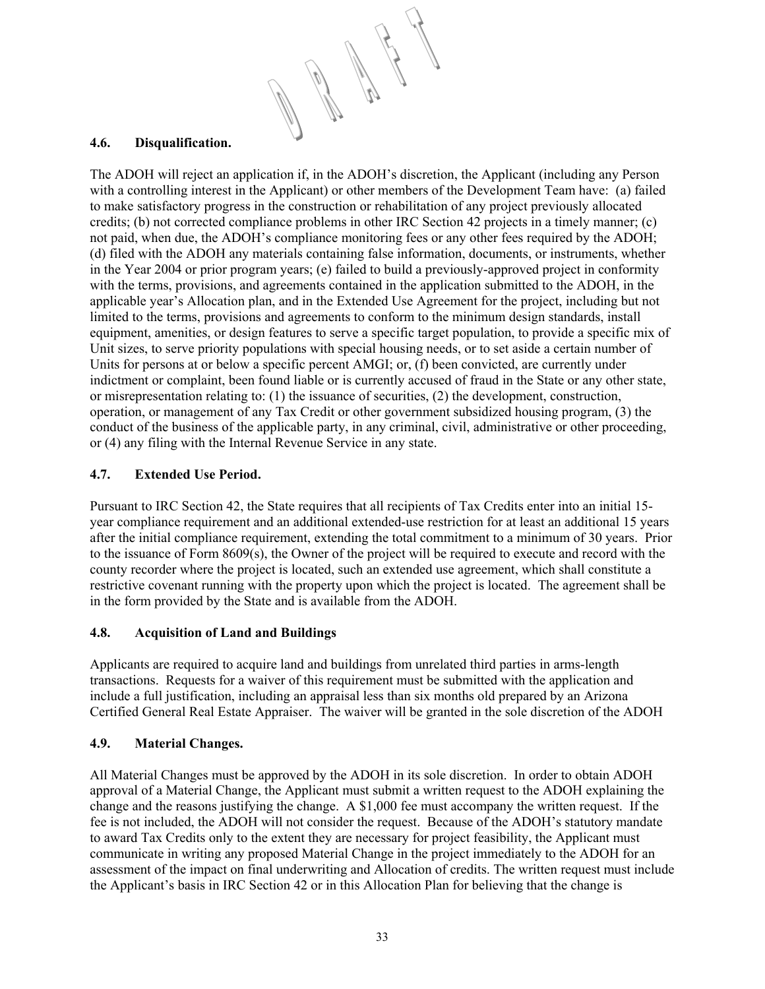# **4.6. Disqualification.**

The ADOH will reject an application if, in the ADOH's discretion, the Applicant (including any Person with a controlling interest in the Applicant) or other members of the Development Team have: (a) failed to make satisfactory progress in the construction or rehabilitation of any project previously allocated credits; (b) not corrected compliance problems in other IRC Section 42 projects in a timely manner; (c) not paid, when due, the ADOH's compliance monitoring fees or any other fees required by the ADOH; (d) filed with the ADOH any materials containing false information, documents, or instruments, whether in the Year 2004 or prior program years; (e) failed to build a previously-approved project in conformity with the terms, provisions, and agreements contained in the application submitted to the ADOH, in the applicable year's Allocation plan, and in the Extended Use Agreement for the project, including but not limited to the terms, provisions and agreements to conform to the minimum design standards, install equipment, amenities, or design features to serve a specific target population, to provide a specific mix of Unit sizes, to serve priority populations with special housing needs, or to set aside a certain number of Units for persons at or below a specific percent AMGI; or, (f) been convicted, are currently under indictment or complaint, been found liable or is currently accused of fraud in the State or any other state, or misrepresentation relating to: (1) the issuance of securities, (2) the development, construction, operation, or management of any Tax Credit or other government subsidized housing program, (3) the conduct of the business of the applicable party, in any criminal, civil, administrative or other proceeding, or (4) any filing with the Internal Revenue Service in any state.

# **4.7. Extended Use Period.**

Pursuant to IRC Section 42, the State requires that all recipients of Tax Credits enter into an initial 15 year compliance requirement and an additional extended-use restriction for at least an additional 15 years after the initial compliance requirement, extending the total commitment to a minimum of 30 years. Prior to the issuance of Form 8609(s), the Owner of the project will be required to execute and record with the county recorder where the project is located, such an extended use agreement, which shall constitute a restrictive covenant running with the property upon which the project is located. The agreement shall be in the form provided by the State and is available from the ADOH.

# **4.8. Acquisition of Land and Buildings**

Applicants are required to acquire land and buildings from unrelated third parties in arms-length transactions. Requests for a waiver of this requirement must be submitted with the application and include a full justification, including an appraisal less than six months old prepared by an Arizona Certified General Real Estate Appraiser. The waiver will be granted in the sole discretion of the ADOH

# **4.9. Material Changes.**

All Material Changes must be approved by the ADOH in its sole discretion. In order to obtain ADOH approval of a Material Change, the Applicant must submit a written request to the ADOH explaining the change and the reasons justifying the change. A \$1,000 fee must accompany the written request. If the fee is not included, the ADOH will not consider the request. Because of the ADOH's statutory mandate to award Tax Credits only to the extent they are necessary for project feasibility, the Applicant must communicate in writing any proposed Material Change in the project immediately to the ADOH for an assessment of the impact on final underwriting and Allocation of credits. The written request must include the Applicant's basis in IRC Section 42 or in this Allocation Plan for believing that the change is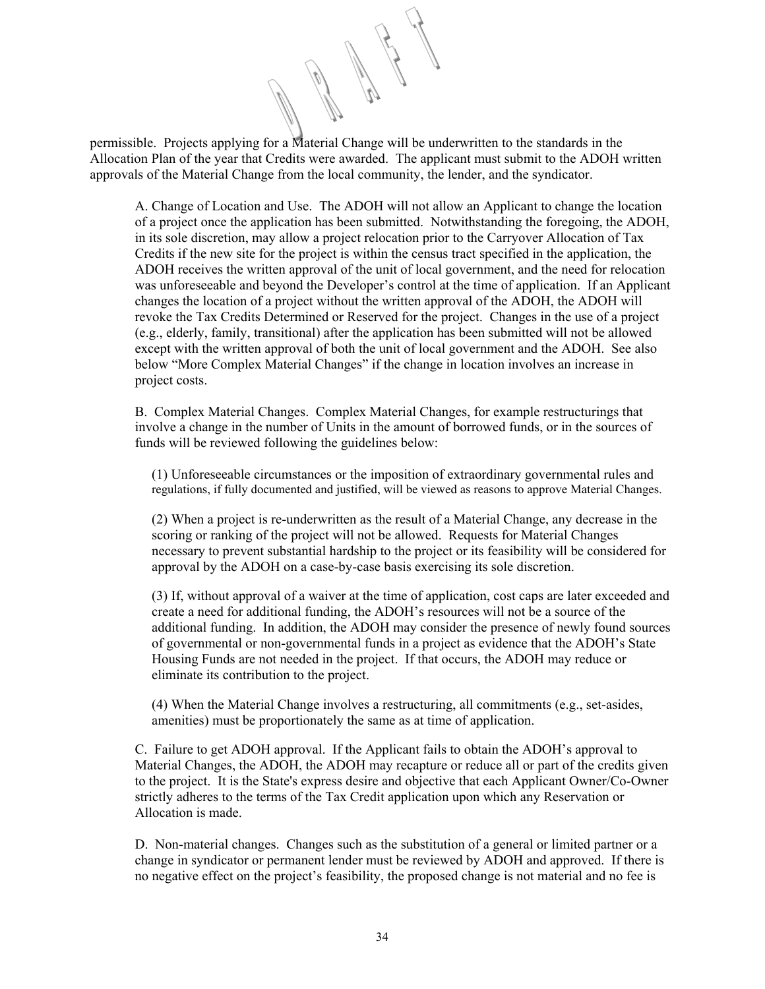permissible. Projects applying for a Material Change will be underwritten to the standards in the Allocation Plan of the year that Credits were awarded. The applicant must submit to the ADOH written approvals of the Material Change from the local community, the lender, and the syndicator.

A. Change of Location and Use. The ADOH will not allow an Applicant to change the location of a project once the application has been submitted. Notwithstanding the foregoing, the ADOH, in its sole discretion, may allow a project relocation prior to the Carryover Allocation of Tax Credits if the new site for the project is within the census tract specified in the application, the ADOH receives the written approval of the unit of local government, and the need for relocation was unforeseeable and beyond the Developer's control at the time of application. If an Applicant changes the location of a project without the written approval of the ADOH, the ADOH will revoke the Tax Credits Determined or Reserved for the project. Changes in the use of a project (e.g., elderly, family, transitional) after the application has been submitted will not be allowed except with the written approval of both the unit of local government and the ADOH. See also below "More Complex Material Changes" if the change in location involves an increase in project costs.

B. Complex Material Changes. Complex Material Changes, for example restructurings that involve a change in the number of Units in the amount of borrowed funds, or in the sources of funds will be reviewed following the guidelines below:

(1) Unforeseeable circumstances or the imposition of extraordinary governmental rules and regulations, if fully documented and justified, will be viewed as reasons to approve Material Changes.

(2) When a project is re-underwritten as the result of a Material Change, any decrease in the scoring or ranking of the project will not be allowed. Requests for Material Changes necessary to prevent substantial hardship to the project or its feasibility will be considered for approval by the ADOH on a case-by-case basis exercising its sole discretion.

(3) If, without approval of a waiver at the time of application, cost caps are later exceeded and create a need for additional funding, the ADOH's resources will not be a source of the additional funding. In addition, the ADOH may consider the presence of newly found sources of governmental or non-governmental funds in a project as evidence that the ADOH's State Housing Funds are not needed in the project. If that occurs, the ADOH may reduce or eliminate its contribution to the project.

(4) When the Material Change involves a restructuring, all commitments (e.g., set-asides, amenities) must be proportionately the same as at time of application.

C. Failure to get ADOH approval. If the Applicant fails to obtain the ADOH's approval to Material Changes, the ADOH, the ADOH may recapture or reduce all or part of the credits given to the project. It is the State's express desire and objective that each Applicant Owner/Co-Owner strictly adheres to the terms of the Tax Credit application upon which any Reservation or Allocation is made.

D. Non-material changes. Changes such as the substitution of a general or limited partner or a change in syndicator or permanent lender must be reviewed by ADOH and approved. If there is no negative effect on the project's feasibility, the proposed change is not material and no fee is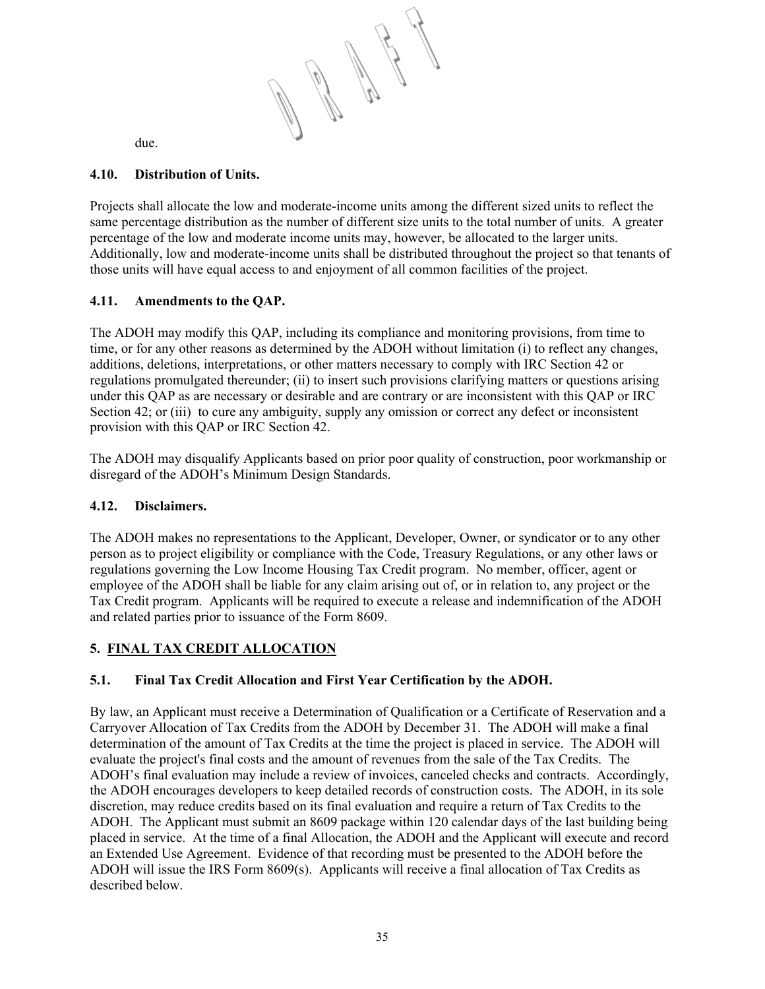due.

# **4.10. Distribution of Units.**

Projects shall allocate the low and moderate-income units among the different sized units to reflect the same percentage distribution as the number of different size units to the total number of units. A greater percentage of the low and moderate income units may, however, be allocated to the larger units. Additionally, low and moderate-income units shall be distributed throughout the project so that tenants of those units will have equal access to and enjoyment of all common facilities of the project.

# **4.11. Amendments to the QAP.**

The ADOH may modify this QAP, including its compliance and monitoring provisions, from time to time, or for any other reasons as determined by the ADOH without limitation (i) to reflect any changes, additions, deletions, interpretations, or other matters necessary to comply with IRC Section 42 or regulations promulgated thereunder; (ii) to insert such provisions clarifying matters or questions arising under this QAP as are necessary or desirable and are contrary or are inconsistent with this QAP or IRC Section 42; or (iii) to cure any ambiguity, supply any omission or correct any defect or inconsistent provision with this QAP or IRC Section 42.

The ADOH may disqualify Applicants based on prior poor quality of construction, poor workmanship or disregard of the ADOH's Minimum Design Standards.

# **4.12. Disclaimers.**

The ADOH makes no representations to the Applicant, Developer, Owner, or syndicator or to any other person as to project eligibility or compliance with the Code, Treasury Regulations, or any other laws or regulations governing the Low Income Housing Tax Credit program. No member, officer, agent or employee of the ADOH shall be liable for any claim arising out of, or in relation to, any project or the Tax Credit program. Applicants will be required to execute a release and indemnification of the ADOH and related parties prior to issuance of the Form 8609.

# **5. FINAL TAX CREDIT ALLOCATION**

# **5.1. Final Tax Credit Allocation and First Year Certification by the ADOH.**

By law, an Applicant must receive a Determination of Qualification or a Certificate of Reservation and a Carryover Allocation of Tax Credits from the ADOH by December 31. The ADOH will make a final determination of the amount of Tax Credits at the time the project is placed in service. The ADOH will evaluate the project's final costs and the amount of revenues from the sale of the Tax Credits. The ADOH's final evaluation may include a review of invoices, canceled checks and contracts. Accordingly, the ADOH encourages developers to keep detailed records of construction costs. The ADOH, in its sole discretion, may reduce credits based on its final evaluation and require a return of Tax Credits to the ADOH. The Applicant must submit an 8609 package within 120 calendar days of the last building being placed in service. At the time of a final Allocation, the ADOH and the Applicant will execute and record an Extended Use Agreement. Evidence of that recording must be presented to the ADOH before the ADOH will issue the IRS Form 8609(s). Applicants will receive a final allocation of Tax Credits as described below.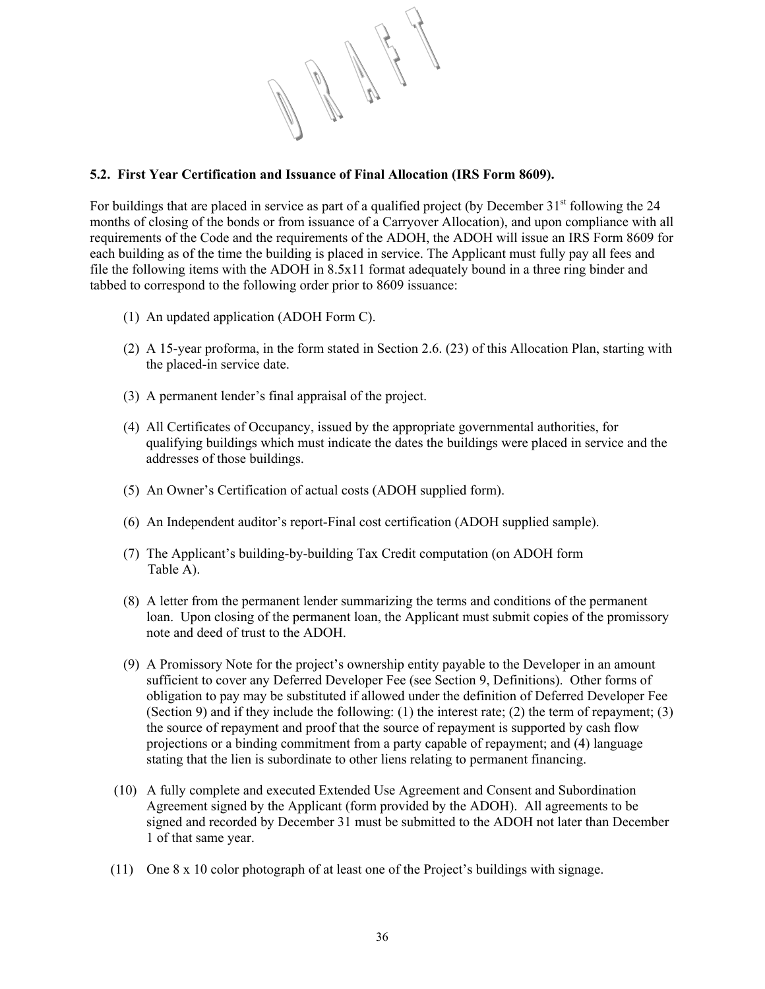

# **5.2. First Year Certification and Issuance of Final Allocation (IRS Form 8609).**

For buildings that are placed in service as part of a qualified project (by December 31<sup>st</sup> following the 24 months of closing of the bonds or from issuance of a Carryover Allocation), and upon compliance with all requirements of the Code and the requirements of the ADOH, the ADOH will issue an IRS Form 8609 for each building as of the time the building is placed in service. The Applicant must fully pay all fees and file the following items with the ADOH in 8.5x11 format adequately bound in a three ring binder and tabbed to correspond to the following order prior to 8609 issuance:

- (1) An updated application (ADOH Form C).
- (2) A 15-year proforma, in the form stated in Section 2.6. (23) of this Allocation Plan, starting with the placed-in service date.
- (3) A permanent lender's final appraisal of the project.
- (4) All Certificates of Occupancy, issued by the appropriate governmental authorities, for qualifying buildings which must indicate the dates the buildings were placed in service and the addresses of those buildings.
- (5) An Owner's Certification of actual costs (ADOH supplied form).
- (6) An Independent auditor's report-Final cost certification (ADOH supplied sample).
- (7) The Applicant's building-by-building Tax Credit computation (on ADOH form Table A).
- (8) A letter from the permanent lender summarizing the terms and conditions of the permanent loan. Upon closing of the permanent loan, the Applicant must submit copies of the promissory note and deed of trust to the ADOH.
- (9) A Promissory Note for the project's ownership entity payable to the Developer in an amount sufficient to cover any Deferred Developer Fee (see Section 9, Definitions). Other forms of obligation to pay may be substituted if allowed under the definition of Deferred Developer Fee (Section 9) and if they include the following: (1) the interest rate; (2) the term of repayment; (3) the source of repayment and proof that the source of repayment is supported by cash flow projections or a binding commitment from a party capable of repayment; and (4) language stating that the lien is subordinate to other liens relating to permanent financing.
- (10) A fully complete and executed Extended Use Agreement and Consent and Subordination Agreement signed by the Applicant (form provided by the ADOH). All agreements to be signed and recorded by December 31 must be submitted to the ADOH not later than December 1 of that same year.
- (11) One 8 x 10 color photograph of at least one of the Project's buildings with signage.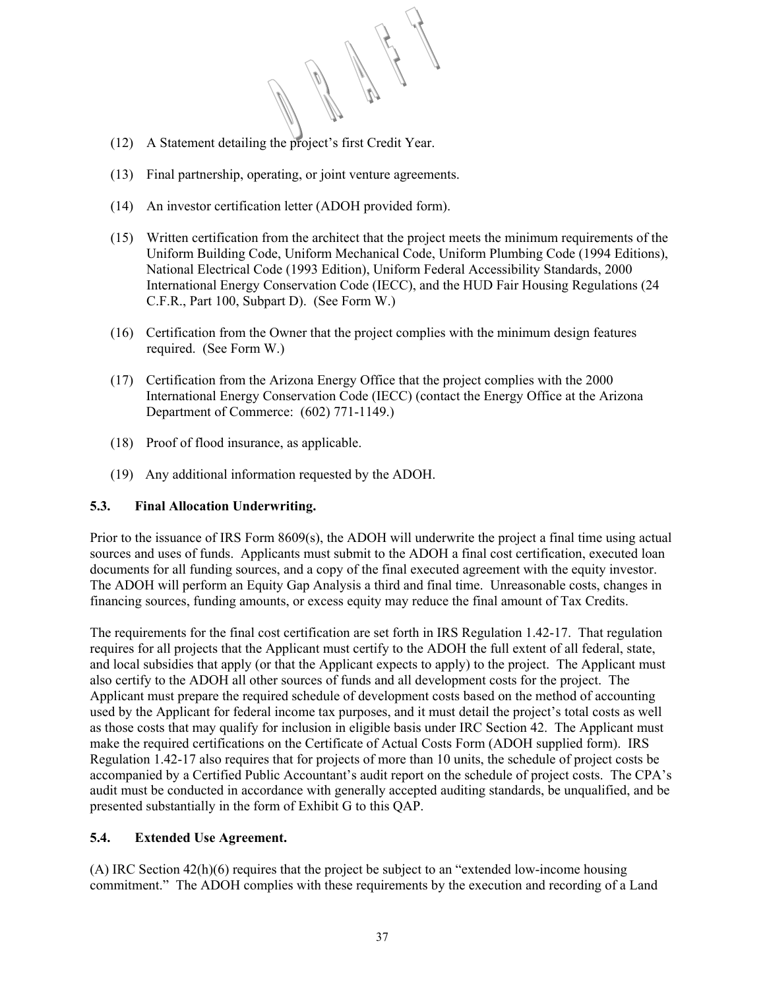- (12) A Statement detailing the project's first Credit Year.
- (13) Final partnership, operating, or joint venture agreements.
- (14) An investor certification letter (ADOH provided form).
- (15) Written certification from the architect that the project meets the minimum requirements of the Uniform Building Code, Uniform Mechanical Code, Uniform Plumbing Code (1994 Editions), National Electrical Code (1993 Edition), Uniform Federal Accessibility Standards, 2000 International Energy Conservation Code (IECC), and the HUD Fair Housing Regulations (24 C.F.R., Part 100, Subpart D). (See Form W.)
- (16) Certification from the Owner that the project complies with the minimum design features required. (See Form W.)
- (17) Certification from the Arizona Energy Office that the project complies with the 2000 International Energy Conservation Code (IECC) (contact the Energy Office at the Arizona Department of Commerce: (602) 771-1149.)
- (18) Proof of flood insurance, as applicable.
- (19) Any additional information requested by the ADOH.

# **5.3. Final Allocation Underwriting.**

Prior to the issuance of IRS Form 8609(s), the ADOH will underwrite the project a final time using actual sources and uses of funds. Applicants must submit to the ADOH a final cost certification, executed loan documents for all funding sources, and a copy of the final executed agreement with the equity investor. The ADOH will perform an Equity Gap Analysis a third and final time. Unreasonable costs, changes in financing sources, funding amounts, or excess equity may reduce the final amount of Tax Credits.

The requirements for the final cost certification are set forth in IRS Regulation 1.42-17. That regulation requires for all projects that the Applicant must certify to the ADOH the full extent of all federal, state, and local subsidies that apply (or that the Applicant expects to apply) to the project. The Applicant must also certify to the ADOH all other sources of funds and all development costs for the project. The Applicant must prepare the required schedule of development costs based on the method of accounting used by the Applicant for federal income tax purposes, and it must detail the project's total costs as well as those costs that may qualify for inclusion in eligible basis under IRC Section 42. The Applicant must make the required certifications on the Certificate of Actual Costs Form (ADOH supplied form). IRS Regulation 1.42-17 also requires that for projects of more than 10 units, the schedule of project costs be accompanied by a Certified Public Accountant's audit report on the schedule of project costs. The CPA's audit must be conducted in accordance with generally accepted auditing standards, be unqualified, and be presented substantially in the form of Exhibit G to this QAP.

# **5.4. Extended Use Agreement.**

(A) IRC Section 42(h)(6) requires that the project be subject to an "extended low-income housing commitment." The ADOH complies with these requirements by the execution and recording of a Land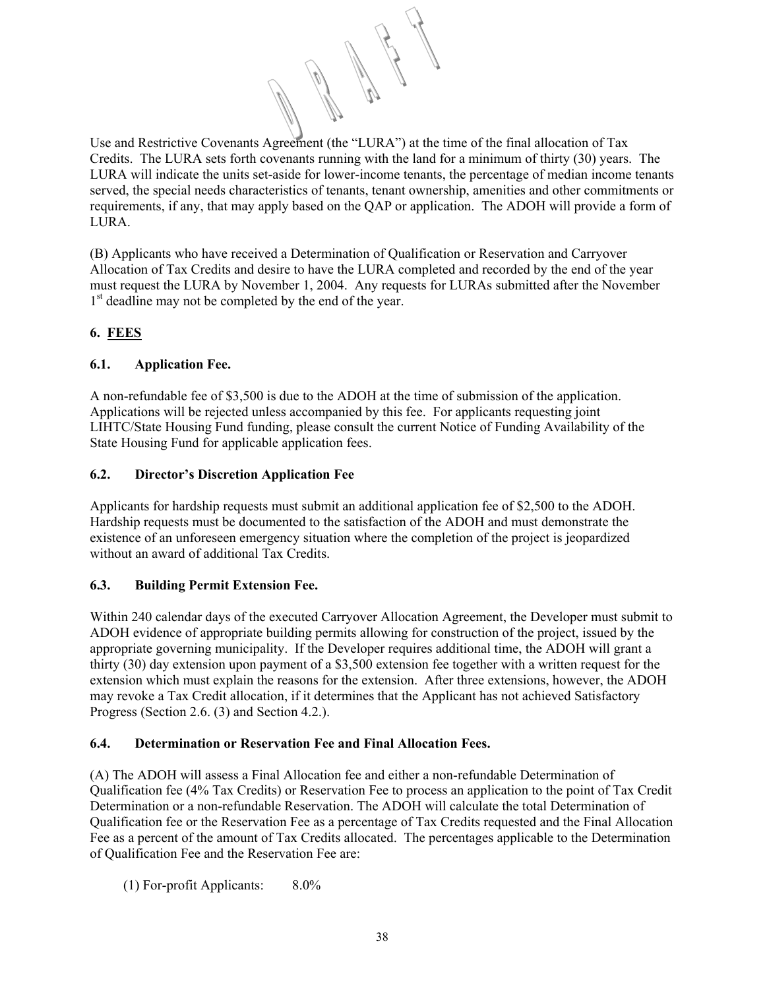Use and Restrictive Covenants Agreement (the "LURA") at the time of the final allocation of Tax Credits. The LURA sets forth covenants running with the land for a minimum of thirty (30) years. The LURA will indicate the units set-aside for lower-income tenants, the percentage of median income tenants served, the special needs characteristics of tenants, tenant ownership, amenities and other commitments or requirements, if any, that may apply based on the QAP or application. The ADOH will provide a form of **LURA** 

(B) Applicants who have received a Determination of Qualification or Reservation and Carryover Allocation of Tax Credits and desire to have the LURA completed and recorded by the end of the year must request the LURA by November 1, 2004. Any requests for LURAs submitted after the November 1<sup>st</sup> deadline may not be completed by the end of the year.

# **6. FEES**

# **6.1. Application Fee.**

A non-refundable fee of \$3,500 is due to the ADOH at the time of submission of the application. Applications will be rejected unless accompanied by this fee. For applicants requesting joint LIHTC/State Housing Fund funding, please consult the current Notice of Funding Availability of the State Housing Fund for applicable application fees.

# **6.2. Director's Discretion Application Fee**

Applicants for hardship requests must submit an additional application fee of \$2,500 to the ADOH. Hardship requests must be documented to the satisfaction of the ADOH and must demonstrate the existence of an unforeseen emergency situation where the completion of the project is jeopardized without an award of additional Tax Credits.

# **6.3. Building Permit Extension Fee.**

Within 240 calendar days of the executed Carryover Allocation Agreement, the Developer must submit to ADOH evidence of appropriate building permits allowing for construction of the project, issued by the appropriate governing municipality. If the Developer requires additional time, the ADOH will grant a thirty (30) day extension upon payment of a \$3,500 extension fee together with a written request for the extension which must explain the reasons for the extension. After three extensions, however, the ADOH may revoke a Tax Credit allocation, if it determines that the Applicant has not achieved Satisfactory Progress (Section 2.6. (3) and Section 4.2.).

# **6.4. Determination or Reservation Fee and Final Allocation Fees.**

(A) The ADOH will assess a Final Allocation fee and either a non-refundable Determination of Qualification fee (4% Tax Credits) or Reservation Fee to process an application to the point of Tax Credit Determination or a non-refundable Reservation. The ADOH will calculate the total Determination of Qualification fee or the Reservation Fee as a percentage of Tax Credits requested and the Final Allocation Fee as a percent of the amount of Tax Credits allocated. The percentages applicable to the Determination of Qualification Fee and the Reservation Fee are:

(1) For-profit Applicants: 8.0%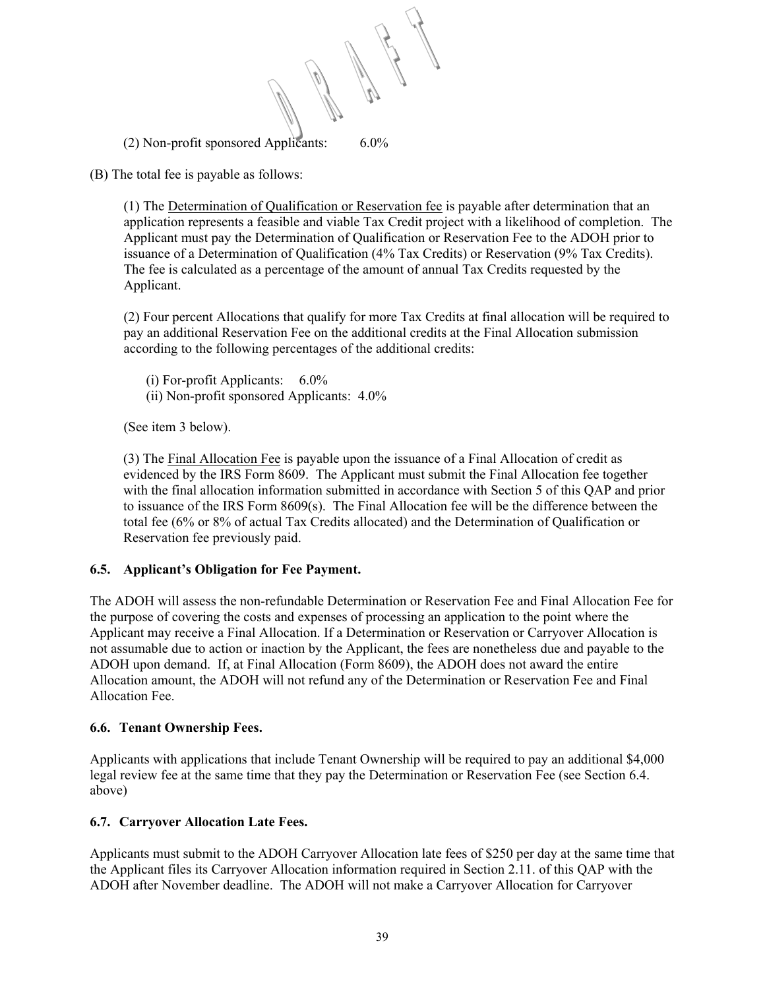(2) Non-profit sponsored Applicants: 6.0%

(B) The total fee is payable as follows:

(1) The Determination of Qualification or Reservation fee is payable after determination that an application represents a feasible and viable Tax Credit project with a likelihood of completion. The Applicant must pay the Determination of Qualification or Reservation Fee to the ADOH prior to issuance of a Determination of Qualification (4% Tax Credits) or Reservation (9% Tax Credits). The fee is calculated as a percentage of the amount of annual Tax Credits requested by the Applicant.

(2) Four percent Allocations that qualify for more Tax Credits at final allocation will be required to pay an additional Reservation Fee on the additional credits at the Final Allocation submission according to the following percentages of the additional credits:

(i) For-profit Applicants: 6.0% (ii) Non-profit sponsored Applicants: 4.0%

(See item 3 below).

(3) The Final Allocation Fee is payable upon the issuance of a Final Allocation of credit as evidenced by the IRS Form 8609. The Applicant must submit the Final Allocation fee together with the final allocation information submitted in accordance with Section 5 of this QAP and prior to issuance of the IRS Form 8609(s). The Final Allocation fee will be the difference between the total fee (6% or 8% of actual Tax Credits allocated) and the Determination of Qualification or Reservation fee previously paid.

# **6.5. Applicant's Obligation for Fee Payment.**

The ADOH will assess the non-refundable Determination or Reservation Fee and Final Allocation Fee for the purpose of covering the costs and expenses of processing an application to the point where the Applicant may receive a Final Allocation. If a Determination or Reservation or Carryover Allocation is not assumable due to action or inaction by the Applicant, the fees are nonetheless due and payable to the ADOH upon demand. If, at Final Allocation (Form 8609), the ADOH does not award the entire Allocation amount, the ADOH will not refund any of the Determination or Reservation Fee and Final Allocation Fee.

# **6.6. Tenant Ownership Fees.**

Applicants with applications that include Tenant Ownership will be required to pay an additional \$4,000 legal review fee at the same time that they pay the Determination or Reservation Fee (see Section 6.4. above)

# **6.7. Carryover Allocation Late Fees.**

Applicants must submit to the ADOH Carryover Allocation late fees of \$250 per day at the same time that the Applicant files its Carryover Allocation information required in Section 2.11. of this QAP with the ADOH after November deadline. The ADOH will not make a Carryover Allocation for Carryover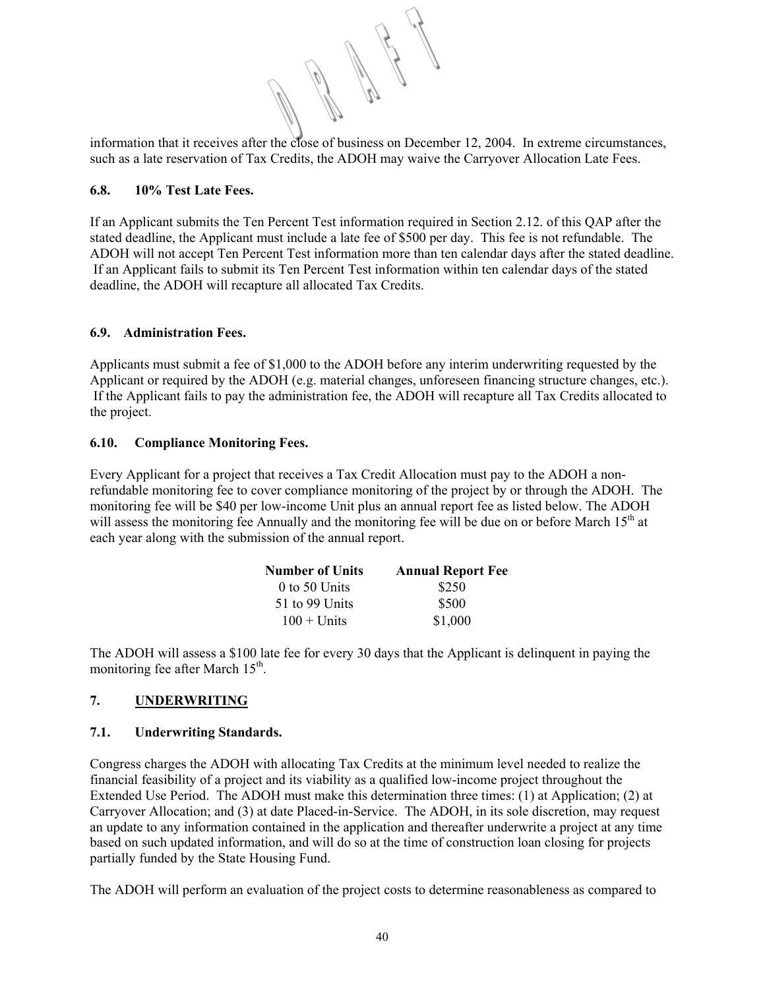information that it receives after the close of business on December 12, 2004. In extreme circumstances, such as a late reservation of Tax Credits, the ADOH may waive the Carryover Allocation Late Fees.

# **6.8. 10% Test Late Fees.**

If an Applicant submits the Ten Percent Test information required in Section 2.12. of this QAP after the stated deadline, the Applicant must include a late fee of \$500 per day. This fee is not refundable. The ADOH will not accept Ten Percent Test information more than ten calendar days after the stated deadline. If an Applicant fails to submit its Ten Percent Test information within ten calendar days of the stated deadline, the ADOH will recapture all allocated Tax Credits.

# **6.9. Administration Fees.**

Applicants must submit a fee of \$1,000 to the ADOH before any interim underwriting requested by the Applicant or required by the ADOH (e.g. material changes, unforeseen financing structure changes, etc.). If the Applicant fails to pay the administration fee, the ADOH will recapture all Tax Credits allocated to the project.

# **6.10. Compliance Monitoring Fees.**

Every Applicant for a project that receives a Tax Credit Allocation must pay to the ADOH a nonrefundable monitoring fee to cover compliance monitoring of the project by or through the ADOH. The monitoring fee will be \$40 per low-income Unit plus an annual report fee as listed below. The ADOH will assess the monitoring fee Annually and the monitoring fee will be due on or before March 15<sup>th</sup> at each year along with the submission of the annual report.

| <b>Number of Units</b> | <b>Annual Report Fee</b> |  |  |
|------------------------|--------------------------|--|--|
| $0$ to 50 Units        | \$250                    |  |  |
| 51 to 99 Units         | \$500                    |  |  |
| $100 +$ Units          | \$1,000                  |  |  |

The ADOH will assess a \$100 late fee for every 30 days that the Applicant is delinquent in paying the monitoring fee after March  $15<sup>th</sup>$ .

# **7. UNDERWRITING**

# **7.1. Underwriting Standards.**

Congress charges the ADOH with allocating Tax Credits at the minimum level needed to realize the financial feasibility of a project and its viability as a qualified low-income project throughout the Extended Use Period. The ADOH must make this determination three times: (1) at Application; (2) at Carryover Allocation; and (3) at date Placed-in-Service. The ADOH, in its sole discretion, may request an update to any information contained in the application and thereafter underwrite a project at any time based on such updated information, and will do so at the time of construction loan closing for projects partially funded by the State Housing Fund.

The ADOH will perform an evaluation of the project costs to determine reasonableness as compared to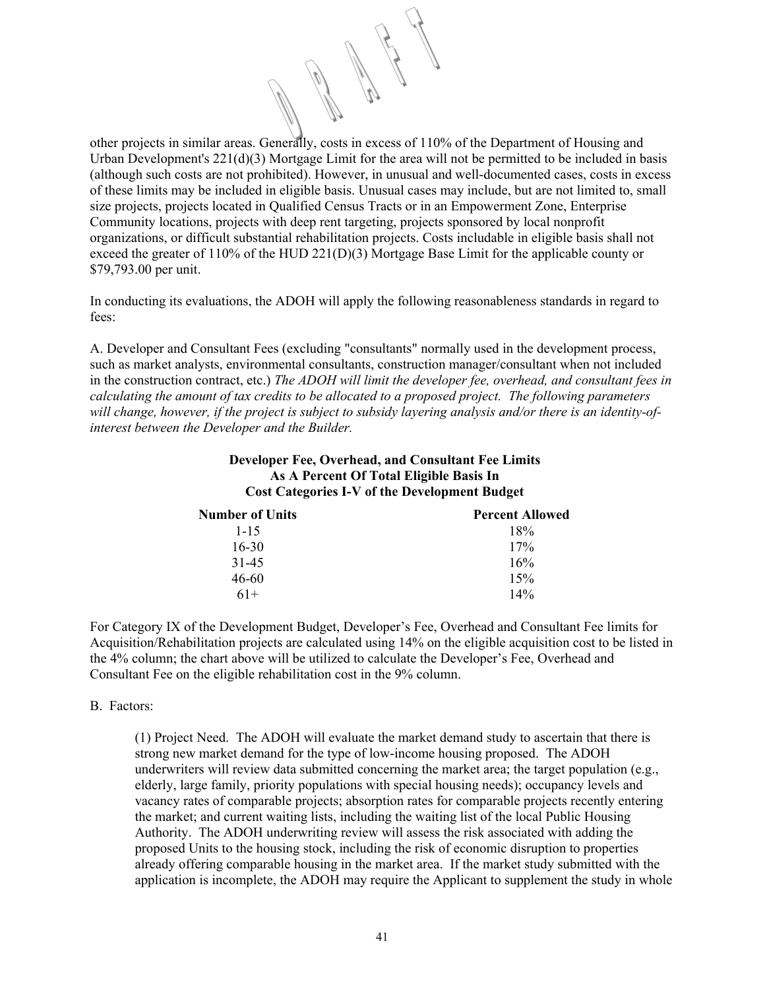other projects in similar areas. Generally, costs in excess of 110% of the Department of Housing and Urban Development's 221(d)(3) Mortgage Limit for the area will not be permitted to be included in basis (although such costs are not prohibited). However, in unusual and well-documented cases, costs in excess of these limits may be included in eligible basis. Unusual cases may include, but are not limited to, small size projects, projects located in Qualified Census Tracts or in an Empowerment Zone, Enterprise Community locations, projects with deep rent targeting, projects sponsored by local nonprofit organizations, or difficult substantial rehabilitation projects. Costs includable in eligible basis shall not exceed the greater of 110% of the HUD 221(D)(3) Mortgage Base Limit for the applicable county or \$79,793.00 per unit.

In conducting its evaluations, the ADOH will apply the following reasonableness standards in regard to fees:

A. Developer and Consultant Fees (excluding "consultants" normally used in the development process, such as market analysts, environmental consultants, construction manager/consultant when not included in the construction contract, etc.) *The ADOH will limit the developer fee, overhead, and consultant fees in calculating the amount of tax credits to be allocated to a proposed project. The following parameters will change, however, if the project is subject to subsidy layering analysis and/or there is an identity-ofinterest between the Developer and the Builder.*

**Developer Fee, Overhead, and Consultant Fee Limits** 

| As A Percent Of Total Eligible Basis In<br><b>Cost Categories I-V of the Development Budget</b> |                        |  |  |
|-------------------------------------------------------------------------------------------------|------------------------|--|--|
| <b>Number of Units</b>                                                                          | <b>Percent Allowed</b> |  |  |
| $1 - 15$                                                                                        | 18%                    |  |  |
| $16 - 30$                                                                                       | 17%                    |  |  |
| $31 - 45$                                                                                       | 16%                    |  |  |
| 46-60                                                                                           | 15%                    |  |  |
| $61+$                                                                                           | 14%                    |  |  |

For Category IX of the Development Budget, Developer's Fee, Overhead and Consultant Fee limits for Acquisition/Rehabilitation projects are calculated using 14% on the eligible acquisition cost to be listed in the 4% column; the chart above will be utilized to calculate the Developer's Fee, Overhead and Consultant Fee on the eligible rehabilitation cost in the 9% column.

#### B. Factors:

(1) Project Need. The ADOH will evaluate the market demand study to ascertain that there is strong new market demand for the type of low-income housing proposed. The ADOH underwriters will review data submitted concerning the market area; the target population (e.g., elderly, large family, priority populations with special housing needs); occupancy levels and vacancy rates of comparable projects; absorption rates for comparable projects recently entering the market; and current waiting lists, including the waiting list of the local Public Housing Authority. The ADOH underwriting review will assess the risk associated with adding the proposed Units to the housing stock, including the risk of economic disruption to properties already offering comparable housing in the market area. If the market study submitted with the application is incomplete, the ADOH may require the Applicant to supplement the study in whole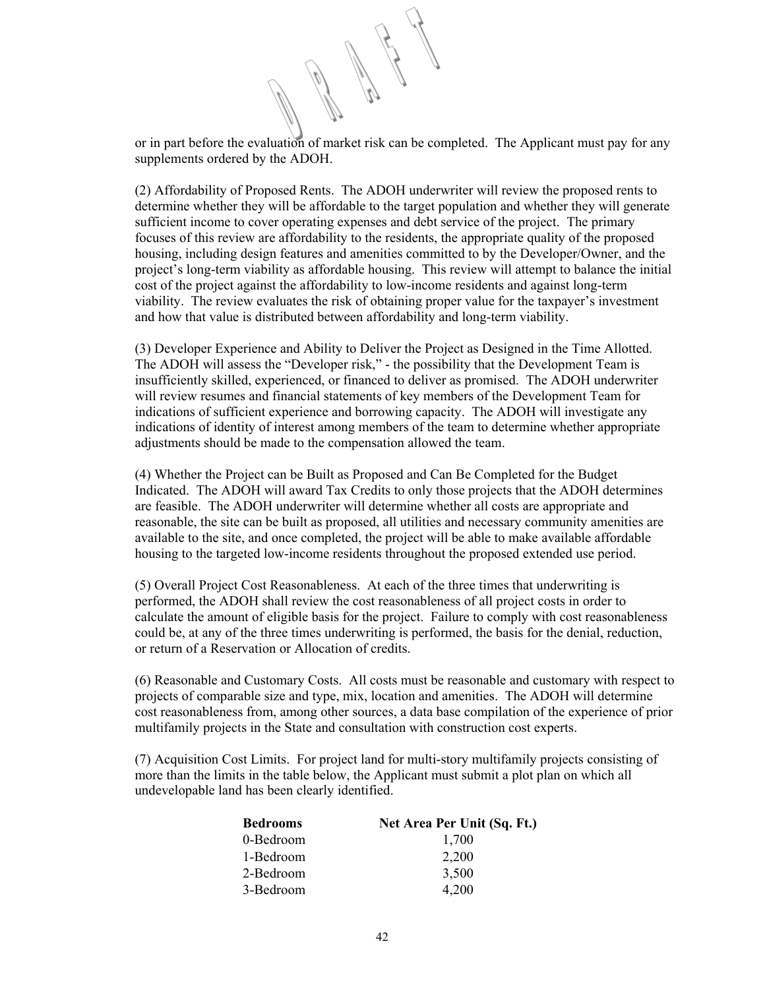or in part before the evaluation of market risk can be completed. The Applicant must pay for any supplements ordered by the ADOH.

(2) Affordability of Proposed Rents. The ADOH underwriter will review the proposed rents to determine whether they will be affordable to the target population and whether they will generate sufficient income to cover operating expenses and debt service of the project. The primary focuses of this review are affordability to the residents, the appropriate quality of the proposed housing, including design features and amenities committed to by the Developer/Owner, and the project's long-term viability as affordable housing. This review will attempt to balance the initial cost of the project against the affordability to low-income residents and against long-term viability. The review evaluates the risk of obtaining proper value for the taxpayer's investment and how that value is distributed between affordability and long-term viability.

(3) Developer Experience and Ability to Deliver the Project as Designed in the Time Allotted. The ADOH will assess the "Developer risk," - the possibility that the Development Team is insufficiently skilled, experienced, or financed to deliver as promised. The ADOH underwriter will review resumes and financial statements of key members of the Development Team for indications of sufficient experience and borrowing capacity. The ADOH will investigate any indications of identity of interest among members of the team to determine whether appropriate adjustments should be made to the compensation allowed the team.

(4) Whether the Project can be Built as Proposed and Can Be Completed for the Budget Indicated. The ADOH will award Tax Credits to only those projects that the ADOH determines are feasible. The ADOH underwriter will determine whether all costs are appropriate and reasonable, the site can be built as proposed, all utilities and necessary community amenities are available to the site, and once completed, the project will be able to make available affordable housing to the targeted low-income residents throughout the proposed extended use period.

(5) Overall Project Cost Reasonableness. At each of the three times that underwriting is performed, the ADOH shall review the cost reasonableness of all project costs in order to calculate the amount of eligible basis for the project. Failure to comply with cost reasonableness could be, at any of the three times underwriting is performed, the basis for the denial, reduction, or return of a Reservation or Allocation of credits.

(6) Reasonable and Customary Costs. All costs must be reasonable and customary with respect to projects of comparable size and type, mix, location and amenities. The ADOH will determine cost reasonableness from, among other sources, a data base compilation of the experience of prior multifamily projects in the State and consultation with construction cost experts.

(7) Acquisition Cost Limits. For project land for multi-story multifamily projects consisting of more than the limits in the table below, the Applicant must submit a plot plan on which all undevelopable land has been clearly identified.

| <b>Bedrooms</b> | Net Area Per Unit (Sq. Ft.) |
|-----------------|-----------------------------|
| 0-Bedroom       | 1,700                       |
| 1-Bedroom       | 2.200                       |
| 2-Bedroom       | 3,500                       |
| 3-Bedroom       | 4.200                       |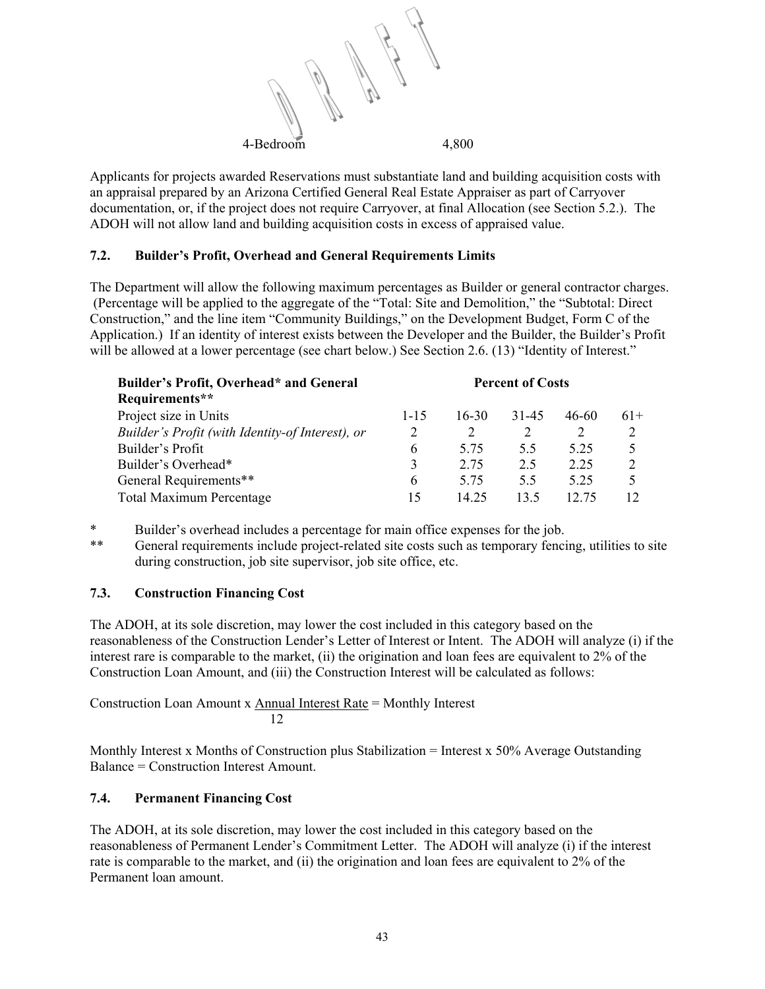

Applicants for projects awarded Reservations must substantiate land and building acquisition costs with an appraisal prepared by an Arizona Certified General Real Estate Appraiser as part of Carryover documentation, or, if the project does not require Carryover, at final Allocation (see Section 5.2.). The ADOH will not allow land and building acquisition costs in excess of appraised value.

# **7.2. Builder's Profit, Overhead and General Requirements Limits**

The Department will allow the following maximum percentages as Builder or general contractor charges. (Percentage will be applied to the aggregate of the "Total: Site and Demolition," the "Subtotal: Direct Construction," and the line item "Community Buildings," on the Development Budget, Form C of the Application.) If an identity of interest exists between the Developer and the Builder, the Builder's Profit will be allowed at a lower percentage (see chart below.) See Section 2.6. (13) "Identity of Interest."

| Builder's Profit, Overhead* and General          | <b>Percent of Costs</b> |         |       |       |                |
|--------------------------------------------------|-------------------------|---------|-------|-------|----------------|
| Requirements**                                   |                         |         |       |       |                |
| Project size in Units                            | $1 - 15$                | $16-30$ | 31-45 | 46-60 | $61+$          |
| Builder's Profit (with Identity-of Interest), or |                         |         |       | 2     |                |
| Builder's Profit                                 | 6                       | 5.75    | 55    | 5 2 5 |                |
| Builder's Overhead*                              | 3                       | 2.75    | 2.5   | 2.25  | $\mathfrak{D}$ |
| General Requirements**                           | 6                       | 5.75    | 5.5   | 5 25  |                |
| <b>Total Maximum Percentage</b>                  | 15                      | 14.25   | 13.5  | 12.75 |                |

\* Builder's overhead includes a percentage for main office expenses for the job.<br>\*\* Canaral requirements include project related site costs such as temporary fenci

General requirements include project-related site costs such as temporary fencing, utilities to site during construction, job site supervisor, job site office, etc.

# **7.3. Construction Financing Cost**

The ADOH, at its sole discretion, may lower the cost included in this category based on the reasonableness of the Construction Lender's Letter of Interest or Intent. The ADOH will analyze (i) if the interest rare is comparable to the market, (ii) the origination and loan fees are equivalent to 2% of the Construction Loan Amount, and (iii) the Construction Interest will be calculated as follows:

Construction Loan Amount x Annual Interest Rate = Monthly Interest 12

Monthly Interest x Months of Construction plus Stabilization = Interest x 50% Average Outstanding Balance = Construction Interest Amount.

# **7.4. Permanent Financing Cost**

The ADOH, at its sole discretion, may lower the cost included in this category based on the reasonableness of Permanent Lender's Commitment Letter. The ADOH will analyze (i) if the interest rate is comparable to the market, and (ii) the origination and loan fees are equivalent to 2% of the Permanent loan amount.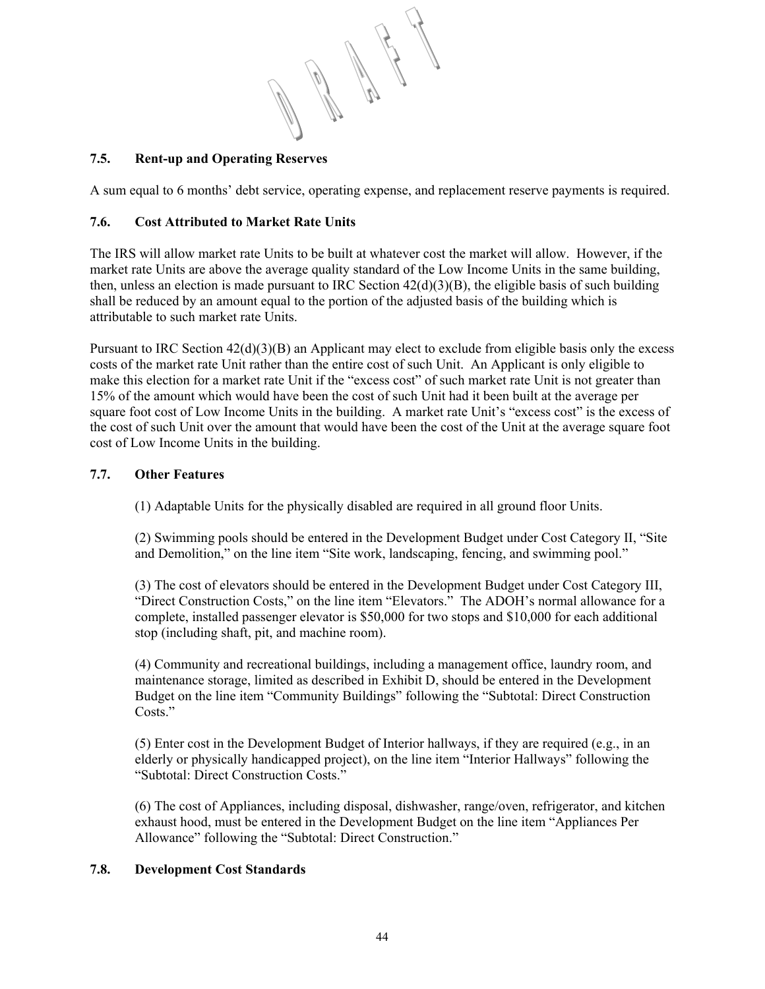# **7.5. Rent-up and Operating Reserves**

A sum equal to 6 months' debt service, operating expense, and replacement reserve payments is required.

# **7.6. Cost Attributed to Market Rate Units**

The IRS will allow market rate Units to be built at whatever cost the market will allow. However, if the market rate Units are above the average quality standard of the Low Income Units in the same building, then, unless an election is made pursuant to IRC Section  $42(d)(3)(B)$ , the eligible basis of such building shall be reduced by an amount equal to the portion of the adjusted basis of the building which is attributable to such market rate Units.

Pursuant to IRC Section  $42(d)(3)(B)$  an Applicant may elect to exclude from eligible basis only the excess costs of the market rate Unit rather than the entire cost of such Unit. An Applicant is only eligible to make this election for a market rate Unit if the "excess cost" of such market rate Unit is not greater than 15% of the amount which would have been the cost of such Unit had it been built at the average per square foot cost of Low Income Units in the building. A market rate Unit's "excess cost" is the excess of the cost of such Unit over the amount that would have been the cost of the Unit at the average square foot cost of Low Income Units in the building.

# **7.7. Other Features**

(1) Adaptable Units for the physically disabled are required in all ground floor Units.

(2) Swimming pools should be entered in the Development Budget under Cost Category II, "Site and Demolition," on the line item "Site work, landscaping, fencing, and swimming pool."

(3) The cost of elevators should be entered in the Development Budget under Cost Category III, "Direct Construction Costs," on the line item "Elevators." The ADOH's normal allowance for a complete, installed passenger elevator is \$50,000 for two stops and \$10,000 for each additional stop (including shaft, pit, and machine room).

(4) Community and recreational buildings, including a management office, laundry room, and maintenance storage, limited as described in Exhibit D, should be entered in the Development Budget on the line item "Community Buildings" following the "Subtotal: Direct Construction Costs."

(5) Enter cost in the Development Budget of Interior hallways, if they are required (e.g., in an elderly or physically handicapped project), on the line item "Interior Hallways" following the "Subtotal: Direct Construction Costs."

(6) The cost of Appliances, including disposal, dishwasher, range/oven, refrigerator, and kitchen exhaust hood, must be entered in the Development Budget on the line item "Appliances Per Allowance" following the "Subtotal: Direct Construction."

# **7.8. Development Cost Standards**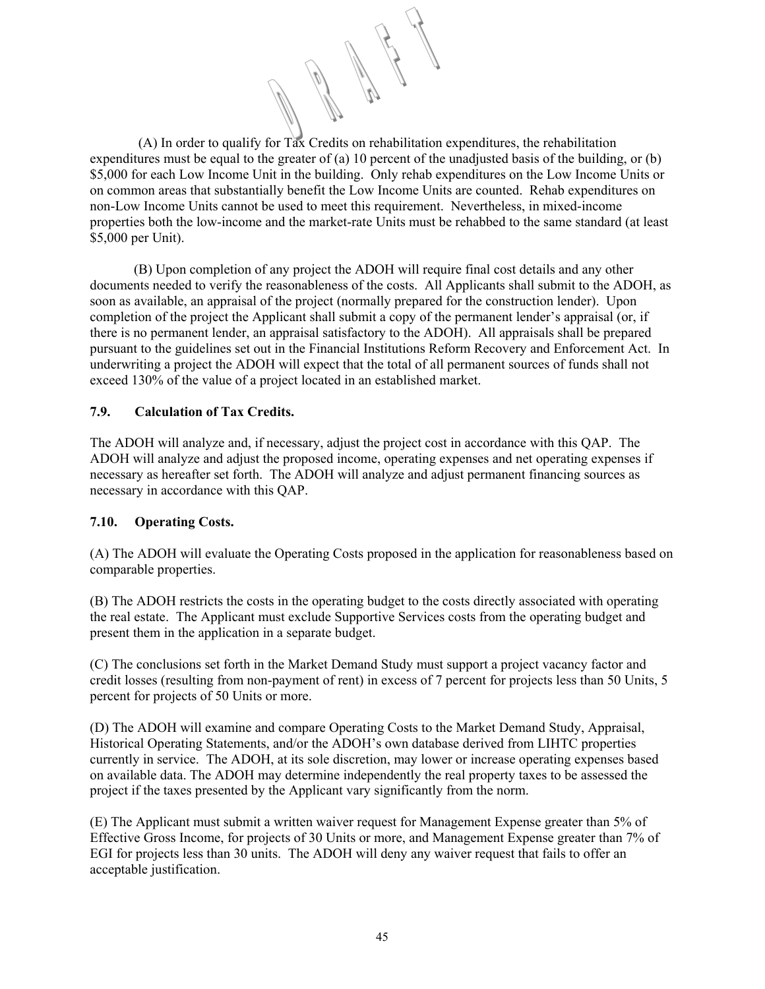(A) In order to qualify for Tax Credits on rehabilitation expenditures, the rehabilitation expenditures must be equal to the greater of (a) 10 percent of the unadjusted basis of the building, or (b) \$5,000 for each Low Income Unit in the building. Only rehab expenditures on the Low Income Units or on common areas that substantially benefit the Low Income Units are counted. Rehab expenditures on non-Low Income Units cannot be used to meet this requirement. Nevertheless, in mixed-income properties both the low-income and the market-rate Units must be rehabbed to the same standard (at least \$5,000 per Unit).

 (B) Upon completion of any project the ADOH will require final cost details and any other documents needed to verify the reasonableness of the costs. All Applicants shall submit to the ADOH, as soon as available, an appraisal of the project (normally prepared for the construction lender). Upon completion of the project the Applicant shall submit a copy of the permanent lender's appraisal (or, if there is no permanent lender, an appraisal satisfactory to the ADOH). All appraisals shall be prepared pursuant to the guidelines set out in the Financial Institutions Reform Recovery and Enforcement Act. In underwriting a project the ADOH will expect that the total of all permanent sources of funds shall not exceed 130% of the value of a project located in an established market.

# **7.9. Calculation of Tax Credits.**

The ADOH will analyze and, if necessary, adjust the project cost in accordance with this QAP. The ADOH will analyze and adjust the proposed income, operating expenses and net operating expenses if necessary as hereafter set forth. The ADOH will analyze and adjust permanent financing sources as necessary in accordance with this QAP.

#### **7.10. Operating Costs.**

(A) The ADOH will evaluate the Operating Costs proposed in the application for reasonableness based on comparable properties.

(B) The ADOH restricts the costs in the operating budget to the costs directly associated with operating the real estate. The Applicant must exclude Supportive Services costs from the operating budget and present them in the application in a separate budget.

(C) The conclusions set forth in the Market Demand Study must support a project vacancy factor and credit losses (resulting from non-payment of rent) in excess of 7 percent for projects less than 50 Units, 5 percent for projects of 50 Units or more.

(D) The ADOH will examine and compare Operating Costs to the Market Demand Study, Appraisal, Historical Operating Statements, and/or the ADOH's own database derived from LIHTC properties currently in service. The ADOH, at its sole discretion, may lower or increase operating expenses based on available data. The ADOH may determine independently the real property taxes to be assessed the project if the taxes presented by the Applicant vary significantly from the norm.

(E) The Applicant must submit a written waiver request for Management Expense greater than 5% of Effective Gross Income, for projects of 30 Units or more, and Management Expense greater than 7% of EGI for projects less than 30 units. The ADOH will deny any waiver request that fails to offer an acceptable justification.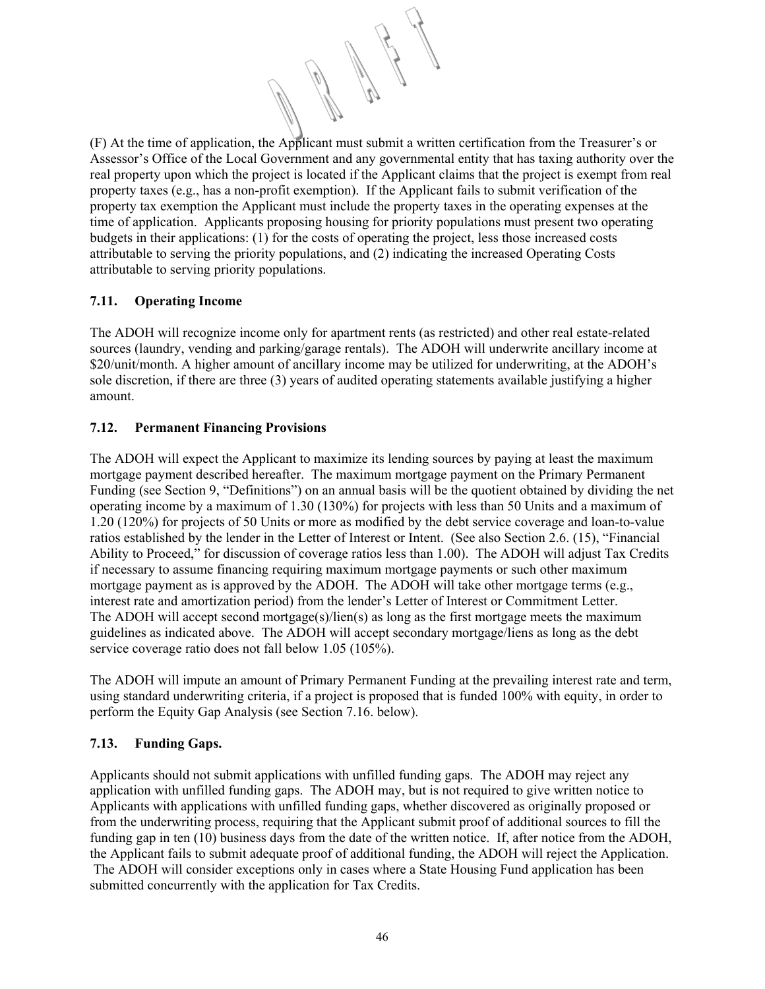(F) At the time of application, the Applicant must submit a written certification from the Treasurer's or Assessor's Office of the Local Government and any governmental entity that has taxing authority over the real property upon which the project is located if the Applicant claims that the project is exempt from real property taxes (e.g., has a non-profit exemption). If the Applicant fails to submit verification of the property tax exemption the Applicant must include the property taxes in the operating expenses at the time of application. Applicants proposing housing for priority populations must present two operating budgets in their applications: (1) for the costs of operating the project, less those increased costs attributable to serving the priority populations, and (2) indicating the increased Operating Costs attributable to serving priority populations.

# **7.11. Operating Income**

The ADOH will recognize income only for apartment rents (as restricted) and other real estate-related sources (laundry, vending and parking/garage rentals). The ADOH will underwrite ancillary income at \$20/unit/month. A higher amount of ancillary income may be utilized for underwriting, at the ADOH's sole discretion, if there are three (3) years of audited operating statements available justifying a higher amount.

# **7.12. Permanent Financing Provisions**

The ADOH will expect the Applicant to maximize its lending sources by paying at least the maximum mortgage payment described hereafter. The maximum mortgage payment on the Primary Permanent Funding (see Section 9, "Definitions") on an annual basis will be the quotient obtained by dividing the net operating income by a maximum of 1.30 (130%) for projects with less than 50 Units and a maximum of 1.20 (120%) for projects of 50 Units or more as modified by the debt service coverage and loan-to-value ratios established by the lender in the Letter of Interest or Intent. (See also Section 2.6. (15), "Financial Ability to Proceed," for discussion of coverage ratios less than 1.00). The ADOH will adjust Tax Credits if necessary to assume financing requiring maximum mortgage payments or such other maximum mortgage payment as is approved by the ADOH. The ADOH will take other mortgage terms (e.g., interest rate and amortization period) from the lender's Letter of Interest or Commitment Letter. The ADOH will accept second mortgage(s)/lien(s) as long as the first mortgage meets the maximum guidelines as indicated above. The ADOH will accept secondary mortgage/liens as long as the debt service coverage ratio does not fall below 1.05 (105%).

The ADOH will impute an amount of Primary Permanent Funding at the prevailing interest rate and term, using standard underwriting criteria, if a project is proposed that is funded 100% with equity, in order to perform the Equity Gap Analysis (see Section 7.16. below).

# **7.13. Funding Gaps.**

Applicants should not submit applications with unfilled funding gaps. The ADOH may reject any application with unfilled funding gaps. The ADOH may, but is not required to give written notice to Applicants with applications with unfilled funding gaps, whether discovered as originally proposed or from the underwriting process, requiring that the Applicant submit proof of additional sources to fill the funding gap in ten (10) business days from the date of the written notice. If, after notice from the ADOH, the Applicant fails to submit adequate proof of additional funding, the ADOH will reject the Application. The ADOH will consider exceptions only in cases where a State Housing Fund application has been submitted concurrently with the application for Tax Credits.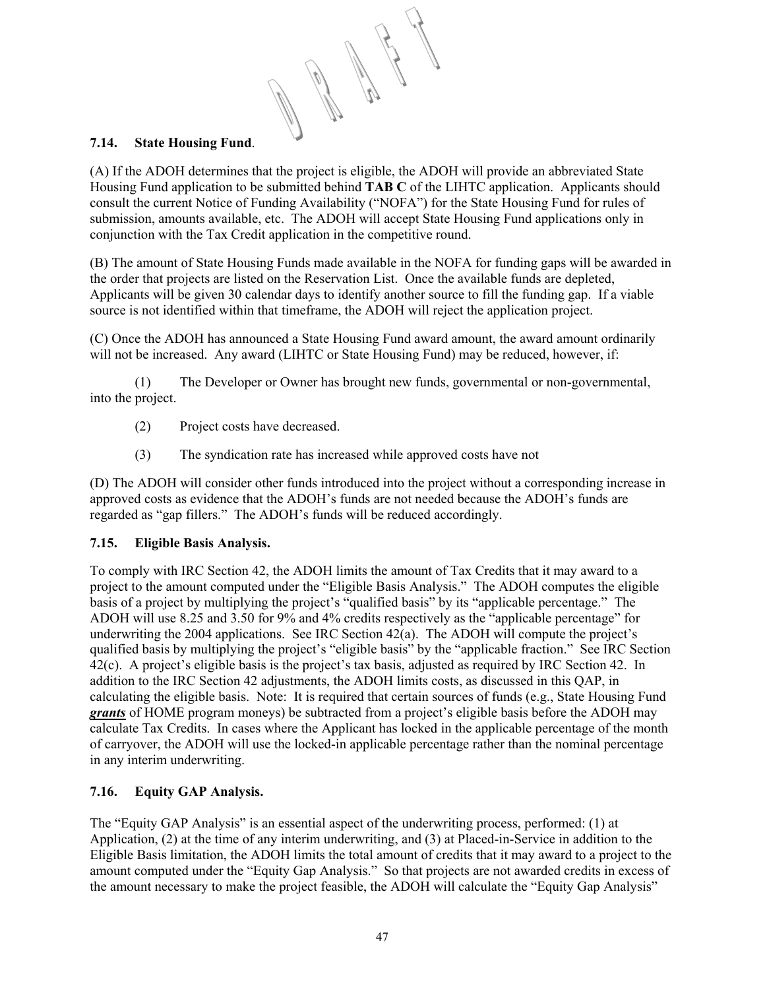# **7.14. State Housing Fund**.

(A) If the ADOH determines that the project is eligible, the ADOH will provide an abbreviated State Housing Fund application to be submitted behind **TAB C** of the LIHTC application. Applicants should consult the current Notice of Funding Availability ("NOFA") for the State Housing Fund for rules of submission, amounts available, etc. The ADOH will accept State Housing Fund applications only in conjunction with the Tax Credit application in the competitive round.

(B) The amount of State Housing Funds made available in the NOFA for funding gaps will be awarded in the order that projects are listed on the Reservation List. Once the available funds are depleted, Applicants will be given 30 calendar days to identify another source to fill the funding gap. If a viable source is not identified within that timeframe, the ADOH will reject the application project.

(C) Once the ADOH has announced a State Housing Fund award amount, the award amount ordinarily will not be increased. Any award (LIHTC or State Housing Fund) may be reduced, however, if:

 (1) The Developer or Owner has brought new funds, governmental or non-governmental, into the project.

- (2) Project costs have decreased.
- (3) The syndication rate has increased while approved costs have not

(D) The ADOH will consider other funds introduced into the project without a corresponding increase in approved costs as evidence that the ADOH's funds are not needed because the ADOH's funds are regarded as "gap fillers." The ADOH's funds will be reduced accordingly.

# **7.15. Eligible Basis Analysis.**

To comply with IRC Section 42, the ADOH limits the amount of Tax Credits that it may award to a project to the amount computed under the "Eligible Basis Analysis." The ADOH computes the eligible basis of a project by multiplying the project's "qualified basis" by its "applicable percentage." The ADOH will use 8.25 and 3.50 for 9% and 4% credits respectively as the "applicable percentage" for underwriting the 2004 applications. See IRC Section 42(a). The ADOH will compute the project's qualified basis by multiplying the project's "eligible basis" by the "applicable fraction." See IRC Section 42(c). A project's eligible basis is the project's tax basis, adjusted as required by IRC Section 42. In addition to the IRC Section 42 adjustments, the ADOH limits costs, as discussed in this QAP, in calculating the eligible basis. Note: It is required that certain sources of funds (e.g., State Housing Fund *grants* of HOME program moneys) be subtracted from a project's eligible basis before the ADOH may calculate Tax Credits. In cases where the Applicant has locked in the applicable percentage of the month of carryover, the ADOH will use the locked-in applicable percentage rather than the nominal percentage in any interim underwriting.

# **7.16. Equity GAP Analysis.**

The "Equity GAP Analysis" is an essential aspect of the underwriting process, performed: (1) at Application, (2) at the time of any interim underwriting, and (3) at Placed-in-Service in addition to the Eligible Basis limitation, the ADOH limits the total amount of credits that it may award to a project to the amount computed under the "Equity Gap Analysis." So that projects are not awarded credits in excess of the amount necessary to make the project feasible, the ADOH will calculate the "Equity Gap Analysis"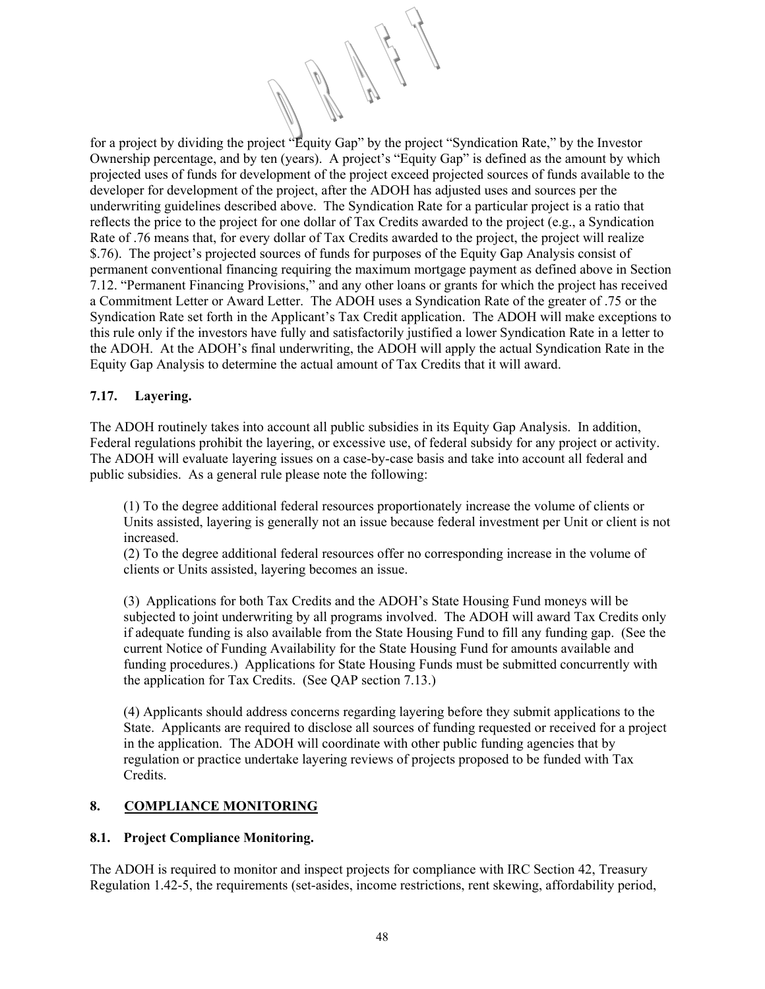for a project by dividing the project "Equity Gap" by the project "Syndication Rate," by the Investor Ownership percentage, and by ten (years). A project's "Equity Gap" is defined as the amount by which projected uses of funds for development of the project exceed projected sources of funds available to the developer for development of the project, after the ADOH has adjusted uses and sources per the underwriting guidelines described above. The Syndication Rate for a particular project is a ratio that reflects the price to the project for one dollar of Tax Credits awarded to the project (e.g., a Syndication Rate of .76 means that, for every dollar of Tax Credits awarded to the project, the project will realize \$.76). The project's projected sources of funds for purposes of the Equity Gap Analysis consist of permanent conventional financing requiring the maximum mortgage payment as defined above in Section 7.12. "Permanent Financing Provisions," and any other loans or grants for which the project has received a Commitment Letter or Award Letter. The ADOH uses a Syndication Rate of the greater of .75 or the Syndication Rate set forth in the Applicant's Tax Credit application. The ADOH will make exceptions to this rule only if the investors have fully and satisfactorily justified a lower Syndication Rate in a letter to the ADOH. At the ADOH's final underwriting, the ADOH will apply the actual Syndication Rate in the Equity Gap Analysis to determine the actual amount of Tax Credits that it will award.

# **7.17. Layering.**

The ADOH routinely takes into account all public subsidies in its Equity Gap Analysis. In addition, Federal regulations prohibit the layering, or excessive use, of federal subsidy for any project or activity. The ADOH will evaluate layering issues on a case-by-case basis and take into account all federal and public subsidies. As a general rule please note the following:

(1) To the degree additional federal resources proportionately increase the volume of clients or Units assisted, layering is generally not an issue because federal investment per Unit or client is not increased.

(2) To the degree additional federal resources offer no corresponding increase in the volume of clients or Units assisted, layering becomes an issue.

(3) Applications for both Tax Credits and the ADOH's State Housing Fund moneys will be subjected to joint underwriting by all programs involved. The ADOH will award Tax Credits only if adequate funding is also available from the State Housing Fund to fill any funding gap. (See the current Notice of Funding Availability for the State Housing Fund for amounts available and funding procedures.) Applications for State Housing Funds must be submitted concurrently with the application for Tax Credits. (See QAP section 7.13.)

(4) Applicants should address concerns regarding layering before they submit applications to the State. Applicants are required to disclose all sources of funding requested or received for a project in the application. The ADOH will coordinate with other public funding agencies that by regulation or practice undertake layering reviews of projects proposed to be funded with Tax Credits.

# **8. COMPLIANCE MONITORING**

# **8.1. Project Compliance Monitoring.**

The ADOH is required to monitor and inspect projects for compliance with IRC Section 42, Treasury Regulation 1.42-5, the requirements (set-asides, income restrictions, rent skewing, affordability period,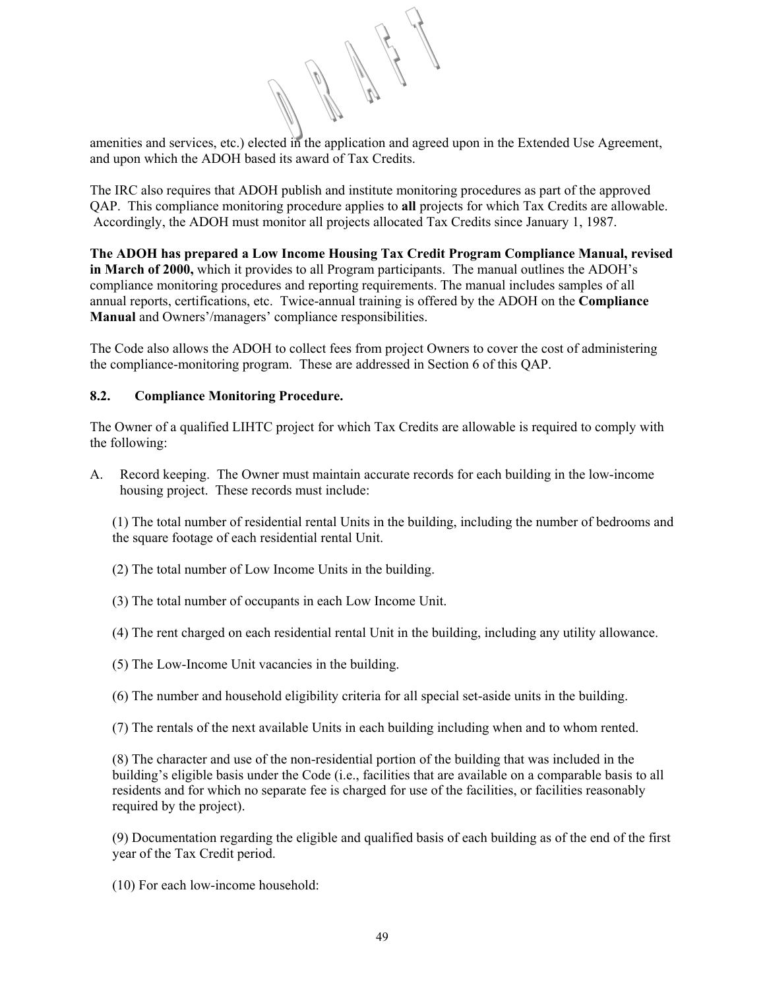amenities and services, etc.) elected in the application and agreed upon in the Extended Use Agreement, and upon which the ADOH based its award of Tax Credits.

The IRC also requires that ADOH publish and institute monitoring procedures as part of the approved QAP. This compliance monitoring procedure applies to **all** projects for which Tax Credits are allowable. Accordingly, the ADOH must monitor all projects allocated Tax Credits since January 1, 1987.

**The ADOH has prepared a Low Income Housing Tax Credit Program Compliance Manual, revised in March of 2000,** which it provides to all Program participants. The manual outlines the ADOH's compliance monitoring procedures and reporting requirements. The manual includes samples of all annual reports, certifications, etc. Twice-annual training is offered by the ADOH on the **Compliance Manual** and Owners'/managers' compliance responsibilities.

The Code also allows the ADOH to collect fees from project Owners to cover the cost of administering the compliance-monitoring program. These are addressed in Section 6 of this QAP.

# **8.2. Compliance Monitoring Procedure.**

The Owner of a qualified LIHTC project for which Tax Credits are allowable is required to comply with the following:

A. Record keeping. The Owner must maintain accurate records for each building in the low-income housing project. These records must include:

(1) The total number of residential rental Units in the building, including the number of bedrooms and the square footage of each residential rental Unit.

- (2) The total number of Low Income Units in the building.
- (3) The total number of occupants in each Low Income Unit.
- (4) The rent charged on each residential rental Unit in the building, including any utility allowance.
- (5) The Low-Income Unit vacancies in the building.

(6) The number and household eligibility criteria for all special set-aside units in the building.

(7) The rentals of the next available Units in each building including when and to whom rented.

(8) The character and use of the non-residential portion of the building that was included in the building's eligible basis under the Code (i.e., facilities that are available on a comparable basis to all residents and for which no separate fee is charged for use of the facilities, or facilities reasonably required by the project).

(9) Documentation regarding the eligible and qualified basis of each building as of the end of the first year of the Tax Credit period.

(10) For each low-income household: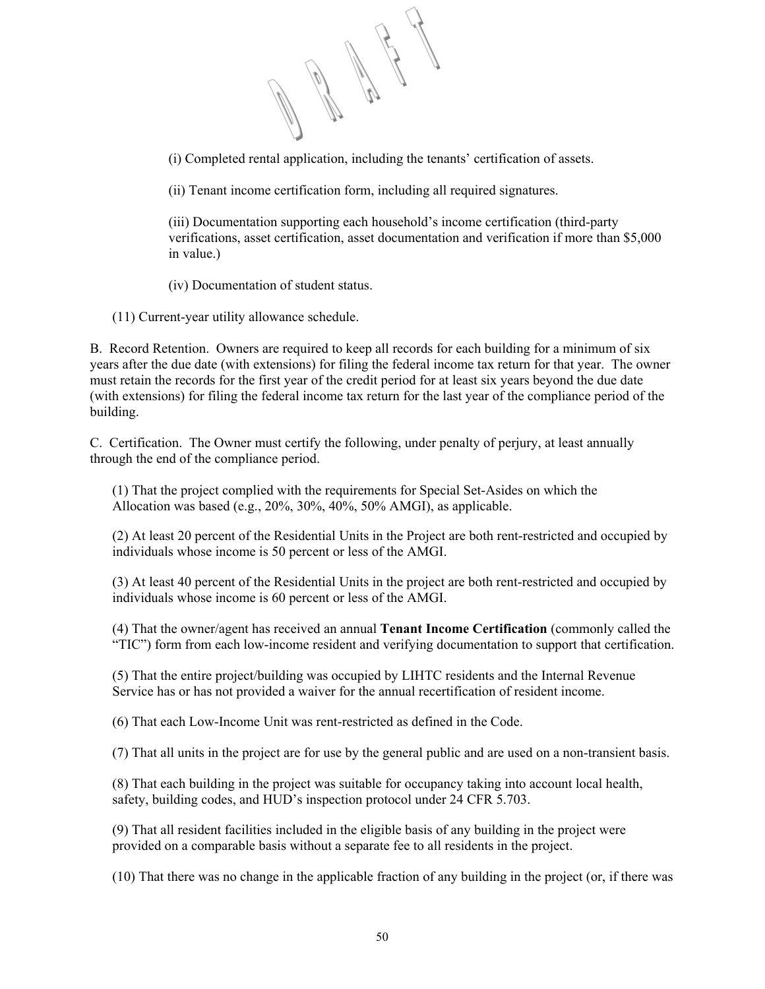(i) Completed rental application, including the tenants' certification of assets.

(ii) Tenant income certification form, including all required signatures.

(iii) Documentation supporting each household's income certification (third-party verifications, asset certification, asset documentation and verification if more than \$5,000 in value.)

(iv) Documentation of student status.

(11) Current-year utility allowance schedule.

B. Record Retention. Owners are required to keep all records for each building for a minimum of six years after the due date (with extensions) for filing the federal income tax return for that year. The owner must retain the records for the first year of the credit period for at least six years beyond the due date (with extensions) for filing the federal income tax return for the last year of the compliance period of the building.

C. Certification. The Owner must certify the following, under penalty of perjury, at least annually through the end of the compliance period.

(1) That the project complied with the requirements for Special Set-Asides on which the Allocation was based (e.g., 20%, 30%, 40%, 50% AMGI), as applicable.

(2) At least 20 percent of the Residential Units in the Project are both rent-restricted and occupied by individuals whose income is 50 percent or less of the AMGI.

(3) At least 40 percent of the Residential Units in the project are both rent-restricted and occupied by individuals whose income is 60 percent or less of the AMGI.

(4) That the owner/agent has received an annual **Tenant Income Certification** (commonly called the "TIC") form from each low-income resident and verifying documentation to support that certification.

(5) That the entire project/building was occupied by LIHTC residents and the Internal Revenue Service has or has not provided a waiver for the annual recertification of resident income.

(6) That each Low-Income Unit was rent-restricted as defined in the Code.

(7) That all units in the project are for use by the general public and are used on a non-transient basis.

(8) That each building in the project was suitable for occupancy taking into account local health, safety, building codes, and HUD's inspection protocol under 24 CFR 5.703.

(9) That all resident facilities included in the eligible basis of any building in the project were provided on a comparable basis without a separate fee to all residents in the project.

(10) That there was no change in the applicable fraction of any building in the project (or, if there was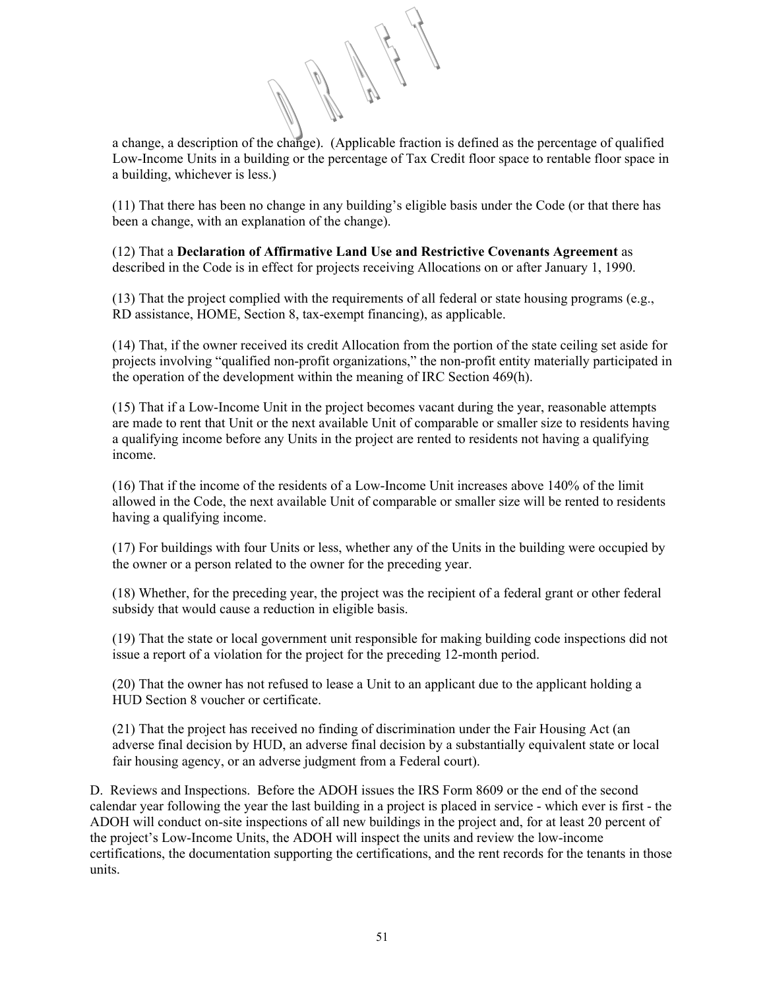a change, a description of the change). (Applicable fraction is defined as the percentage of qualified Low-Income Units in a building or the percentage of Tax Credit floor space to rentable floor space in a building, whichever is less.)

(11) That there has been no change in any building's eligible basis under the Code (or that there has been a change, with an explanation of the change).

(12) That a **Declaration of Affirmative Land Use and Restrictive Covenants Agreement** as described in the Code is in effect for projects receiving Allocations on or after January 1, 1990.

(13) That the project complied with the requirements of all federal or state housing programs (e.g., RD assistance, HOME, Section 8, tax-exempt financing), as applicable.

(14) That, if the owner received its credit Allocation from the portion of the state ceiling set aside for projects involving "qualified non-profit organizations," the non-profit entity materially participated in the operation of the development within the meaning of IRC Section 469(h).

(15) That if a Low-Income Unit in the project becomes vacant during the year, reasonable attempts are made to rent that Unit or the next available Unit of comparable or smaller size to residents having a qualifying income before any Units in the project are rented to residents not having a qualifying income.

(16) That if the income of the residents of a Low-Income Unit increases above 140% of the limit allowed in the Code, the next available Unit of comparable or smaller size will be rented to residents having a qualifying income.

(17) For buildings with four Units or less, whether any of the Units in the building were occupied by the owner or a person related to the owner for the preceding year.

(18) Whether, for the preceding year, the project was the recipient of a federal grant or other federal subsidy that would cause a reduction in eligible basis.

(19) That the state or local government unit responsible for making building code inspections did not issue a report of a violation for the project for the preceding 12-month period.

(20) That the owner has not refused to lease a Unit to an applicant due to the applicant holding a HUD Section 8 voucher or certificate.

(21) That the project has received no finding of discrimination under the Fair Housing Act (an adverse final decision by HUD, an adverse final decision by a substantially equivalent state or local fair housing agency, or an adverse judgment from a Federal court).

D. Reviews and Inspections. Before the ADOH issues the IRS Form 8609 or the end of the second calendar year following the year the last building in a project is placed in service - which ever is first - the ADOH will conduct on-site inspections of all new buildings in the project and, for at least 20 percent of the project's Low-Income Units, the ADOH will inspect the units and review the low-income certifications, the documentation supporting the certifications, and the rent records for the tenants in those units.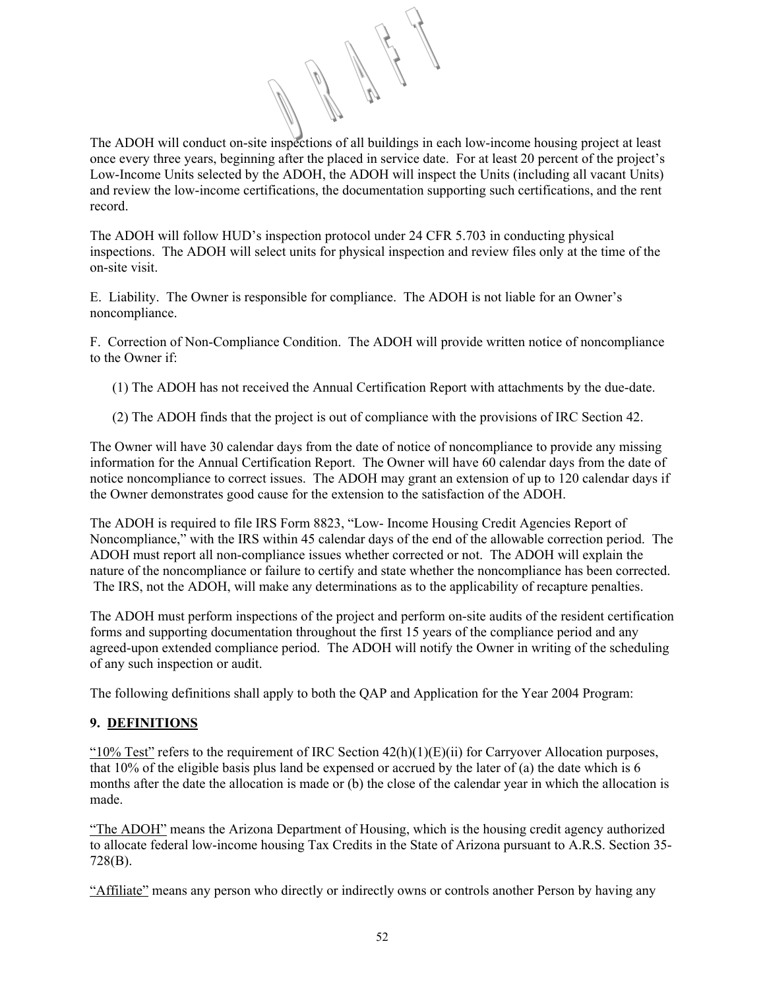The ADOH will conduct on-site inspections of all buildings in each low-income housing project at least once every three years, beginning after the placed in service date. For at least 20 percent of the project's Low-Income Units selected by the ADOH, the ADOH will inspect the Units (including all vacant Units) and review the low-income certifications, the documentation supporting such certifications, and the rent record.

The ADOH will follow HUD's inspection protocol under 24 CFR 5.703 in conducting physical inspections. The ADOH will select units for physical inspection and review files only at the time of the on-site visit.

E. Liability. The Owner is responsible for compliance. The ADOH is not liable for an Owner's noncompliance.

F. Correction of Non-Compliance Condition. The ADOH will provide written notice of noncompliance to the Owner if:

- (1) The ADOH has not received the Annual Certification Report with attachments by the due-date.
- (2) The ADOH finds that the project is out of compliance with the provisions of IRC Section 42.

The Owner will have 30 calendar days from the date of notice of noncompliance to provide any missing information for the Annual Certification Report. The Owner will have 60 calendar days from the date of notice noncompliance to correct issues. The ADOH may grant an extension of up to 120 calendar days if the Owner demonstrates good cause for the extension to the satisfaction of the ADOH.

The ADOH is required to file IRS Form 8823, "Low- Income Housing Credit Agencies Report of Noncompliance," with the IRS within 45 calendar days of the end of the allowable correction period. The ADOH must report all non-compliance issues whether corrected or not. The ADOH will explain the nature of the noncompliance or failure to certify and state whether the noncompliance has been corrected. The IRS, not the ADOH, will make any determinations as to the applicability of recapture penalties.

The ADOH must perform inspections of the project and perform on-site audits of the resident certification forms and supporting documentation throughout the first 15 years of the compliance period and any agreed-upon extended compliance period. The ADOH will notify the Owner in writing of the scheduling of any such inspection or audit.

The following definitions shall apply to both the QAP and Application for the Year 2004 Program:

# **9. DEFINITIONS**

" $10\%$  Test" refers to the requirement of IRC Section  $42(h)(1)(E)(ii)$  for Carryover Allocation purposes, that  $10\%$  of the eligible basis plus land be expensed or accrued by the later of (a) the date which is 6 months after the date the allocation is made or (b) the close of the calendar year in which the allocation is made.

"The ADOH" means the Arizona Department of Housing, which is the housing credit agency authorized to allocate federal low-income housing Tax Credits in the State of Arizona pursuant to A.R.S. Section 35- 728(B).

"Affiliate" means any person who directly or indirectly owns or controls another Person by having any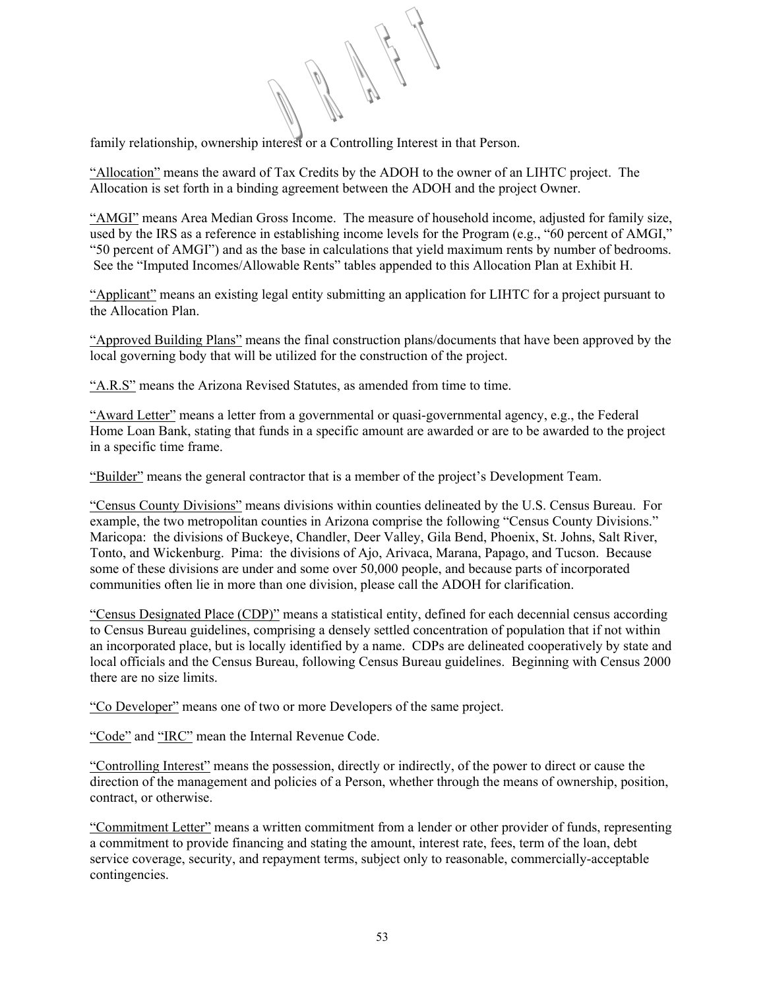family relationship, ownership interest or a Controlling Interest in that Person.

"Allocation" means the award of Tax Credits by the ADOH to the owner of an LIHTC project. The Allocation is set forth in a binding agreement between the ADOH and the project Owner.

"AMGI" means Area Median Gross Income. The measure of household income, adjusted for family size, used by the IRS as a reference in establishing income levels for the Program (e.g., "60 percent of AMGI," "50 percent of AMGI") and as the base in calculations that yield maximum rents by number of bedrooms. See the "Imputed Incomes/Allowable Rents" tables appended to this Allocation Plan at Exhibit H.

"Applicant" means an existing legal entity submitting an application for LIHTC for a project pursuant to the Allocation Plan.

"Approved Building Plans" means the final construction plans/documents that have been approved by the local governing body that will be utilized for the construction of the project.

"A.R.S" means the Arizona Revised Statutes, as amended from time to time.

"Award Letter" means a letter from a governmental or quasi-governmental agency, e.g., the Federal Home Loan Bank, stating that funds in a specific amount are awarded or are to be awarded to the project in a specific time frame.

"Builder" means the general contractor that is a member of the project's Development Team.

"Census County Divisions" means divisions within counties delineated by the U.S. Census Bureau. For example, the two metropolitan counties in Arizona comprise the following "Census County Divisions." Maricopa: the divisions of Buckeye, Chandler, Deer Valley, Gila Bend, Phoenix, St. Johns, Salt River, Tonto, and Wickenburg. Pima: the divisions of Ajo, Arivaca, Marana, Papago, and Tucson. Because some of these divisions are under and some over 50,000 people, and because parts of incorporated communities often lie in more than one division, please call the ADOH for clarification.

"Census Designated Place (CDP)" means a statistical entity, defined for each decennial census according to Census Bureau guidelines, comprising a densely settled concentration of population that if not within an incorporated place, but is locally identified by a name. CDPs are delineated cooperatively by state and local officials and the Census Bureau, following Census Bureau guidelines. Beginning with Census 2000 there are no size limits.

"Co Developer" means one of two or more Developers of the same project.

"Code" and "IRC" mean the Internal Revenue Code.

"Controlling Interest" means the possession, directly or indirectly, of the power to direct or cause the direction of the management and policies of a Person, whether through the means of ownership, position, contract, or otherwise.

"Commitment Letter" means a written commitment from a lender or other provider of funds, representing a commitment to provide financing and stating the amount, interest rate, fees, term of the loan, debt service coverage, security, and repayment terms, subject only to reasonable, commercially-acceptable contingencies.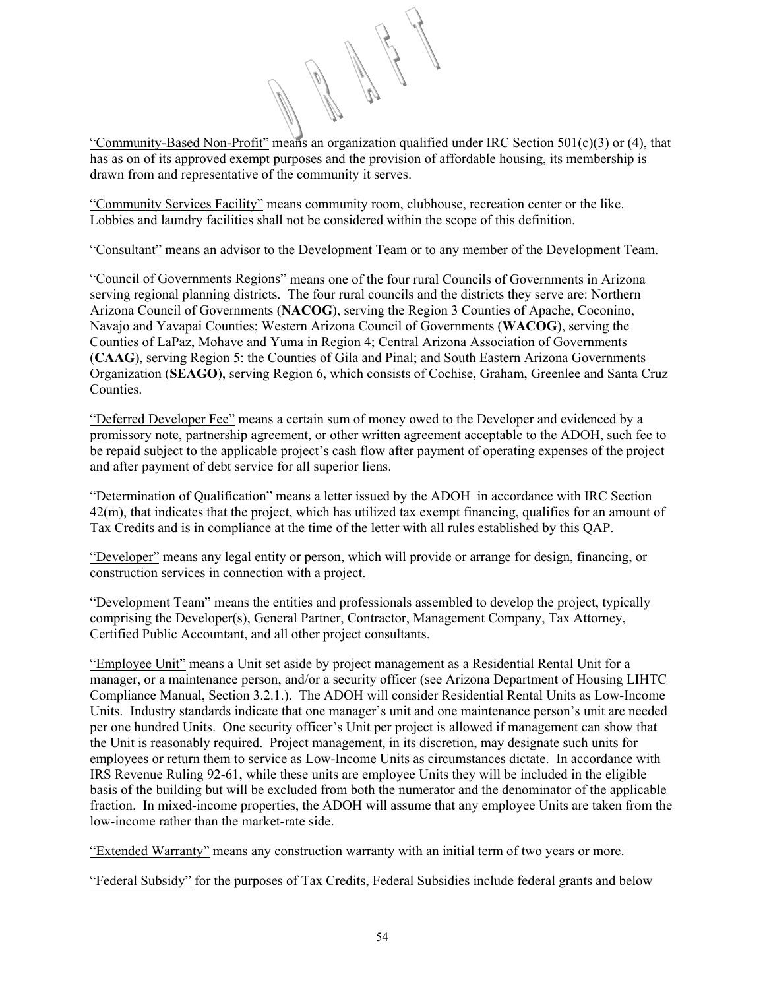"Community-Based Non-Profit" means an organization qualified under IRC Section 501(c)(3) or (4), that has as on of its approved exempt purposes and the provision of affordable housing, its membership is drawn from and representative of the community it serves.

"Community Services Facility" means community room, clubhouse, recreation center or the like. Lobbies and laundry facilities shall not be considered within the scope of this definition.

"Consultant" means an advisor to the Development Team or to any member of the Development Team.

"Council of Governments Regions" means one of the four rural Councils of Governments in Arizona serving regional planning districts. The four rural councils and the districts they serve are: Northern Arizona Council of Governments (**NACOG**), serving the Region 3 Counties of Apache, Coconino, Navajo and Yavapai Counties; Western Arizona Council of Governments (**WACOG**), serving the Counties of LaPaz, Mohave and Yuma in Region 4; Central Arizona Association of Governments (**CAAG**), serving Region 5: the Counties of Gila and Pinal; and South Eastern Arizona Governments Organization (**SEAGO**), serving Region 6, which consists of Cochise, Graham, Greenlee and Santa Cruz Counties.

"Deferred Developer Fee" means a certain sum of money owed to the Developer and evidenced by a promissory note, partnership agreement, or other written agreement acceptable to the ADOH, such fee to be repaid subject to the applicable project's cash flow after payment of operating expenses of the project and after payment of debt service for all superior liens.

"Determination of Qualification" means a letter issued by the ADOH in accordance with IRC Section 42(m), that indicates that the project, which has utilized tax exempt financing, qualifies for an amount of Tax Credits and is in compliance at the time of the letter with all rules established by this QAP.

"Developer" means any legal entity or person, which will provide or arrange for design, financing, or construction services in connection with a project.

"Development Team" means the entities and professionals assembled to develop the project, typically comprising the Developer(s), General Partner, Contractor, Management Company, Tax Attorney, Certified Public Accountant, and all other project consultants.

"Employee Unit" means a Unit set aside by project management as a Residential Rental Unit for a manager, or a maintenance person, and/or a security officer (see Arizona Department of Housing LIHTC Compliance Manual, Section 3.2.1.). The ADOH will consider Residential Rental Units as Low-Income Units. Industry standards indicate that one manager's unit and one maintenance person's unit are needed per one hundred Units. One security officer's Unit per project is allowed if management can show that the Unit is reasonably required. Project management, in its discretion, may designate such units for employees or return them to service as Low-Income Units as circumstances dictate. In accordance with IRS Revenue Ruling 92-61, while these units are employee Units they will be included in the eligible basis of the building but will be excluded from both the numerator and the denominator of the applicable fraction. In mixed-income properties, the ADOH will assume that any employee Units are taken from the low-income rather than the market-rate side.

"Extended Warranty" means any construction warranty with an initial term of two years or more.

"Federal Subsidy" for the purposes of Tax Credits, Federal Subsidies include federal grants and below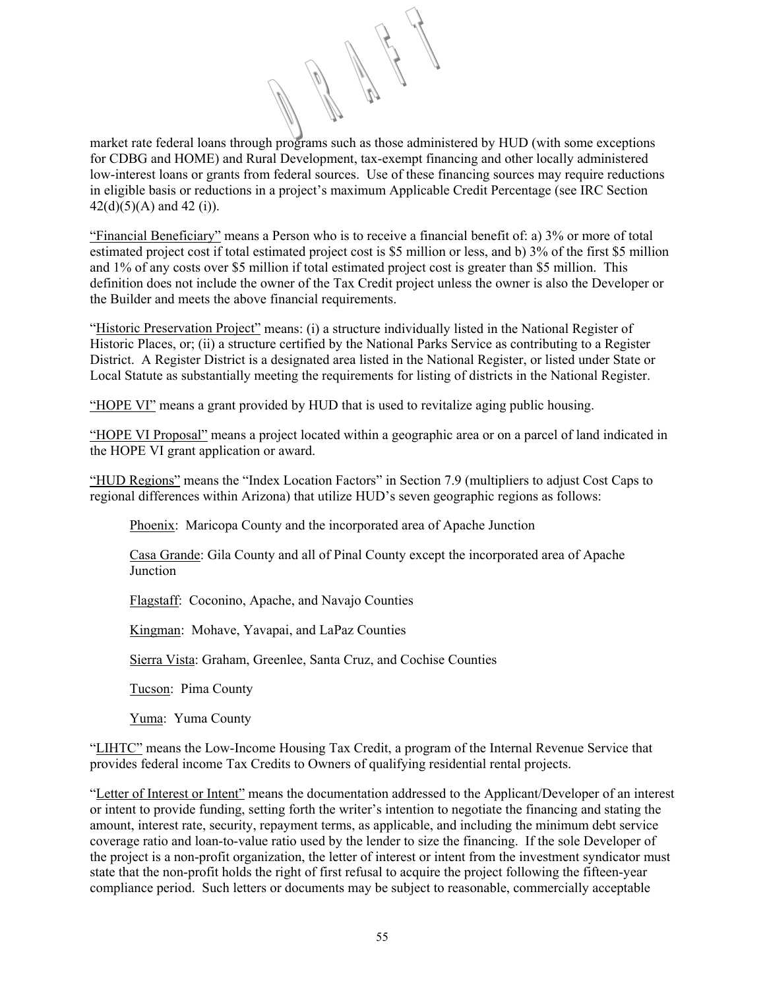market rate federal loans through programs such as those administered by HUD (with some exceptions for CDBG and HOME) and Rural Development, tax-exempt financing and other locally administered low-interest loans or grants from federal sources. Use of these financing sources may require reductions in eligible basis or reductions in a project's maximum Applicable Credit Percentage (see IRC Section  $42(d)(5)(A)$  and  $42(i)$ ).

"Financial Beneficiary" means a Person who is to receive a financial benefit of: a) 3% or more of total estimated project cost if total estimated project cost is \$5 million or less, and b) 3% of the first \$5 million and 1% of any costs over \$5 million if total estimated project cost is greater than \$5 million. This definition does not include the owner of the Tax Credit project unless the owner is also the Developer or the Builder and meets the above financial requirements.

"Historic Preservation Project" means: (i) a structure individually listed in the National Register of Historic Places, or; (ii) a structure certified by the National Parks Service as contributing to a Register District. A Register District is a designated area listed in the National Register, or listed under State or Local Statute as substantially meeting the requirements for listing of districts in the National Register.

"HOPE VI" means a grant provided by HUD that is used to revitalize aging public housing.

"HOPE VI Proposal" means a project located within a geographic area or on a parcel of land indicated in the HOPE VI grant application or award.

"HUD Regions" means the "Index Location Factors" in Section 7.9 (multipliers to adjust Cost Caps to regional differences within Arizona) that utilize HUD's seven geographic regions as follows:

Phoenix: Maricopa County and the incorporated area of Apache Junction

Casa Grande: Gila County and all of Pinal County except the incorporated area of Apache **Junction** 

Flagstaff: Coconino, Apache, and Navajo Counties

Kingman: Mohave, Yavapai, and LaPaz Counties

Sierra Vista: Graham, Greenlee, Santa Cruz, and Cochise Counties

Tucson: Pima County

Yuma: Yuma County

"LIHTC" means the Low-Income Housing Tax Credit, a program of the Internal Revenue Service that provides federal income Tax Credits to Owners of qualifying residential rental projects.

"Letter of Interest or Intent" means the documentation addressed to the Applicant/Developer of an interest or intent to provide funding, setting forth the writer's intention to negotiate the financing and stating the amount, interest rate, security, repayment terms, as applicable, and including the minimum debt service coverage ratio and loan-to-value ratio used by the lender to size the financing. If the sole Developer of the project is a non-profit organization, the letter of interest or intent from the investment syndicator must state that the non-profit holds the right of first refusal to acquire the project following the fifteen-year compliance period. Such letters or documents may be subject to reasonable, commercially acceptable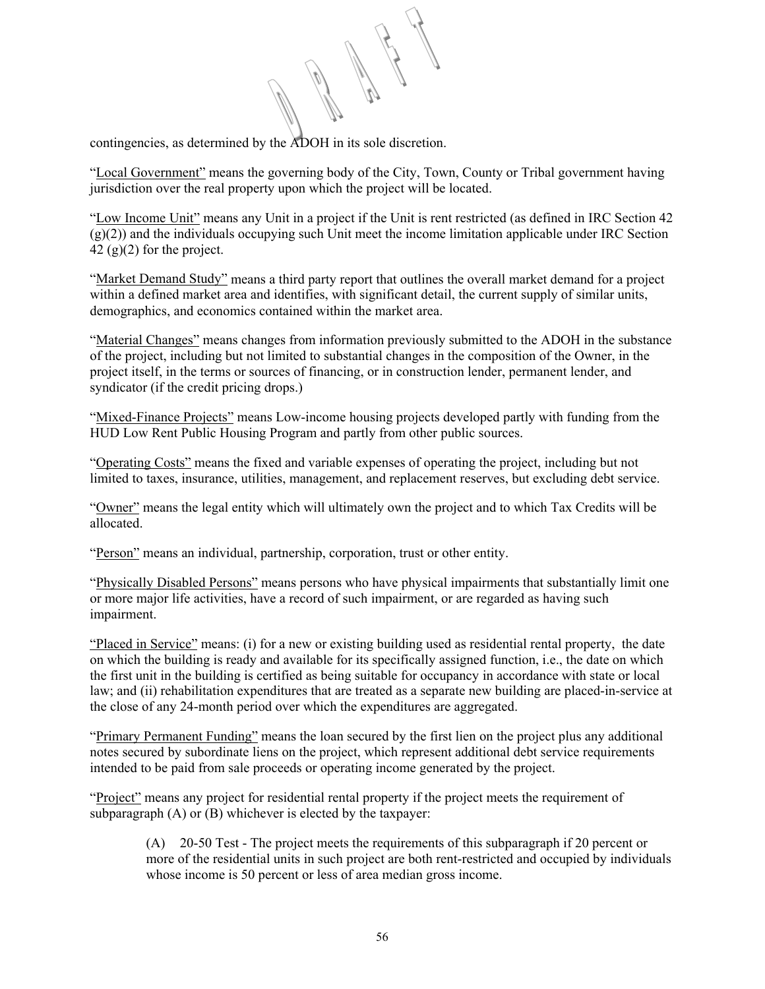contingencies, as determined by the ADOH in its sole discretion.

"Local Government" means the governing body of the City, Town, County or Tribal government having jurisdiction over the real property upon which the project will be located.

"Low Income Unit" means any Unit in a project if the Unit is rent restricted (as defined in IRC Section 42 (g)(2)) and the individuals occupying such Unit meet the income limitation applicable under IRC Section  $42$  (g)(2) for the project.

"Market Demand Study" means a third party report that outlines the overall market demand for a project within a defined market area and identifies, with significant detail, the current supply of similar units, demographics, and economics contained within the market area.

"Material Changes" means changes from information previously submitted to the ADOH in the substance of the project, including but not limited to substantial changes in the composition of the Owner, in the project itself, in the terms or sources of financing, or in construction lender, permanent lender, and syndicator (if the credit pricing drops.)

"Mixed-Finance Projects" means Low-income housing projects developed partly with funding from the HUD Low Rent Public Housing Program and partly from other public sources.

"Operating Costs" means the fixed and variable expenses of operating the project, including but not limited to taxes, insurance, utilities, management, and replacement reserves, but excluding debt service.

"Owner" means the legal entity which will ultimately own the project and to which Tax Credits will be allocated.

"Person" means an individual, partnership, corporation, trust or other entity.

"Physically Disabled Persons" means persons who have physical impairments that substantially limit one or more major life activities, have a record of such impairment, or are regarded as having such impairment.

"Placed in Service" means: (i) for a new or existing building used as residential rental property, the date on which the building is ready and available for its specifically assigned function, i.e., the date on which the first unit in the building is certified as being suitable for occupancy in accordance with state or local law; and (ii) rehabilitation expenditures that are treated as a separate new building are placed-in-service at the close of any 24-month period over which the expenditures are aggregated.

"Primary Permanent Funding" means the loan secured by the first lien on the project plus any additional notes secured by subordinate liens on the project, which represent additional debt service requirements intended to be paid from sale proceeds or operating income generated by the project.

"Project" means any project for residential rental property if the project meets the requirement of subparagraph (A) or (B) whichever is elected by the taxpayer:

> (A) 20-50 Test - The project meets the requirements of this subparagraph if 20 percent or more of the residential units in such project are both rent-restricted and occupied by individuals whose income is 50 percent or less of area median gross income.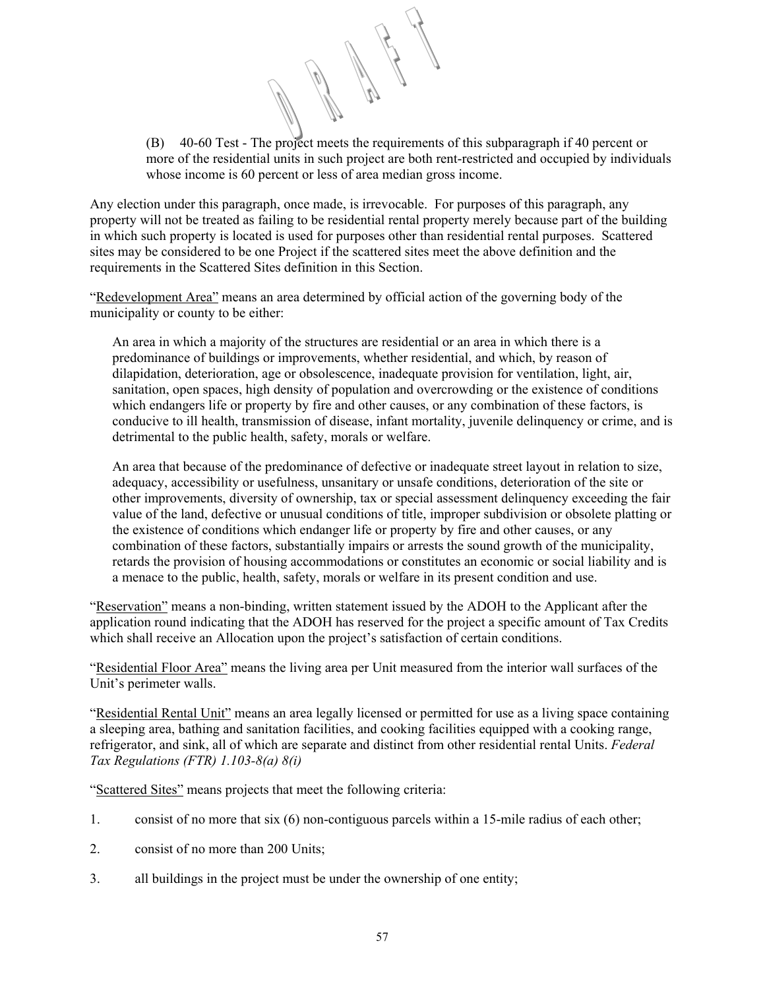(B) 40-60 Test - The project meets the requirements of this subparagraph if 40 percent or more of the residential units in such project are both rent-restricted and occupied by individuals whose income is 60 percent or less of area median gross income.

Any election under this paragraph, once made, is irrevocable. For purposes of this paragraph, any property will not be treated as failing to be residential rental property merely because part of the building in which such property is located is used for purposes other than residential rental purposes. Scattered sites may be considered to be one Project if the scattered sites meet the above definition and the requirements in the Scattered Sites definition in this Section.

"Redevelopment Area" means an area determined by official action of the governing body of the municipality or county to be either:

An area in which a majority of the structures are residential or an area in which there is a predominance of buildings or improvements, whether residential, and which, by reason of dilapidation, deterioration, age or obsolescence, inadequate provision for ventilation, light, air, sanitation, open spaces, high density of population and overcrowding or the existence of conditions which endangers life or property by fire and other causes, or any combination of these factors, is conducive to ill health, transmission of disease, infant mortality, juvenile delinquency or crime, and is detrimental to the public health, safety, morals or welfare.

An area that because of the predominance of defective or inadequate street layout in relation to size, adequacy, accessibility or usefulness, unsanitary or unsafe conditions, deterioration of the site or other improvements, diversity of ownership, tax or special assessment delinquency exceeding the fair value of the land, defective or unusual conditions of title, improper subdivision or obsolete platting or the existence of conditions which endanger life or property by fire and other causes, or any combination of these factors, substantially impairs or arrests the sound growth of the municipality, retards the provision of housing accommodations or constitutes an economic or social liability and is a menace to the public, health, safety, morals or welfare in its present condition and use.

"Reservation" means a non-binding, written statement issued by the ADOH to the Applicant after the application round indicating that the ADOH has reserved for the project a specific amount of Tax Credits which shall receive an Allocation upon the project's satisfaction of certain conditions.

"Residential Floor Area" means the living area per Unit measured from the interior wall surfaces of the Unit's perimeter walls.

"Residential Rental Unit" means an area legally licensed or permitted for use as a living space containing a sleeping area, bathing and sanitation facilities, and cooking facilities equipped with a cooking range, refrigerator, and sink, all of which are separate and distinct from other residential rental Units. *Federal Tax Regulations (FTR) 1.103-8(a) 8(i)*

"Scattered Sites" means projects that meet the following criteria:

- 1. consist of no more that six (6) non-contiguous parcels within a 15-mile radius of each other;
- 2. consist of no more than 200 Units;
- 3. all buildings in the project must be under the ownership of one entity;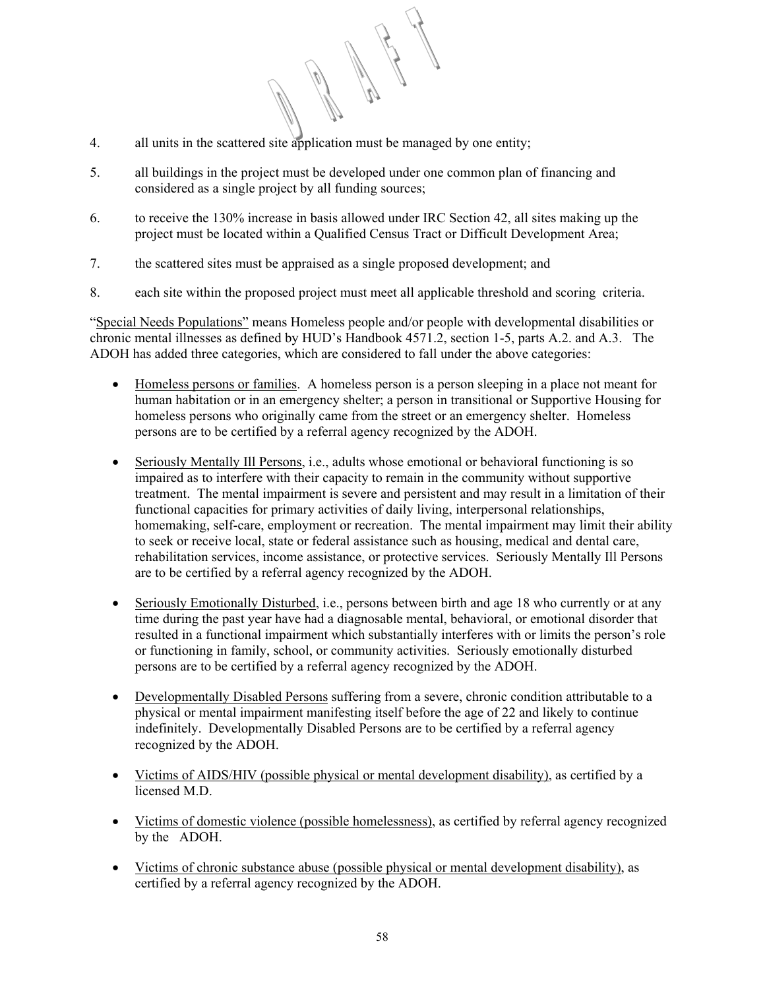- 4. all units in the scattered site application must be managed by one entity;
- 5. all buildings in the project must be developed under one common plan of financing and considered as a single project by all funding sources;
- 6. to receive the 130% increase in basis allowed under IRC Section 42, all sites making up the project must be located within a Qualified Census Tract or Difficult Development Area;
- 7. the scattered sites must be appraised as a single proposed development; and
- 8. each site within the proposed project must meet all applicable threshold and scoring criteria.

"Special Needs Populations" means Homeless people and/or people with developmental disabilities or chronic mental illnesses as defined by HUD's Handbook 4571.2, section 1-5, parts A.2. and A.3. The ADOH has added three categories, which are considered to fall under the above categories:

- Homeless persons or families. A homeless person is a person sleeping in a place not meant for human habitation or in an emergency shelter; a person in transitional or Supportive Housing for homeless persons who originally came from the street or an emergency shelter. Homeless persons are to be certified by a referral agency recognized by the ADOH.
- Seriously Mentally Ill Persons, i.e., adults whose emotional or behavioral functioning is so impaired as to interfere with their capacity to remain in the community without supportive treatment. The mental impairment is severe and persistent and may result in a limitation of their functional capacities for primary activities of daily living, interpersonal relationships, homemaking, self-care, employment or recreation. The mental impairment may limit their ability to seek or receive local, state or federal assistance such as housing, medical and dental care, rehabilitation services, income assistance, or protective services. Seriously Mentally Ill Persons are to be certified by a referral agency recognized by the ADOH.
- Seriously Emotionally Disturbed, i.e., persons between birth and age 18 who currently or at any time during the past year have had a diagnosable mental, behavioral, or emotional disorder that resulted in a functional impairment which substantially interferes with or limits the person's role or functioning in family, school, or community activities. Seriously emotionally disturbed persons are to be certified by a referral agency recognized by the ADOH.
- Developmentally Disabled Persons suffering from a severe, chronic condition attributable to a physical or mental impairment manifesting itself before the age of 22 and likely to continue indefinitely. Developmentally Disabled Persons are to be certified by a referral agency recognized by the ADOH.
- Victims of AIDS/HIV (possible physical or mental development disability), as certified by a licensed M.D.
- Victims of domestic violence (possible homelessness), as certified by referral agency recognized by the ADOH.
- Victims of chronic substance abuse (possible physical or mental development disability), as certified by a referral agency recognized by the ADOH.